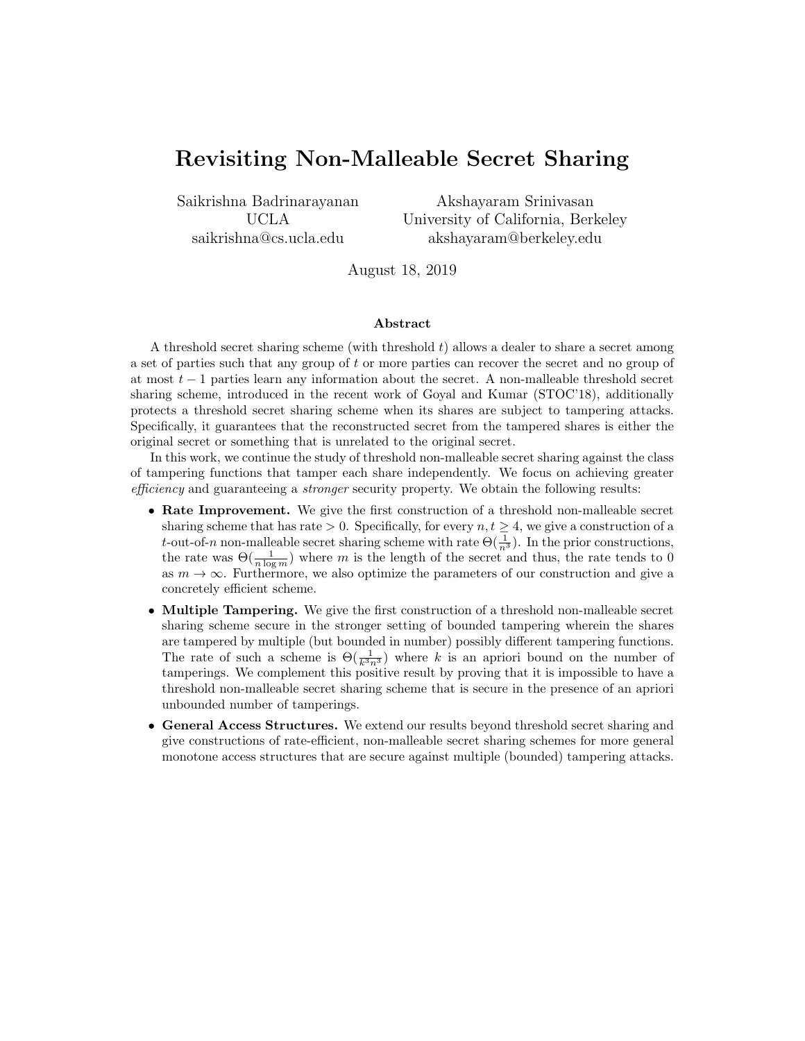# Revisiting Non-Malleable Secret Sharing

Saikrishna Badrinarayanan UCLA saikrishna@cs.ucla.edu

Akshayaram Srinivasan University of California, Berkeley akshayaram@berkeley.edu

August 18, 2019

#### Abstract

A threshold secret sharing scheme (with threshold  $t$ ) allows a dealer to share a secret among a set of parties such that any group of t or more parties can recover the secret and no group of at most  $t-1$  parties learn any information about the secret. A non-malleable threshold secret sharing scheme, introduced in the recent work of Goyal and Kumar (STOC'18), additionally protects a threshold secret sharing scheme when its shares are subject to tampering attacks. Specifically, it guarantees that the reconstructed secret from the tampered shares is either the original secret or something that is unrelated to the original secret.

In this work, we continue the study of threshold non-malleable secret sharing against the class of tampering functions that tamper each share independently. We focus on achieving greater efficiency and guaranteeing a *stronger* security property. We obtain the following results:

- Rate Improvement. We give the first construction of a threshold non-malleable secret sharing scheme that has rate > 0. Specifically, for every  $n, t \geq 4$ , we give a construction of a t-out-of-n non-malleable secret sharing scheme with rate  $\Theta(\frac{1}{n^3})$ . In the prior constructions, the rate was  $\Theta(\frac{1}{n \log m})$  where m is the length of the secret and thus, the rate tends to 0 as  $m \to \infty$ . Furthermore, we also optimize the parameters of our construction and give a concretely efficient scheme.
- Multiple Tampering. We give the first construction of a threshold non-malleable secret sharing scheme secure in the stronger setting of bounded tampering wherein the shares are tampered by multiple (but bounded in number) possibly different tampering functions. The rate of such a scheme is  $\Theta(\frac{1}{k^3n^3})$  where k is an apriori bound on the number of tamperings. We complement this positive result by proving that it is impossible to have a threshold non-malleable secret sharing scheme that is secure in the presence of an apriori unbounded number of tamperings.
- General Access Structures. We extend our results beyond threshold secret sharing and give constructions of rate-efficient, non-malleable secret sharing schemes for more general monotone access structures that are secure against multiple (bounded) tampering attacks.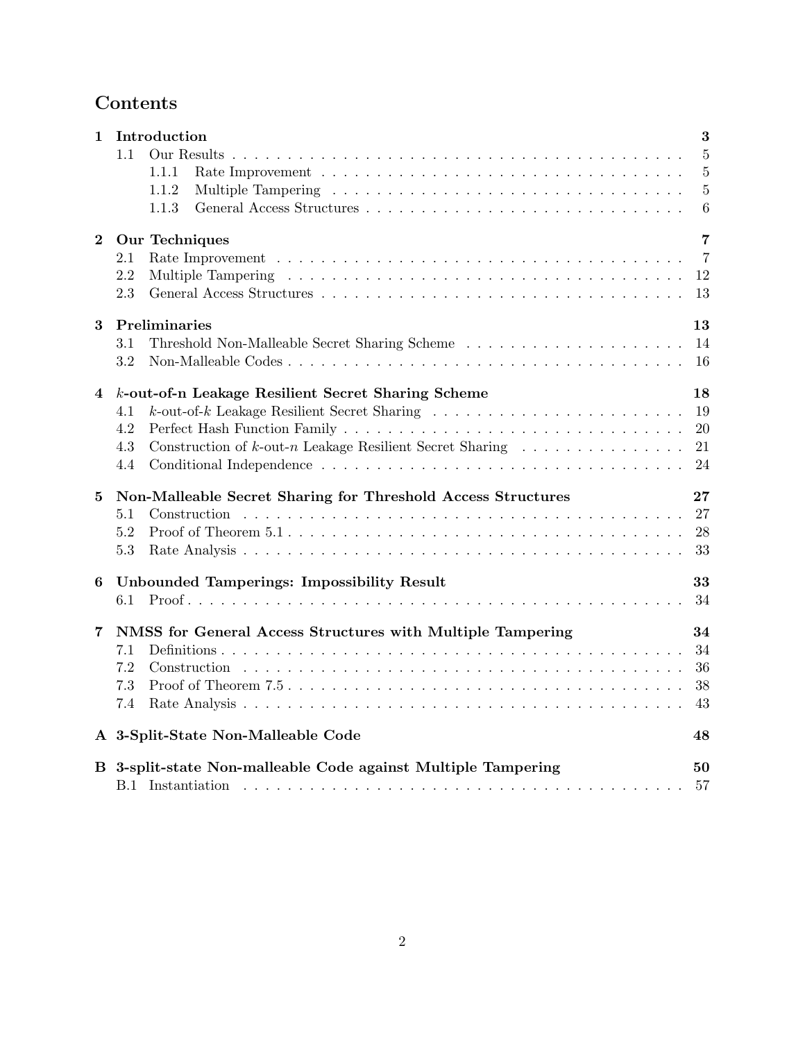# Contents

| 1              | Introduction                                                                                                       | 3              |
|----------------|--------------------------------------------------------------------------------------------------------------------|----------------|
|                | 1.1                                                                                                                | $\overline{5}$ |
|                | 1.1.1                                                                                                              | $\overline{5}$ |
|                | 1.1.2                                                                                                              | $\overline{5}$ |
|                | 1.1.3                                                                                                              | 6              |
| $\overline{2}$ | Our Techniques                                                                                                     | 7              |
|                | 2.1                                                                                                                | $\overline{7}$ |
|                | $2.2\,$                                                                                                            | 12             |
|                | 2.3                                                                                                                | 13             |
| 3              | Preliminaries                                                                                                      | 13             |
|                | 3.1                                                                                                                | 14             |
|                | 3.2                                                                                                                | 16             |
| 4              | k-out-of-n Leakage Resilient Secret Sharing Scheme                                                                 | 18             |
|                | $k$ -out-of- $k$ Leakage Resilient Secret Sharing $\ldots \ldots \ldots \ldots \ldots \ldots \ldots \ldots$<br>4.1 | 19             |
|                | 4.2                                                                                                                | 20             |
|                | Construction of $k$ -out-n Leakage Resilient Secret Sharing $\ldots \ldots \ldots \ldots$<br>4.3                   | 21             |
|                | 4.4                                                                                                                | 24             |
| 5              | Non-Malleable Secret Sharing for Threshold Access Structures                                                       | 27             |
|                | 5.1                                                                                                                | 27             |
|                | 5.2                                                                                                                | 28             |
|                | 5.3                                                                                                                | 33             |
| 6              | Unbounded Tamperings: Impossibility Result                                                                         | 33             |
|                | 6.1                                                                                                                | 34             |
| $\overline{7}$ | NMSS for General Access Structures with Multiple Tampering                                                         | 34             |
|                | 7.1                                                                                                                | 34             |
|                | 7.2                                                                                                                | 36             |
|                | 7.3                                                                                                                | 38             |
|                | 7.4                                                                                                                | 43             |
|                | A 3-Split-State Non-Malleable Code                                                                                 | 48             |
|                | B 3-split-state Non-malleable Code against Multiple Tampering                                                      | 50             |
|                |                                                                                                                    | 57             |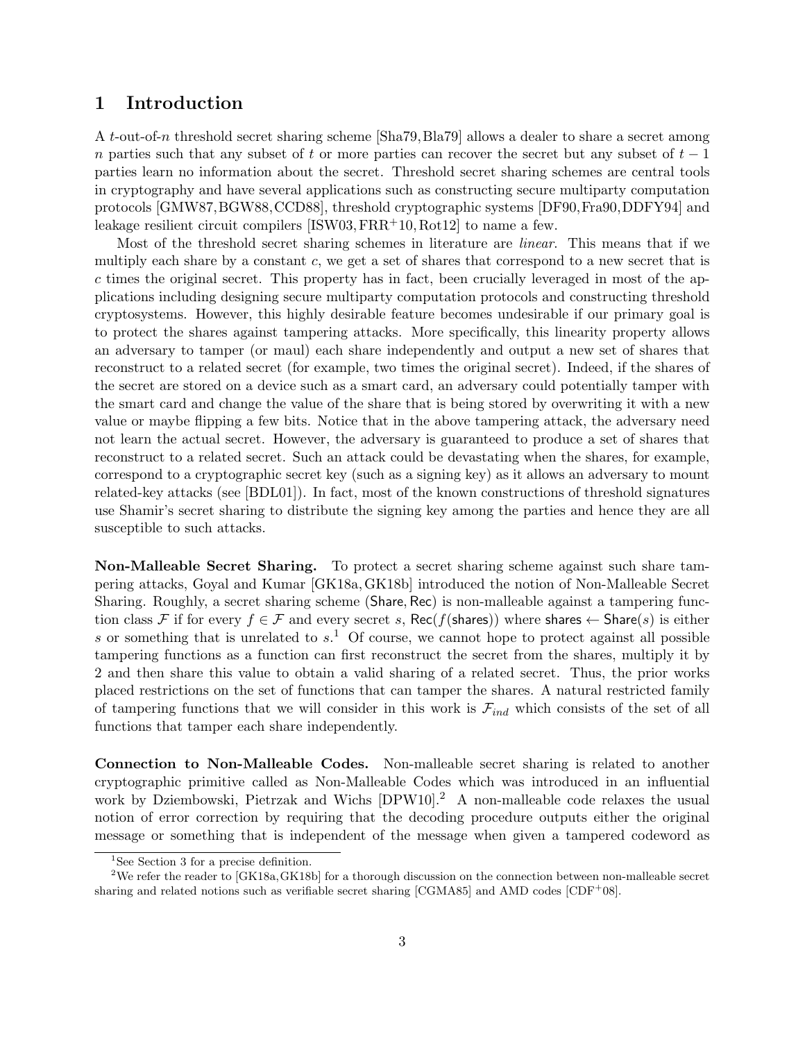# <span id="page-2-0"></span>1 Introduction

A t-out-of-n threshold secret sharing scheme [\[Sha79,](#page-47-1)[Bla79\]](#page-43-0) allows a dealer to share a secret among n parties such that any subset of t or more parties can recover the secret but any subset of  $t-1$ parties learn no information about the secret. Threshold secret sharing schemes are central tools in cryptography and have several applications such as constructing secure multiparty computation protocols [\[GMW87,](#page-46-0)[BGW88,](#page-43-1)[CCD88\]](#page-44-0), threshold cryptographic systems [\[DF90,](#page-44-1)[Fra90,](#page-45-0)[DDFY94\]](#page-44-2) and leakage resilient circuit compilers  $[ISW03, FRR<sup>+</sup>10, Rot12]$  $[ISW03, FRR<sup>+</sup>10, Rot12]$  $[ISW03, FRR<sup>+</sup>10, Rot12]$  $[ISW03, FRR<sup>+</sup>10, Rot12]$  $[ISW03, FRR<sup>+</sup>10, Rot12]$  to name a few.

Most of the threshold secret sharing schemes in literature are linear. This means that if we multiply each share by a constant  $c$ , we get a set of shares that correspond to a new secret that is c times the original secret. This property has in fact, been crucially leveraged in most of the applications including designing secure multiparty computation protocols and constructing threshold cryptosystems. However, this highly desirable feature becomes undesirable if our primary goal is to protect the shares against tampering attacks. More specifically, this linearity property allows an adversary to tamper (or maul) each share independently and output a new set of shares that reconstruct to a related secret (for example, two times the original secret). Indeed, if the shares of the secret are stored on a device such as a smart card, an adversary could potentially tamper with the smart card and change the value of the share that is being stored by overwriting it with a new value or maybe flipping a few bits. Notice that in the above tampering attack, the adversary need not learn the actual secret. However, the adversary is guaranteed to produce a set of shares that reconstruct to a related secret. Such an attack could be devastating when the shares, for example, correspond to a cryptographic secret key (such as a signing key) as it allows an adversary to mount related-key attacks (see [\[BDL01\]](#page-43-2)). In fact, most of the known constructions of threshold signatures use Shamir's secret sharing to distribute the signing key among the parties and hence they are all susceptible to such attacks.

Non-Malleable Secret Sharing. To protect a secret sharing scheme against such share tampering attacks, Goyal and Kumar [\[GK18a,](#page-45-2)[GK18b\]](#page-45-3) introduced the notion of Non-Malleable Secret Sharing. Roughly, a secret sharing scheme (Share, Rec) is non-malleable against a tampering function class F if for every  $f \in \mathcal{F}$  and every secret s, Rec(f(shares)) where shares  $\leftarrow$  Share(s) is either s or something that is unrelated to  $s<sup>1</sup>$  $s<sup>1</sup>$  $s<sup>1</sup>$ . Of course, we cannot hope to protect against all possible tampering functions as a function can first reconstruct the secret from the shares, multiply it by 2 and then share this value to obtain a valid sharing of a related secret. Thus, the prior works placed restrictions on the set of functions that can tamper the shares. A natural restricted family of tampering functions that we will consider in this work is  $\mathcal{F}_{ind}$  which consists of the set of all functions that tamper each share independently.

Connection to Non-Malleable Codes. Non-malleable secret sharing is related to another cryptographic primitive called as Non-Malleable Codes which was introduced in an influential work by Dziembowski, Pietrzak and Wichs [\[DPW10\]](#page-45-4).[2](#page-2-2) A non-malleable code relaxes the usual notion of error correction by requiring that the decoding procedure outputs either the original message or something that is independent of the message when given a tampered codeword as

<span id="page-2-2"></span><span id="page-2-1"></span><sup>&</sup>lt;sup>1</sup>See Section [3](#page-12-1) for a precise definition.

<sup>&</sup>lt;sup>2</sup>We refer the reader to [\[GK18a,](#page-45-2) [GK18b\]](#page-45-3) for a thorough discussion on the connection between non-malleable secret sharing and related notions such as verifiable secret sharing  $[CGMA85]$  and AMD codes  $[CDF<sup>+</sup>08]$  $[CDF<sup>+</sup>08]$ .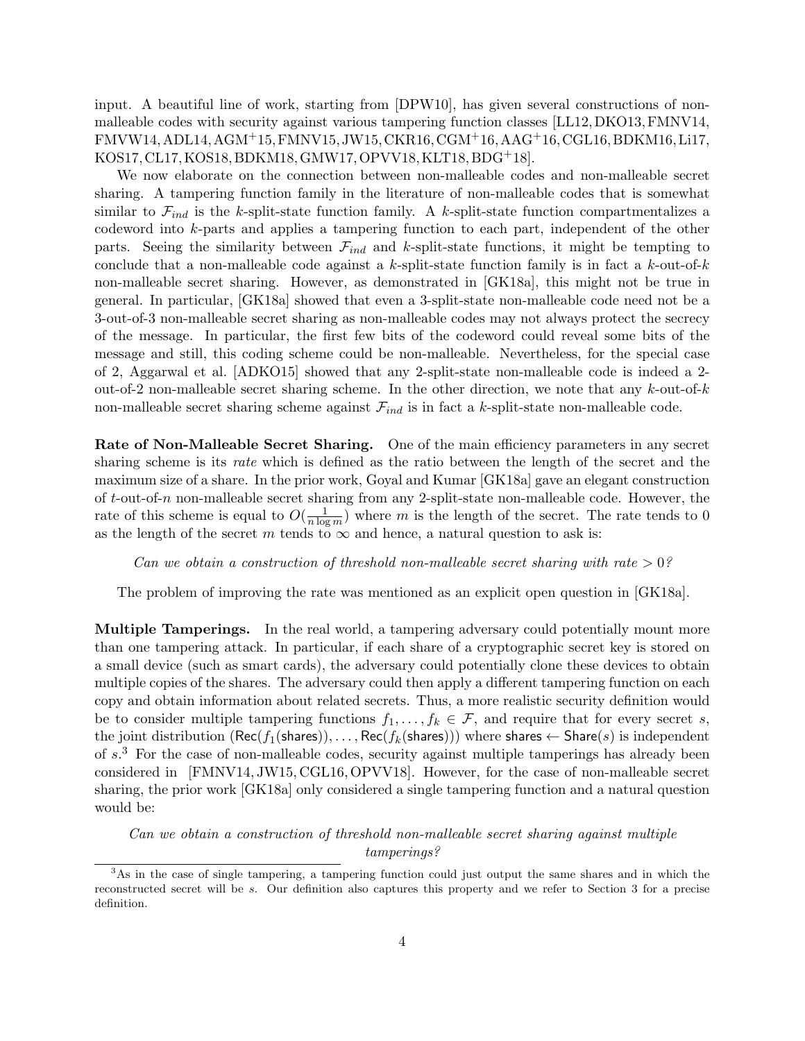input. A beautiful line of work, starting from [\[DPW10\]](#page-45-4), has given several constructions of nonmalleable codes with security against various tampering function classes [\[LL12,](#page-47-3)[DKO13,](#page-44-5)[FMNV14,](#page-45-5) [FMVW14,](#page-45-6)[ADL14,](#page-43-3)[AGM](#page-43-4)+15,[FMNV15,](#page-45-7)[JW15,](#page-46-2)[CKR16,](#page-44-6)[CGM](#page-44-7)+16,[AAG](#page-43-5)+16,[CGL16,](#page-44-8)[BDKM16,](#page-43-6)[Li17,](#page-47-4) [KOS17,](#page-46-3)[CL17,](#page-44-9)[KOS18,](#page-47-5)[BDKM18,](#page-43-7)[GMW17,](#page-46-4)[OPVV18,](#page-47-6)[KLT18,](#page-46-5)[BDG](#page-43-8)+18].

We now elaborate on the connection between non-malleable codes and non-malleable secret sharing. A tampering function family in the literature of non-malleable codes that is somewhat similar to  $\mathcal{F}_{ind}$  is the k-split-state function family. A k-split-state function compartmentalizes a codeword into k-parts and applies a tampering function to each part, independent of the other parts. Seeing the similarity between  $\mathcal{F}_{ind}$  and k-split-state functions, it might be tempting to conclude that a non-malleable code against a k-split-state function family is in fact a k-out-of-k non-malleable secret sharing. However, as demonstrated in [\[GK18a\]](#page-45-2), this might not be true in general. In particular, [\[GK18a\]](#page-45-2) showed that even a 3-split-state non-malleable code need not be a 3-out-of-3 non-malleable secret sharing as non-malleable codes may not always protect the secrecy of the message. In particular, the first few bits of the codeword could reveal some bits of the message and still, this coding scheme could be non-malleable. Nevertheless, for the special case of 2, Aggarwal et al. [\[ADKO15\]](#page-43-9) showed that any 2-split-state non-malleable code is indeed a 2 out-of-2 non-malleable secret sharing scheme. In the other direction, we note that any  $k$ -out-of- $k$ non-malleable secret sharing scheme against  $\mathcal{F}_{ind}$  is in fact a k-split-state non-malleable code.

Rate of Non-Malleable Secret Sharing. One of the main efficiency parameters in any secret sharing scheme is its rate which is defined as the ratio between the length of the secret and the maximum size of a share. In the prior work, Goyal and Kumar [\[GK18a\]](#page-45-2) gave an elegant construction of t-out-of-n non-malleable secret sharing from any 2-split-state non-malleable code. However, the rate of this scheme is equal to  $O(\frac{1}{n \log n})$  $\frac{1}{n \log m}$ ) where m is the length of the secret. The rate tends to 0 as the length of the secret m tends to  $\infty$  and hence, a natural question to ask is:

Can we obtain a construction of threshold non-malleable secret sharing with rate  $> 0$ ?

The problem of improving the rate was mentioned as an explicit open question in [\[GK18a\]](#page-45-2).

Multiple Tamperings. In the real world, a tampering adversary could potentially mount more than one tampering attack. In particular, if each share of a cryptographic secret key is stored on a small device (such as smart cards), the adversary could potentially clone these devices to obtain multiple copies of the shares. The adversary could then apply a different tampering function on each copy and obtain information about related secrets. Thus, a more realistic security definition would be to consider multiple tampering functions  $f_1, \ldots, f_k \in \mathcal{F}$ , and require that for every secret s, the joint distribution  $(Rec(f_1(\text{shares})), \ldots, Rec(f_k(\text{shares})))$  where shares  $\leftarrow$  Share(s) is independent of  $s<sup>3</sup>$  $s<sup>3</sup>$  $s<sup>3</sup>$ . For the case of non-malleable codes, security against multiple tamperings has already been considered in [\[FMNV14,](#page-45-5) [JW15,](#page-46-2) [CGL16,](#page-44-8)[OPVV18\]](#page-47-6). However, for the case of non-malleable secret sharing, the prior work [\[GK18a\]](#page-45-2) only considered a single tampering function and a natural question would be:

Can we obtain a construction of threshold non-malleable secret sharing against multiple tamperings?

<span id="page-3-0"></span><sup>3</sup>As in the case of single tampering, a tampering function could just output the same shares and in which the reconstructed secret will be s. Our definition also captures this property and we refer to Section [3](#page-12-1) for a precise definition.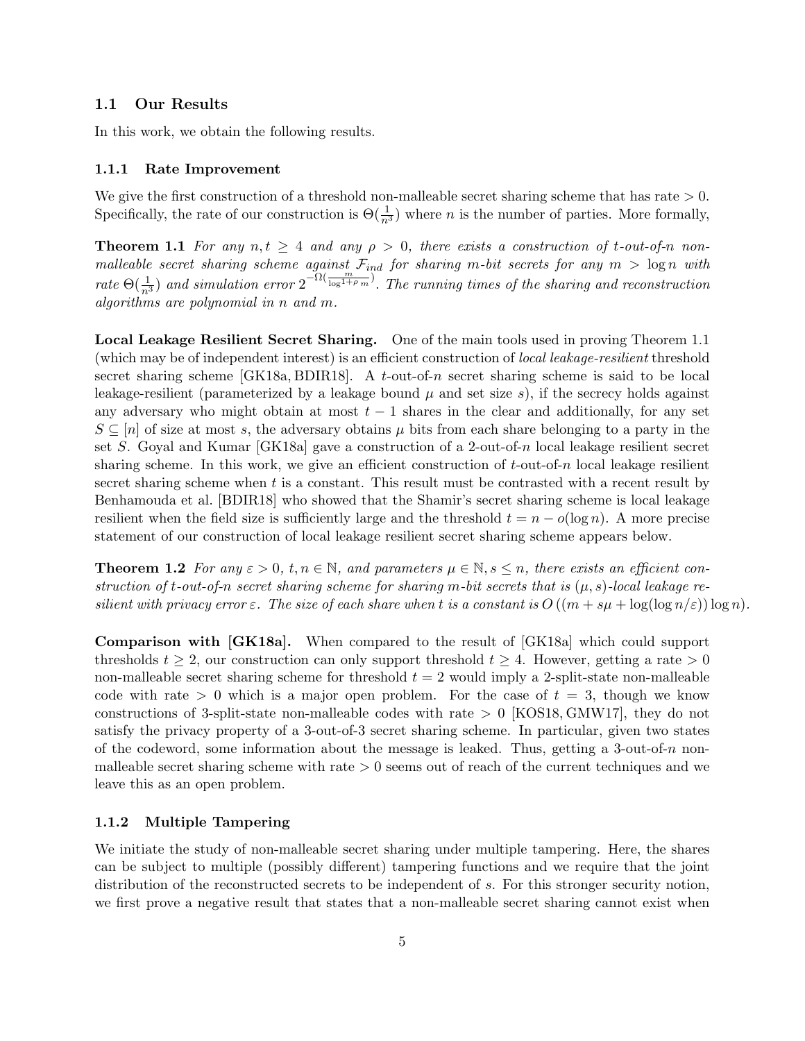#### <span id="page-4-0"></span>1.1 Our Results

In this work, we obtain the following results.

#### <span id="page-4-1"></span>1.1.1 Rate Improvement

We give the first construction of a threshold non-malleable secret sharing scheme that has rate  $> 0$ . Specifically, the rate of our construction is  $\Theta(\frac{1}{n^3})$  where *n* is the number of parties. More formally,

<span id="page-4-3"></span>**Theorem 1.1** For any  $n, t \geq 4$  and any  $\rho > 0$ , there exists a construction of t-out-of-n nonmalleable secret sharing scheme against  $\mathcal{F}_{ind}$  for sharing m-bit secrets for any  $m > \log n$  with rate  $\Theta(\frac{1}{n^3})$  and simulation error  $2^{-\Omega(\frac{m}{\log^{1+\rho} m})}$ . The running times of the sharing and reconstruction algorithms are polynomial in n and m.

Local Leakage Resilient Secret Sharing. One of the main tools used in proving Theorem [1.1](#page-4-3) (which may be of independent interest) is an efficient construction of local leakage-resilient threshold secret sharing scheme  $[GK18a, BDIR18]$  $[GK18a, BDIR18]$  $[GK18a, BDIR18]$ . A t-out-of-n secret sharing scheme is said to be local leakage-resilient (parameterized by a leakage bound  $\mu$  and set size s), if the secrecy holds against any adversary who might obtain at most  $t - 1$  shares in the clear and additionally, for any set  $S \subseteq [n]$  of size at most s, the adversary obtains  $\mu$  bits from each share belonging to a party in the set S. Goyal and Kumar [\[GK18a\]](#page-45-2) gave a construction of a 2-out-of-n local leakage resilient secret sharing scheme. In this work, we give an efficient construction of  $t$ -out-of-n local leakage resilient secret sharing scheme when  $t$  is a constant. This result must be contrasted with a recent result by Benhamouda et al. [\[BDIR18\]](#page-43-10) who showed that the Shamir's secret sharing scheme is local leakage resilient when the field size is sufficiently large and the threshold  $t = n - o(\log n)$ . A more precise statement of our construction of local leakage resilient secret sharing scheme appears below.

**Theorem 1.2** For any  $\varepsilon > 0$ ,  $t, n \in \mathbb{N}$ , and parameters  $\mu \in \mathbb{N}, s \leq n$ , there exists an efficient construction of t-out-of-n secret sharing scheme for sharing m-bit secrets that is  $(\mu, s)$ -local leakage resilient with privacy error  $\varepsilon$ . The size of each share when t is a constant is  $O((m + s\mu + \log(\log n/\varepsilon))\log n)$ .

Comparison with [\[GK18a\]](#page-45-2). When compared to the result of [\[GK18a\]](#page-45-2) which could support thresholds  $t \geq 2$ , our construction can only support threshold  $t \geq 4$ . However, getting a rate  $> 0$ non-malleable secret sharing scheme for threshold  $t = 2$  would imply a 2-split-state non-malleable code with rate  $> 0$  which is a major open problem. For the case of  $t = 3$ , though we know constructions of 3-split-state non-malleable codes with rate  $> 0$  [\[KOS18,](#page-47-5) [GMW17\]](#page-46-4), they do not satisfy the privacy property of a 3-out-of-3 secret sharing scheme. In particular, given two states of the codeword, some information about the message is leaked. Thus, getting a 3-out-of-n nonmalleable secret sharing scheme with rate  $> 0$  seems out of reach of the current techniques and we leave this as an open problem.

#### <span id="page-4-2"></span>1.1.2 Multiple Tampering

We initiate the study of non-malleable secret sharing under multiple tampering. Here, the shares can be subject to multiple (possibly different) tampering functions and we require that the joint distribution of the reconstructed secrets to be independent of s. For this stronger security notion, we first prove a negative result that states that a non-malleable secret sharing cannot exist when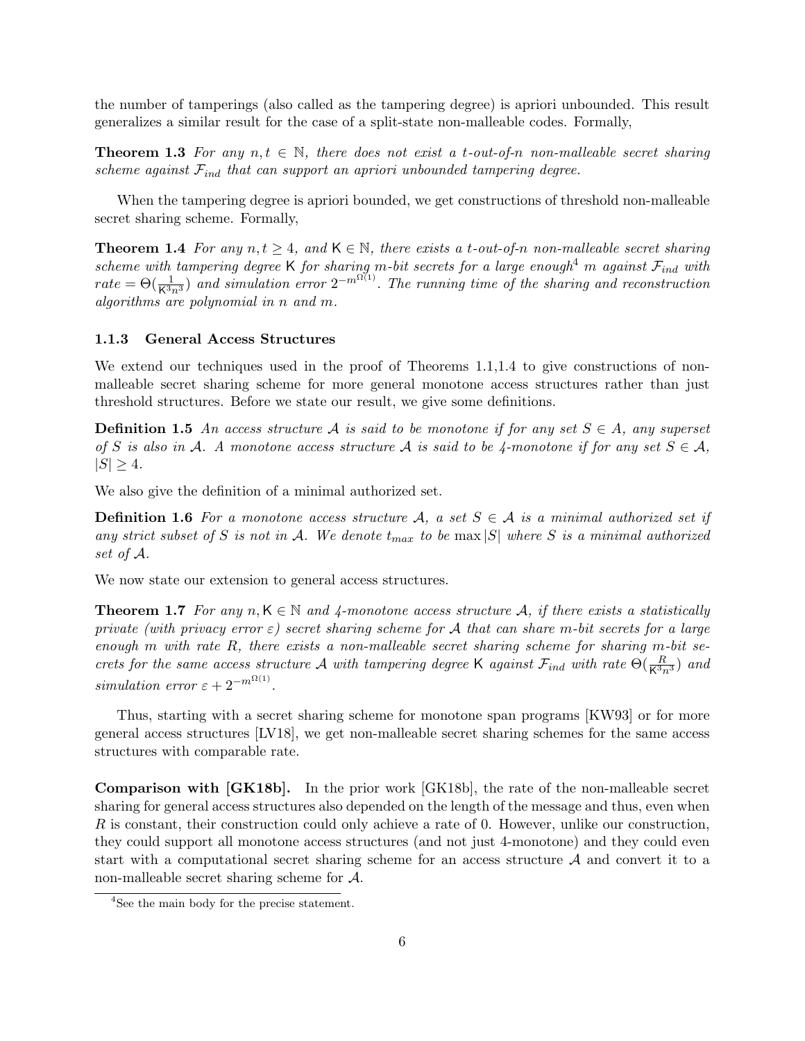the number of tamperings (also called as the tampering degree) is apriori unbounded. This result generalizes a similar result for the case of a split-state non-malleable codes. Formally,

**Theorem 1.3** For any  $n, t \in \mathbb{N}$ , there does not exist a t-out-of-n non-malleable secret sharing scheme against  $\mathcal{F}_{ind}$  that can support an apriori unbounded tampering degree.

When the tampering degree is apriori bounded, we get constructions of threshold non-malleable secret sharing scheme. Formally,

<span id="page-5-2"></span>**Theorem 1.4** For any  $n, t \geq 4$ , and  $\mathsf{K} \in \mathbb{N}$ , there exists a t-out-of-n non-malleable secret sharing scheme with tampering degree K for sharing m-bit secrets for a large enough<sup>[4](#page-5-1)</sup> m against  $\mathcal{F}_{ind}$  with  $rate = \Theta(\frac{1}{K^3n^3})$  and simulation error  $2^{-m^{\Omega(1)}}$ . The running time of the sharing and reconstruction algorithms are polynomial in n and m.

#### <span id="page-5-0"></span>1.1.3 General Access Structures

<span id="page-5-3"></span>We extend our techniques used in the proof of Theorems [1.1,](#page-4-3)[1.4](#page-5-2) to give constructions of nonmalleable secret sharing scheme for more general monotone access structures rather than just threshold structures. Before we state our result, we give some definitions.

**Definition 1.5** An access structure A is said to be monotone if for any set  $S \in A$ , any superset of S is also in A. A monotone access structure A is said to be 4-monotone if for any set  $S \in \mathcal{A}$ ,  $|S| \geq 4.$ 

<span id="page-5-4"></span>We also give the definition of a minimal authorized set.

**Definition 1.6** For a monotone access structure A, a set  $S \in \mathcal{A}$  is a minimal authorized set if any strict subset of S is not in A. We denote  $t_{max}$  to be max  $|S|$  where S is a minimal authorized set of A.

We now state our extension to general access structures.

**Theorem 1.7** For any  $n, K \in \mathbb{N}$  and 4-monotone access structure A, if there exists a statistically private (with privacy error  $\varepsilon$ ) secret sharing scheme for A that can share m-bit secrets for a large enough m with rate  $R$ , there exists a non-malleable secret sharing scheme for sharing m-bit secrets for the same access structure A with tampering degree K against  $\mathcal{F}_{ind}$  with rate  $\Theta(\frac{R}{K^3n^3})$  and simulation error  $\varepsilon + 2^{-m^{\Omega(1)}}$ .

Thus, starting with a secret sharing scheme for monotone span programs [\[KW93\]](#page-47-7) or for more general access structures [\[LV18\]](#page-47-8), we get non-malleable secret sharing schemes for the same access structures with comparable rate.

Comparison with [\[GK18b\]](#page-45-3). In the prior work [\[GK18b\]](#page-45-3), the rate of the non-malleable secret sharing for general access structures also depended on the length of the message and thus, even when R is constant, their construction could only achieve a rate of 0. However, unlike our construction, they could support all monotone access structures (and not just 4-monotone) and they could even start with a computational secret sharing scheme for an access structure A and convert it to a non-malleable secret sharing scheme for A.

<span id="page-5-1"></span><sup>4</sup>See the main body for the precise statement.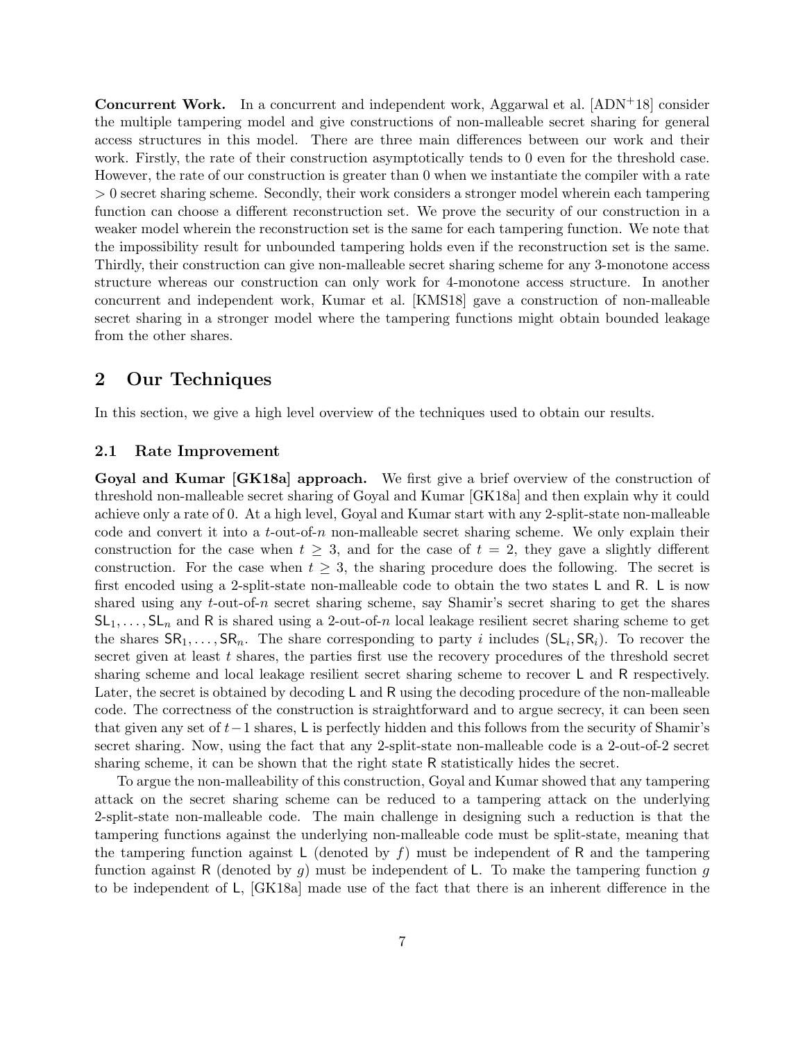Concurrent Work. In a concurrent and independent work, Aggarwal et al. [\[ADN](#page-43-11)+18] consider the multiple tampering model and give constructions of non-malleable secret sharing for general access structures in this model. There are three main differences between our work and their work. Firstly, the rate of their construction asymptotically tends to 0 even for the threshold case. However, the rate of our construction is greater than 0 when we instantiate the compiler with a rate > 0 secret sharing scheme. Secondly, their work considers a stronger model wherein each tampering function can choose a different reconstruction set. We prove the security of our construction in a weaker model wherein the reconstruction set is the same for each tampering function. We note that the impossibility result for unbounded tampering holds even if the reconstruction set is the same. Thirdly, their construction can give non-malleable secret sharing scheme for any 3-monotone access structure whereas our construction can only work for 4-monotone access structure. In another concurrent and independent work, Kumar et al. [\[KMS18\]](#page-46-6) gave a construction of non-malleable secret sharing in a stronger model where the tampering functions might obtain bounded leakage from the other shares.

# <span id="page-6-0"></span>2 Our Techniques

In this section, we give a high level overview of the techniques used to obtain our results.

#### <span id="page-6-1"></span>2.1 Rate Improvement

Goyal and Kumar [\[GK18a\]](#page-45-2) approach. We first give a brief overview of the construction of threshold non-malleable secret sharing of Goyal and Kumar [\[GK18a\]](#page-45-2) and then explain why it could achieve only a rate of 0. At a high level, Goyal and Kumar start with any 2-split-state non-malleable code and convert it into a t-out-of-n non-malleable secret sharing scheme. We only explain their construction for the case when  $t \geq 3$ , and for the case of  $t = 2$ , they gave a slightly different construction. For the case when  $t \geq 3$ , the sharing procedure does the following. The secret is first encoded using a 2-split-state non-malleable code to obtain the two states L and R. L is now shared using any  $t$ -out-of-n secret sharing scheme, say Shamir's secret sharing to get the shares  $SL_1, \ldots, SL_n$  and R is shared using a 2-out-of-n local leakage resilient secret sharing scheme to get the shares  $\mathsf{SR}_1, \ldots, \mathsf{SR}_n$ . The share corresponding to party i includes  $(\mathsf{SL}_i, \mathsf{SR}_i)$ . To recover the secret given at least t shares, the parties first use the recovery procedures of the threshold secret sharing scheme and local leakage resilient secret sharing scheme to recover L and R respectively. Later, the secret is obtained by decoding L and R using the decoding procedure of the non-malleable code. The correctness of the construction is straightforward and to argue secrecy, it can been seen that given any set of t−1 shares, L is perfectly hidden and this follows from the security of Shamir's secret sharing. Now, using the fact that any 2-split-state non-malleable code is a 2-out-of-2 secret sharing scheme, it can be shown that the right state R statistically hides the secret.

To argue the non-malleability of this construction, Goyal and Kumar showed that any tampering attack on the secret sharing scheme can be reduced to a tampering attack on the underlying 2-split-state non-malleable code. The main challenge in designing such a reduction is that the tampering functions against the underlying non-malleable code must be split-state, meaning that the tampering function against L (denoted by  $f$ ) must be independent of R and the tampering function against R (denoted by g) must be independent of L. To make the tampering function g to be independent of L, [\[GK18a\]](#page-45-2) made use of the fact that there is an inherent difference in the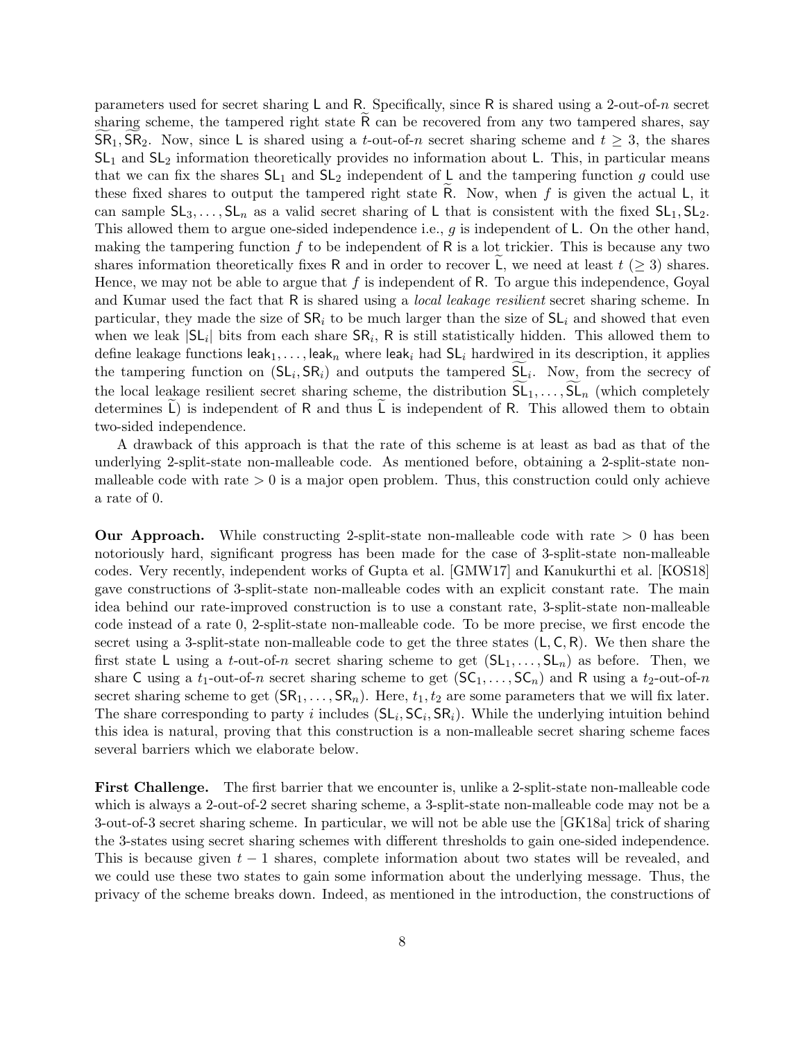parameters used for secret sharing L and R. Specifically, since R is shared using a 2-out-of-n secret sharing scheme, the tampered right state  $\overline{R}$  can be recovered from any two tampered shares, say  $\mathsf{SR}_1, \mathsf{SR}_2$ . Now, since L is shared using a t-out-of-n secret sharing scheme and  $t \geq 3$ , the shares  $SL<sub>1</sub>$  and  $SL<sub>2</sub>$  information theoretically provides no information about L. This, in particular means that we can fix the shares  $SL_1$  and  $SL_2$  independent of L and the tampering function g could use these fixed shares to output the tampered right state R. Now, when  $f$  is given the actual  $L$ , it can sample  $SL_3, \ldots, SL_n$  as a valid secret sharing of L that is consistent with the fixed  $SL_1, SL_2$ . This allowed them to argue one-sided independence i.e.,  $g$  is independent of L. On the other hand, making the tampering function  $f$  to be independent of  $R$  is a lot trickier. This is because any two shares information theoretically fixes R and in order to recover L, we need at least  $t \geq 3$ ) shares. Hence, we may not be able to argue that  $f$  is independent of R. To argue this independence, Goyal and Kumar used the fact that R is shared using a *local leakage resilient* secret sharing scheme. In particular, they made the size of  $\text{SR}_i$  to be much larger than the size of  $\text{SL}_i$  and showed that even when we leak  $|\mathsf{SL}_i|$  bits from each share  $\mathsf{SR}_i$ , R is still statistically hidden. This allowed them to define leakage functions leak<sub>1</sub>, ..., leak<sub>n</sub> where leak<sub>i</sub> had  $SL<sub>i</sub>$  hardwired in its description, it applies the tampering function on  $(SL_i, SR_i)$  and outputs the tampered  $SL_i$ . Now, from the secrecy of the local leakage resilient secret sharing scheme, the distribution  $SL_1, \ldots, SL_n$  (which completely determines L) is independent of R and thus L is independent of R. This allowed them to obtain two-sided independence.

A drawback of this approach is that the rate of this scheme is at least as bad as that of the underlying 2-split-state non-malleable code. As mentioned before, obtaining a 2-split-state nonmalleable code with rate  $> 0$  is a major open problem. Thus, this construction could only achieve a rate of 0.

**Our Approach.** While constructing 2-split-state non-malleable code with rate  $> 0$  has been notoriously hard, significant progress has been made for the case of 3-split-state non-malleable codes. Very recently, independent works of Gupta et al. [\[GMW17\]](#page-46-4) and Kanukurthi et al. [\[KOS18\]](#page-47-5) gave constructions of 3-split-state non-malleable codes with an explicit constant rate. The main idea behind our rate-improved construction is to use a constant rate, 3-split-state non-malleable code instead of a rate 0, 2-split-state non-malleable code. To be more precise, we first encode the secret using a 3-split-state non-malleable code to get the three states  $(L, C, R)$ . We then share the first state L using a t-out-of-n secret sharing scheme to get  $(SL_1, \ldots, SL_n)$  as before. Then, we share C using a  $t_1$ -out-of-n secret sharing scheme to get  $(SC_1, \ldots, SC_n)$  and R using a  $t_2$ -out-of-n secret sharing scheme to get  $(SR_1, \ldots, SR_n)$ . Here,  $t_1, t_2$  are some parameters that we will fix later. The share corresponding to party *i* includes  $(SL_i, SC_i, SR_i)$ . While the underlying intuition behind this idea is natural, proving that this construction is a non-malleable secret sharing scheme faces several barriers which we elaborate below.

First Challenge. The first barrier that we encounter is, unlike a 2-split-state non-malleable code which is always a 2-out-of-2 secret sharing scheme, a 3-split-state non-malleable code may not be a 3-out-of-3 secret sharing scheme. In particular, we will not be able use the [\[GK18a\]](#page-45-2) trick of sharing the 3-states using secret sharing schemes with different thresholds to gain one-sided independence. This is because given  $t-1$  shares, complete information about two states will be revealed, and we could use these two states to gain some information about the underlying message. Thus, the privacy of the scheme breaks down. Indeed, as mentioned in the introduction, the constructions of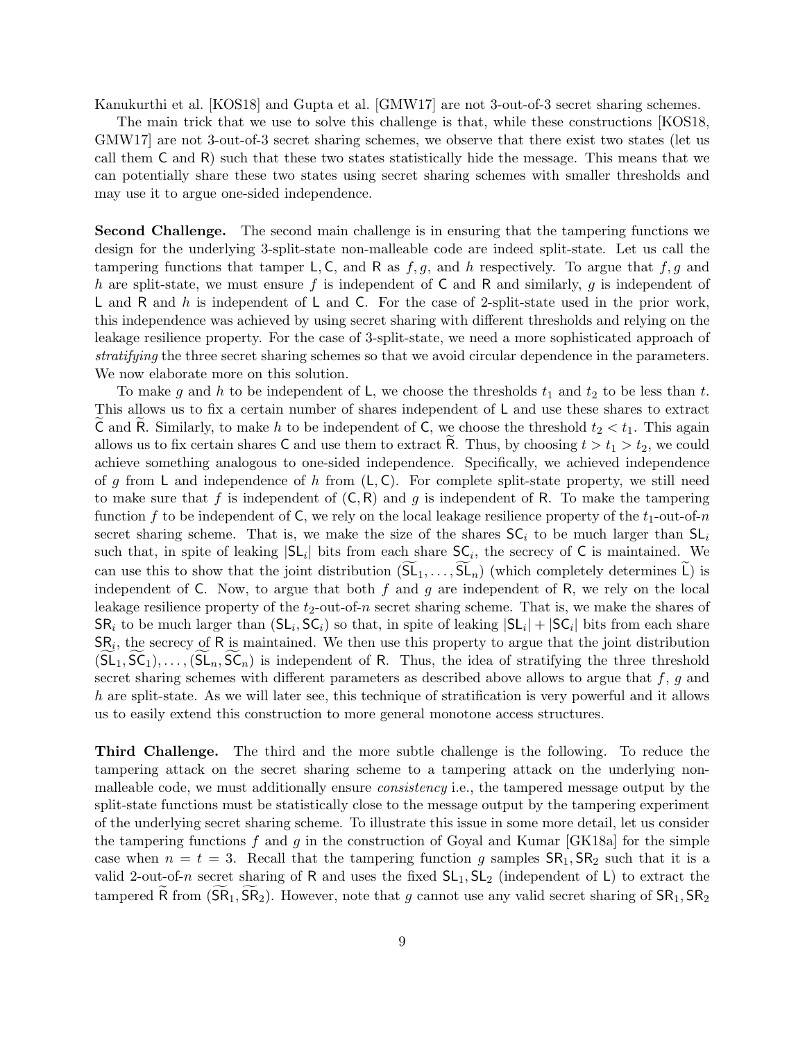Kanukurthi et al. [\[KOS18\]](#page-47-5) and Gupta et al. [\[GMW17\]](#page-46-4) are not 3-out-of-3 secret sharing schemes.

The main trick that we use to solve this challenge is that, while these constructions [\[KOS18,](#page-47-5) [GMW17\]](#page-46-4) are not 3-out-of-3 secret sharing schemes, we observe that there exist two states (let us call them C and R) such that these two states statistically hide the message. This means that we can potentially share these two states using secret sharing schemes with smaller thresholds and may use it to argue one-sided independence.

Second Challenge. The second main challenge is in ensuring that the tampering functions we design for the underlying 3-split-state non-malleable code are indeed split-state. Let us call the tampering functions that tamper L, C, and R as  $f, g$ , and h respectively. To argue that  $f, g$  and h are split-state, we must ensure f is independent of  $C$  and  $R$  and similarly, g is independent of L and R and h is independent of L and C. For the case of 2-split-state used in the prior work, this independence was achieved by using secret sharing with different thresholds and relying on the leakage resilience property. For the case of 3-split-state, we need a more sophisticated approach of stratifying the three secret sharing schemes so that we avoid circular dependence in the parameters. We now elaborate more on this solution.

To make g and h to be independent of L, we choose the thresholds  $t_1$  and  $t_2$  to be less than t. This allows us to fix a certain number of shares independent of L and use these shares to extract C and R. Similarly, to make h to be independent of C, we choose the threshold  $t_2 < t_1$ . This again allows us to fix certain shares C and use them to extract R. Thus, by choosing  $t > t_1 > t_2$ , we could achieve something analogous to one-sided independence. Specifically, we achieved independence of g from L and independence of h from  $(L, C)$ . For complete split-state property, we still need to make sure that f is independent of  $(C, R)$  and g is independent of R. To make the tampering function f to be independent of C, we rely on the local leakage resilience property of the  $t_1$ -out-of-n secret sharing scheme. That is, we make the size of the shares  $SC_i$  to be much larger than  $SL_i$ such that, in spite of leaking  $|\mathsf{SL}_i|$  bits from each share  $\mathsf{SC}_i$ , the secrecy of C is maintained. We can use this to show that the joint distribution  $(SL_1, \ldots, SL_n)$  (which completely determines  $\tilde{L}$ ) is independent of C. Now, to argue that both f and g are independent of R, we rely on the local leakage resilience property of the  $t_2$ -out-of-n secret sharing scheme. That is, we make the shares of  $\mathsf{SR}_i$  to be much larger than  $(\mathsf{SL}_i, \mathsf{SC}_i)$  so that, in spite of leaking  $|\mathsf{SL}_i| + |\mathsf{SC}_i|$  bits from each share  $\mathsf{SR}_i$ , the secrecy of R is maintained. We then use this property to argue that the joint distribution  $(SL_1, SC_1), \ldots, (SL_n, SC_n)$  is independent of R. Thus, the idea of stratifying the three threshold secret sharing schemes with different parameters as described above allows to argue that  $f, g$  and h are split-state. As we will later see, this technique of stratification is very powerful and it allows us to easily extend this construction to more general monotone access structures.

Third Challenge. The third and the more subtle challenge is the following. To reduce the tampering attack on the secret sharing scheme to a tampering attack on the underlying nonmalleable code, we must additionally ensure consistency i.e., the tampered message output by the split-state functions must be statistically close to the message output by the tampering experiment of the underlying secret sharing scheme. To illustrate this issue in some more detail, let us consider the tampering functions f and g in the construction of Goyal and Kumar  $[GK18a]$  for the simple case when  $n = t = 3$ . Recall that the tampering function g samples  $\mathsf{SR}_1, \mathsf{SR}_2$  such that it is a valid 2-out-of-n secret sharing of R and uses the fixed  $SL_1, SL_2$  (independent of L) to extract the tampered R from  $(SR_1, SR_2)$ . However, note that g cannot use any valid secret sharing of  $SR_1, SR_2$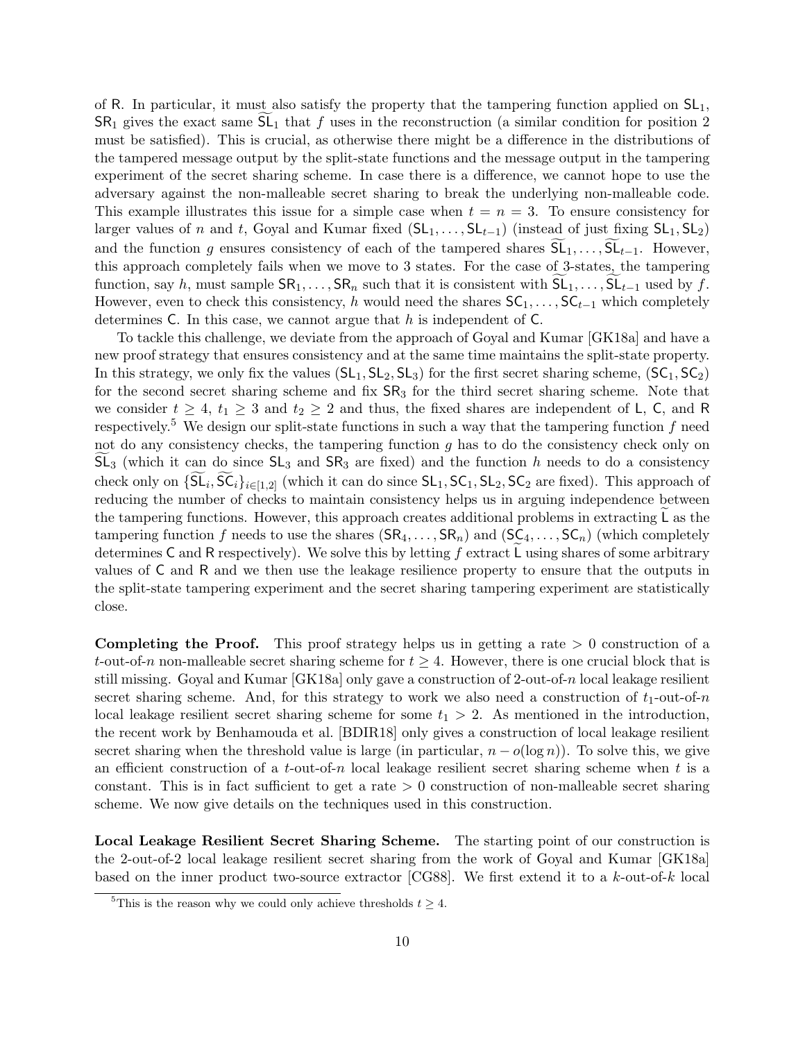of R. In particular, it must also satisfy the property that the tampering function applied on  $SL_1$ ,  $SR<sub>1</sub>$  gives the exact same  $SL<sub>1</sub>$  that f uses in the reconstruction (a similar condition for position 2 must be satisfied). This is crucial, as otherwise there might be a difference in the distributions of the tampered message output by the split-state functions and the message output in the tampering experiment of the secret sharing scheme. In case there is a difference, we cannot hope to use the adversary against the non-malleable secret sharing to break the underlying non-malleable code. This example illustrates this issue for a simple case when  $t = n = 3$ . To ensure consistency for larger values of n and t, Goyal and Kumar fixed  $(SL_1, \ldots, SL_{t-1})$  (instead of just fixing  $SL_1, SL_2$ ) and the function g ensures consistency of each of the tampered shares  $\overline{SL}_1, \ldots, \overline{SL}_{t-1}$ . However, this approach completely fails when we move to 3 states. For the case of 3-states, the tampering function, say h, must sample  $\text{SR}_1, \ldots, \text{SR}_n$  such that it is consistent with  $\text{SL}_1, \ldots, \text{SL}_{t-1}$  used by f. However, even to check this consistency, h would need the shares  $SC_1, \ldots, SC_{t-1}$  which completely determines  $C$ . In this case, we cannot argue that h is independent of  $C$ .

To tackle this challenge, we deviate from the approach of Goyal and Kumar [\[GK18a\]](#page-45-2) and have a new proof strategy that ensures consistency and at the same time maintains the split-state property. In this strategy, we only fix the values  $(SL_1, SL_2, SL_3)$  for the first secret sharing scheme,  $(SC_1, SC_2)$ for the second secret sharing scheme and fix  $SR<sub>3</sub>$  for the third secret sharing scheme. Note that we consider  $t \geq 4$ ,  $t_1 \geq 3$  and  $t_2 \geq 2$  and thus, the fixed shares are independent of L, C, and R respectively.<sup>[5](#page-9-0)</sup> We design our split-state functions in such a way that the tampering function  $f$  need not do any consistency checks, the tampering function  $g$  has to do the consistency check only on  $SL_3$  (which it can do since  $SL_3$  and  $SR_3$  are fixed) and the function h needs to do a consistency check only on  $\{S\mathsf{L}_i, \mathsf{SC}_i\}_{i\in[1,2]}$  (which it can do since  $\mathsf{SL}_1, \mathsf{SC}_1, \mathsf{SL}_2, \mathsf{SC}_2$  are fixed). This approach of reducing the number of checks to maintain consistency helps us in arguing independence between the tampering functions. However, this approach creates additional problems in extracting  $\mathsf{L}$  as the tampering function f needs to use the shares  $(SR_4, \ldots, SR_n)$  and  $(SC_4, \ldots, SC_n)$  (which completely determines C and R respectively). We solve this by letting  $f$  extract L using shares of some arbitrary values of C and R and we then use the leakage resilience property to ensure that the outputs in the split-state tampering experiment and the secret sharing tampering experiment are statistically close.

**Completing the Proof.** This proof strategy helps us in getting a rate  $> 0$  construction of a t-out-of-n non-malleable secret sharing scheme for  $t \geq 4$ . However, there is one crucial block that is still missing. Goyal and Kumar [\[GK18a\]](#page-45-2) only gave a construction of 2-out-of-n local leakage resilient secret sharing scheme. And, for this strategy to work we also need a construction of  $t_1$ -out-of-n local leakage resilient secret sharing scheme for some  $t_1 > 2$ . As mentioned in the introduction, the recent work by Benhamouda et al. [\[BDIR18\]](#page-43-10) only gives a construction of local leakage resilient secret sharing when the threshold value is large (in particular,  $n - o(\log n)$ ). To solve this, we give an efficient construction of a t-out-of-n local leakage resilient secret sharing scheme when t is a constant. This is in fact sufficient to get a rate  $> 0$  construction of non-malleable secret sharing scheme. We now give details on the techniques used in this construction.

Local Leakage Resilient Secret Sharing Scheme. The starting point of our construction is the 2-out-of-2 local leakage resilient secret sharing from the work of Goyal and Kumar [\[GK18a\]](#page-45-2) based on the inner product two-source extractor [\[CG88\]](#page-44-10). We first extend it to a  $k$ -out-of-k local

<span id="page-9-0"></span><sup>&</sup>lt;sup>5</sup>This is the reason why we could only achieve thresholds  $t > 4$ .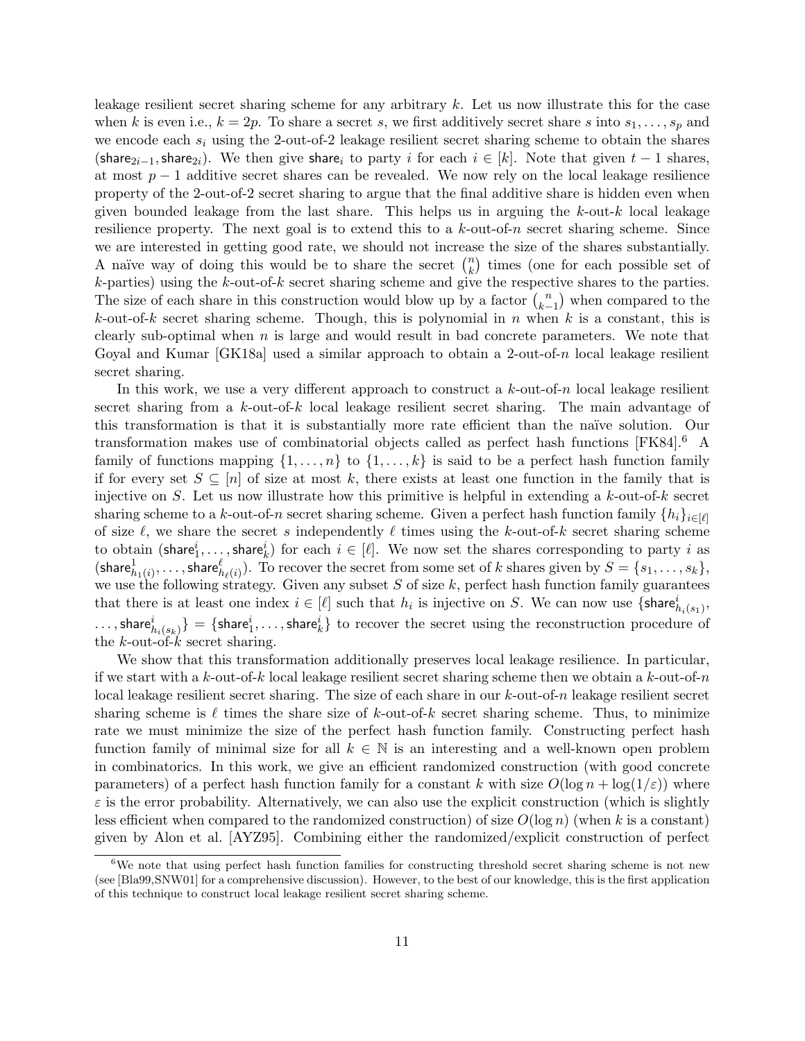leakage resilient secret sharing scheme for any arbitrary  $k$ . Let us now illustrate this for the case when k is even i.e.,  $k = 2p$ . To share a secret s, we first additively secret share s into  $s_1, \ldots, s_p$  and we encode each  $s_i$  using the 2-out-of-2 leakage resilient secret sharing scheme to obtain the shares (share<sub>2i−1</sub>, share<sub>2i</sub>). We then give share<sub>i</sub> to party i for each  $i \in [k]$ . Note that given  $t - 1$  shares, at most  $p-1$  additive secret shares can be revealed. We now rely on the local leakage resilience property of the 2-out-of-2 secret sharing to argue that the final additive share is hidden even when given bounded leakage from the last share. This helps us in arguing the  $k$ -out- $k$  local leakage resilience property. The next goal is to extend this to a  $k$ -out-of-n secret sharing scheme. Since we are interested in getting good rate, we should not increase the size of the shares substantially. A naïve way of doing this would be to share the secret  $\binom{n}{k}$  $\binom{n}{k}$  times (one for each possible set of k-parties) using the k-out-of-k secret sharing scheme and give the respective shares to the parties. The size of each share in this construction would blow up by a factor  $\binom{n}{k}$  $\binom{n}{k-1}$  when compared to the k-out-of-k secret sharing scheme. Though, this is polynomial in n when k is a constant, this is clearly sub-optimal when  $n$  is large and would result in bad concrete parameters. We note that Goyal and Kumar  $[GK18a]$  used a similar approach to obtain a 2-out-of-n local leakage resilient secret sharing.

In this work, we use a very different approach to construct a  $k$ -out-of-n local leakage resilient secret sharing from a k-out-of-k local leakage resilient secret sharing. The main advantage of this transformation is that it is substantially more rate efficient than the na¨ıve solution. Our transformation makes use of combinatorial objects called as perfect hash functions [\[FK84\]](#page-45-8).[6](#page-10-0) A family of functions mapping  $\{1, \ldots, n\}$  to  $\{1, \ldots, k\}$  is said to be a perfect hash function family if for every set  $S \subseteq [n]$  of size at most k, there exists at least one function in the family that is injective on S. Let us now illustrate how this primitive is helpful in extending a  $k$ -out-of- $k$  secret sharing scheme to a k-out-of-n secret sharing scheme. Given a perfect hash function family  $\{h_i\}_{i\in[\ell]}$ of size  $\ell$ , we share the secret s independently  $\ell$  times using the k-out-of-k secret sharing scheme to obtain (share $i_1, \ldots,$  share $i_k$ ) for each  $i \in [\ell]$ . We now set the shares corresponding to party i as  $(\mathsf{share}_{h_1(i)}^1, \ldots, \mathsf{share}_{h_\ell(i)}^\ell)$ . To recover the secret from some set of  $k$  shares given by  $S = \{s_1, \ldots, s_k\},$ we use the following strategy. Given any subset  $S$  of size  $k$ , perfect hash function family guarantees that there is at least one index  $i \in [\ell]$  such that  $h_i$  is injective on S. We can now use  $\{\textsf{share}_{h_i(s_1)}^i\}$ ,  $\ldots$  , share $i_{h_i(s_k)}\}=\{\textsf{share}_1^i,\ldots,\textsf{share}_k^i\}$  to recover the secret using the reconstruction procedure of the  $k$ -out-of- $k$  secret sharing.

We show that this transformation additionally preserves local leakage resilience. In particular, if we start with a k-out-of-k local leakage resilient secret sharing scheme then we obtain a k-out-of-n local leakage resilient secret sharing. The size of each share in our  $k$ -out-of-n leakage resilient secret sharing scheme is  $\ell$  times the share size of k-out-of-k secret sharing scheme. Thus, to minimize rate we must minimize the size of the perfect hash function family. Constructing perfect hash function family of minimal size for all  $k \in \mathbb{N}$  is an interesting and a well-known open problem in combinatorics. In this work, we give an efficient randomized construction (with good concrete parameters) of a perfect hash function family for a constant k with size  $O(\log n + \log(1/\varepsilon))$  where  $\varepsilon$  is the error probability. Alternatively, we can also use the explicit construction (which is slightly less efficient when compared to the randomized construction) of size  $O(\log n)$  (when k is a constant) given by Alon et al. [\[AYZ95\]](#page-43-12). Combining either the randomized/explicit construction of perfect

<span id="page-10-0"></span><sup>&</sup>lt;sup>6</sup>We note that using perfect hash function families for constructing threshold secret sharing scheme is not new (see [\[Bla99,](#page-44-11)[SNW01\]](#page-47-9) for a comprehensive discussion). However, to the best of our knowledge, this is the first application of this technique to construct local leakage resilient secret sharing scheme.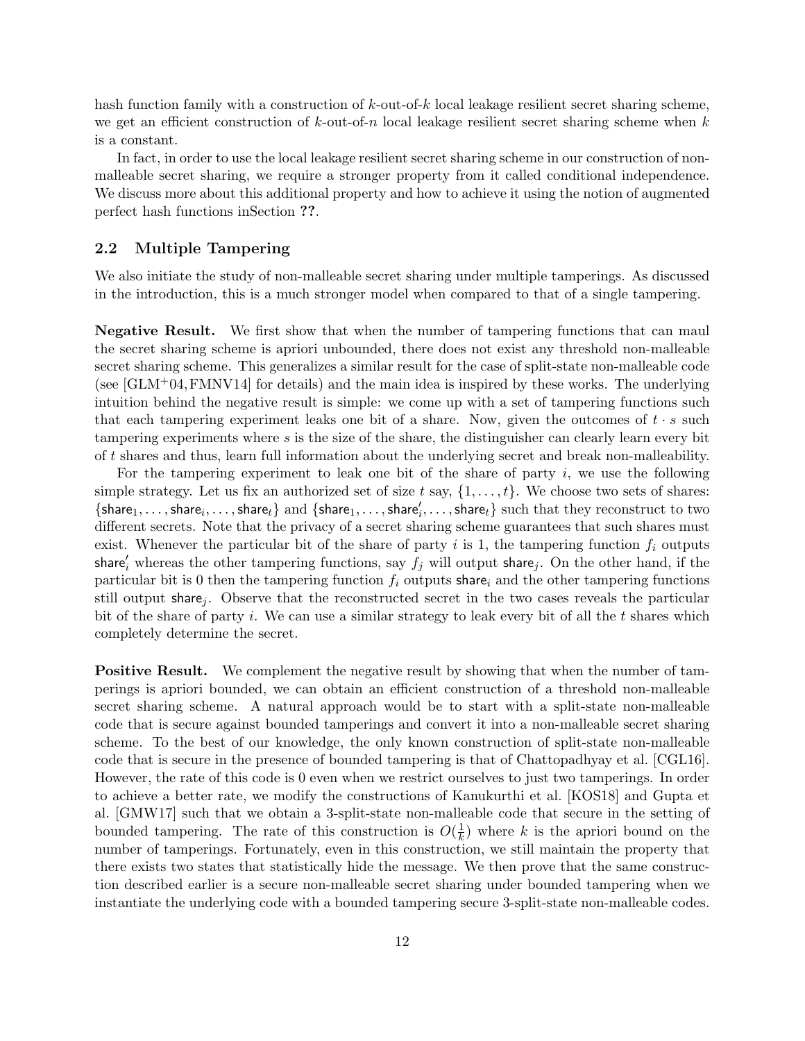hash function family with a construction of  $k$ -out-of-k local leakage resilient secret sharing scheme, we get an efficient construction of  $k$ -out-of-n local leakage resilient secret sharing scheme when  $k$ is a constant.

In fact, in order to use the local leakage resilient secret sharing scheme in our construction of nonmalleable secret sharing, we require a stronger property from it called conditional independence. We discuss more about this additional property and how to achieve it using the notion of augmented perfect hash functions inSection ??.

#### <span id="page-11-0"></span>2.2 Multiple Tampering

We also initiate the study of non-malleable secret sharing under multiple tamperings. As discussed in the introduction, this is a much stronger model when compared to that of a single tampering.

Negative Result. We first show that when the number of tampering functions that can maul the secret sharing scheme is apriori unbounded, there does not exist any threshold non-malleable secret sharing scheme. This generalizes a similar result for the case of split-state non-malleable code (see  $\lbrack GLM+04, FMNV14\rbrack$  for details) and the main idea is inspired by these works. The underlying intuition behind the negative result is simple: we come up with a set of tampering functions such that each tampering experiment leaks one bit of a share. Now, given the outcomes of  $t \cdot s$  such tampering experiments where  $s$  is the size of the share, the distinguisher can clearly learn every bit of t shares and thus, learn full information about the underlying secret and break non-malleability.

For the tampering experiment to leak one bit of the share of party  $i$ , we use the following simple strategy. Let us fix an authorized set of size t say,  $\{1, \ldots, t\}$ . We choose two sets of shares:  $\{share_1, \ldots, share_i, \ldots, share_t\}$  and  $\{share_1, \ldots, share_i', \ldots, share_t\}$  such that they reconstruct to two different secrets. Note that the privacy of a secret sharing scheme guarantees that such shares must exist. Whenever the particular bit of the share of party i is 1, the tampering function  $f_i$  outputs share'<sub>i</sub> whereas the other tampering functions, say  $f_j$  will output share<sub>j</sub>. On the other hand, if the particular bit is 0 then the tampering function  $f_i$  outputs share<sub>i</sub> and the other tampering functions still output share,. Observe that the reconstructed secret in the two cases reveals the particular bit of the share of party i. We can use a similar strategy to leak every bit of all the  $t$  shares which completely determine the secret.

Positive Result. We complement the negative result by showing that when the number of tamperings is apriori bounded, we can obtain an efficient construction of a threshold non-malleable secret sharing scheme. A natural approach would be to start with a split-state non-malleable code that is secure against bounded tamperings and convert it into a non-malleable secret sharing scheme. To the best of our knowledge, the only known construction of split-state non-malleable code that is secure in the presence of bounded tampering is that of Chattopadhyay et al. [\[CGL16\]](#page-44-8). However, the rate of this code is 0 even when we restrict ourselves to just two tamperings. In order to achieve a better rate, we modify the constructions of Kanukurthi et al. [\[KOS18\]](#page-47-5) and Gupta et al. [\[GMW17\]](#page-46-4) such that we obtain a 3-split-state non-malleable code that secure in the setting of bounded tampering. The rate of this construction is  $O(\frac{1}{k})$  $\frac{1}{k}$ ) where k is the apriori bound on the number of tamperings. Fortunately, even in this construction, we still maintain the property that there exists two states that statistically hide the message. We then prove that the same construction described earlier is a secure non-malleable secret sharing under bounded tampering when we instantiate the underlying code with a bounded tampering secure 3-split-state non-malleable codes.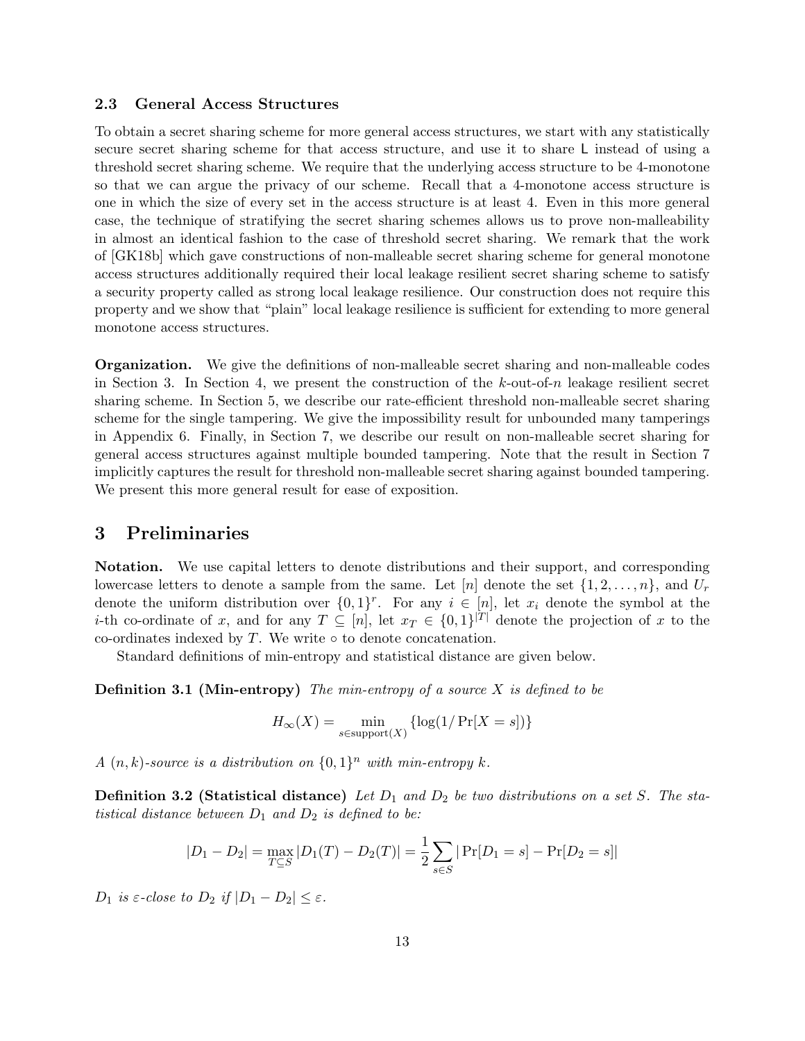#### <span id="page-12-0"></span>2.3 General Access Structures

To obtain a secret sharing scheme for more general access structures, we start with any statistically secure secret sharing scheme for that access structure, and use it to share L instead of using a threshold secret sharing scheme. We require that the underlying access structure to be 4-monotone so that we can argue the privacy of our scheme. Recall that a 4-monotone access structure is one in which the size of every set in the access structure is at least 4. Even in this more general case, the technique of stratifying the secret sharing schemes allows us to prove non-malleability in almost an identical fashion to the case of threshold secret sharing. We remark that the work of [\[GK18b\]](#page-45-3) which gave constructions of non-malleable secret sharing scheme for general monotone access structures additionally required their local leakage resilient secret sharing scheme to satisfy a security property called as strong local leakage resilience. Our construction does not require this property and we show that "plain" local leakage resilience is sufficient for extending to more general monotone access structures.

Organization. We give the definitions of non-malleable secret sharing and non-malleable codes in [Section 3.](#page-12-1) In [Section 4,](#page-17-0) we present the construction of the  $k$ -out-of-n leakage resilient secret sharing scheme. In [Section 5,](#page-26-0) we describe our rate-efficient threshold non-malleable secret sharing scheme for the single tampering. We give the impossibility result for unbounded many tamperings in Appendix [6.](#page-32-1) Finally, in [Section 7,](#page-33-1) we describe our result on non-malleable secret sharing for general access structures against multiple bounded tampering. Note that the result in [Section 7](#page-33-1) implicitly captures the result for threshold non-malleable secret sharing against bounded tampering. We present this more general result for ease of exposition.

## <span id="page-12-1"></span>3 Preliminaries

Notation. We use capital letters to denote distributions and their support, and corresponding lowercase letters to denote a sample from the same. Let  $[n]$  denote the set  $\{1, 2, \ldots, n\}$ , and  $U_r$ denote the uniform distribution over  $\{0,1\}^r$ . For any  $i \in [n]$ , let  $x_i$  denote the symbol at the *i*-th co-ordinate of x, and for any  $T \subseteq [n]$ , let  $x_T \in \{0,1\}^{|T|}$  denote the projection of x to the co-ordinates indexed by  $T$ . We write  $\circ$  to denote concatenation.

Standard definitions of min-entropy and statistical distance are given below.

**Definition 3.1 (Min-entropy)** The min-entropy of a source  $X$  is defined to be

$$
H_{\infty}(X) = \min_{s \in \text{support}(X)} \{ \log(1/\Pr[X=s]) \}
$$

A  $(n, k)$ -source is a distribution on  $\{0, 1\}^n$  with min-entropy k.

**Definition 3.2 (Statistical distance)** Let  $D_1$  and  $D_2$  be two distributions on a set S. The statistical distance between  $D_1$  and  $D_2$  is defined to be:

$$
|D_1 - D_2| = \max_{T \subseteq S} |D_1(T) - D_2(T)| = \frac{1}{2} \sum_{s \in S} |Pr[D_1 = s] - Pr[D_2 = s]|
$$

 $D_1$  is  $\varepsilon$ -close to  $D_2$  if  $|D_1 - D_2| \leq \varepsilon$ .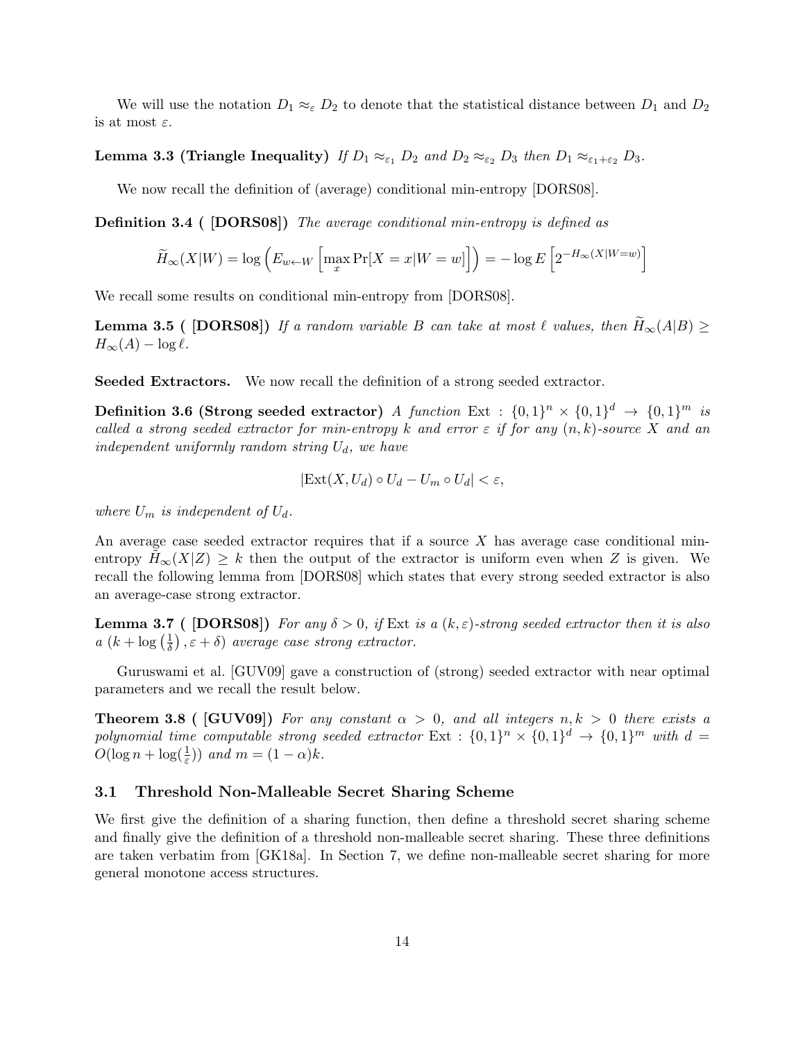We will use the notation  $D_1 \approx_{\varepsilon} D_2$  to denote that the statistical distance between  $D_1$  and  $D_2$ is at most  $\varepsilon$ .

### **Lemma 3.3 (Triangle Inequality)** If  $D_1 \approx_{\varepsilon_1} D_2$  and  $D_2 \approx_{\varepsilon_2} D_3$  then  $D_1 \approx_{\varepsilon_1 + \varepsilon_2} D_3$ .

We now recall the definition of (average) conditional min-entropy [\[DORS08\]](#page-45-9).

Definition 3.4 ( [\[DORS08\]](#page-45-9)) The average conditional min-entropy is defined as

$$
\widetilde{H}_{\infty}(X|W) = \log \left( E_{w \leftarrow W} \left[ \max_{x} \Pr[X = x|W = w] \right] \right) = -\log E \left[ 2^{-H_{\infty}(X|W=w)} \right]
$$

We recall some results on conditional min-entropy from [\[DORS08\]](#page-45-9).

**Lemma 3.5 (** [\[DORS08\]](#page-45-9)) If a random variable B can take at most  $\ell$  values, then  $H_{\infty}(A|B) \ge$  $H_{\infty}(A) - \log \ell.$ 

Seeded Extractors. We now recall the definition of a strong seeded extractor.

**Definition 3.6 (Strong seeded extractor)** A function Ext :  $\{0,1\}^n \times \{0,1\}^d$   $\rightarrow$   $\{0,1\}^m$  is called a strong seeded extractor for min-entropy k and error  $\varepsilon$  if for any  $(n, k)$ -source X and an independent uniformly random string  $U_d$ , we have

<span id="page-13-1"></span>
$$
|\text{Ext}(X, U_d) \circ U_d - U_m \circ U_d| < \varepsilon,
$$

where  $U_m$  is independent of  $U_d$ .

An average case seeded extractor requires that if a source  $X$  has average case conditional minentropy  $H_{\infty}(X|Z) \geq k$  then the output of the extractor is uniform even when Z is given. We recall the following lemma from [\[DORS08\]](#page-45-9) which states that every strong seeded extractor is also an average-case strong extractor.

**Lemma 3.7** ( [\[DORS08\]](#page-45-9)) For any  $\delta > 0$ , if Ext is a  $(k, \varepsilon)$ -strong seeded extractor then it is also  $a(k+\log(\frac{1}{\delta}))$  $(\frac{1}{\delta})$ ,  $\varepsilon + \delta$ ) average case strong extractor.

Guruswami et al. [\[GUV09\]](#page-46-8) gave a construction of (strong) seeded extractor with near optimal parameters and we recall the result below.

**Theorem 3.8 (** [\[GUV09\]](#page-46-8)) For any constant  $\alpha > 0$ , and all integers  $n, k > 0$  there exists a polynomial time computable strong seeded extractor  $Ext : \{0,1\}^n \times \{0,1\}^d \rightarrow \{0,1\}^m$  with  $d =$  $O(\log n + \log(\frac{1}{\varepsilon}))$  and  $m = (1 - \alpha)k$ .

#### <span id="page-13-0"></span>3.1 Threshold Non-Malleable Secret Sharing Scheme

We first give the definition of a sharing function, then define a threshold secret sharing scheme and finally give the definition of a threshold non-malleable secret sharing. These three definitions are taken verbatim from [\[GK18a\]](#page-45-2). In Section [7,](#page-33-1) we define non-malleable secret sharing for more general monotone access structures.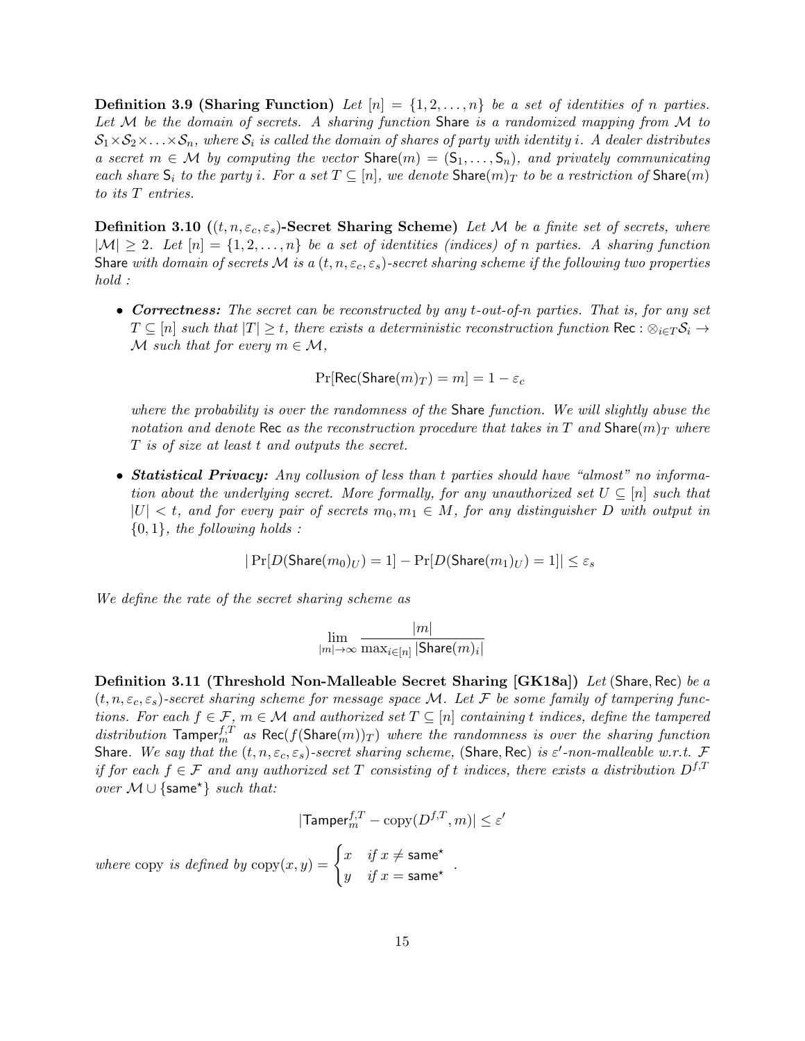**Definition 3.9 (Sharing Function)** Let  $[n] = \{1, 2, ..., n\}$  be a set of identities of n parties. Let M be the domain of secrets. A sharing function Share is a randomized mapping from M to  $S_1\times S_2\times\ldots\times S_n$ , where  $S_i$  is called the domain of shares of party with identity i. A dealer distributes a secret  $m \in \mathcal{M}$  by computing the vector  $\text{Share}(m) = (\mathsf{S}_1, \ldots, \mathsf{S}_n)$ , and privately communicating each share  $S_i$  to the party i. For a set  $T \subseteq [n]$ , we denote  $\text{Share}(m)_T$  to be a restriction of  $\text{Share}(m)$ to its T entries.

<span id="page-14-0"></span>**Definition 3.10**  $((t, n, \varepsilon_c, \varepsilon_s)$ -Secret Sharing Scheme) Let M be a finite set of secrets, where  $|M| \geq 2$ . Let  $[n] = \{1, 2, ..., n\}$  be a set of identities (indices) of n parties. A sharing function Share with domain of secrets M is a  $(t, n, \varepsilon_c, \varepsilon_s)$ -secret sharing scheme if the following two properties hold :

• Correctness: The secret can be reconstructed by any t-out-of-n parties. That is, for any set  $T \subseteq [n]$  such that  $|T| \geq t$ , there exists a deterministic reconstruction function Rec :  $\otimes_{i \in T} S_i \to$ M such that for every  $m \in \mathcal{M}$ ,

$$
\Pr[\mathsf{Rec}(\mathsf{Share}(m)_T)=m]=1-\varepsilon_c
$$

where the probability is over the randomness of the Share function. We will slightly abuse the notation and denote Rec as the reconstruction procedure that takes in T and Share $(m)_T$  where T is of size at least t and outputs the secret.

• Statistical Privacy: Any collusion of less than t parties should have "almost" no information about the underlying secret. More formally, for any unauthorized set  $U \subseteq [n]$  such that  $|U| < t$ , and for every pair of secrets  $m_0, m_1 \in M$ , for any distinguisher D with output in  $\{0, 1\}$ , the following holds :

$$
|\Pr[D(\text{Share}(m_0)_U) = 1] - \Pr[D(\text{Share}(m_1)_U) = 1]| \le \varepsilon_s
$$

We define the rate of the secret sharing scheme as

$$
\lim_{|m|\to\infty}\frac{|m|}{\max_{i\in[n]}|\text{Share}(m)_i|}
$$

<span id="page-14-1"></span>Definition 3.11 (Threshold Non-Malleable Secret Sharing [\[GK18a\]](#page-45-2)) Let (Share, Rec) be a  $(t, n, \varepsilon_c, \varepsilon_s)$ -secret sharing scheme for message space M. Let F be some family of tampering functions. For each  $f \in \mathcal{F}$ ,  $m \in \mathcal{M}$  and authorized set  $T \subseteq [n]$  containing t indices, define the tampered distribution  $\text{Tamper}_m^{f,T}$  as  $\text{Rec}(f(\text{Share}(m))_T)$  where the randomness is over the sharing function Share. We say that the  $(t, n, \varepsilon_c, \varepsilon_s)$ -secret sharing scheme, (Share, Rec) is  $\varepsilon'$ -non-malleable w.r.t. F if for each  $f \in \mathcal{F}$  and any authorized set T consisting of t indices, there exists a distribution  $D^{f,T}$ *over*  $M \cup \{same^{\star}\}$  *such that:* 

$$
|\textsf{Tamper}_m^{f,T} - \text{copy}(D^{f,T},m)| \le \varepsilon'
$$

where copy is defined by  $\text{copy}(x, y) = \begin{cases} x & \text{if } x \neq \textsf{same}^{\star} \\ 0 & \text{if } y \neq \textsf{some} \end{cases}$  $\begin{array}{ll} x & y & x \ y & \text{if } x = \textsf{same}^{\star} \end{array}$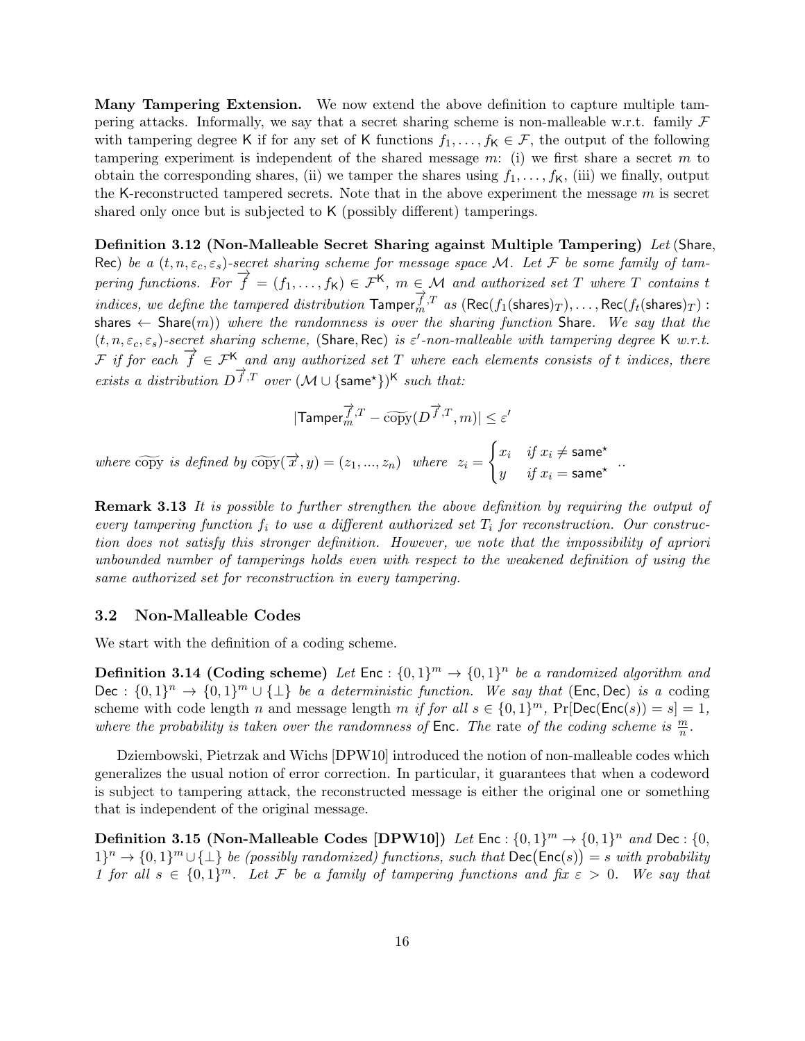Many Tampering Extension. We now extend the above definition to capture multiple tampering attacks. Informally, we say that a secret sharing scheme is non-malleable w.r.t. family  $\mathcal F$ with tampering degree K if for any set of K functions  $f_1, \ldots, f_K \in \mathcal{F}$ , the output of the following tampering experiment is independent of the shared message  $m$ : (i) we first share a secret  $m$  to obtain the corresponding shares, (ii) we tamper the shares using  $f_1, \ldots, f_K$ , (iii) we finally, output the K-reconstructed tampered secrets. Note that in the above experiment the message  $m$  is secret shared only once but is subjected to K (possibly different) tamperings.

Definition 3.12 (Non-Malleable Secret Sharing against Multiple Tampering) Let (Share, Rec) be a  $(t, n, \varepsilon_c, \varepsilon_s)$ -secret sharing scheme for message space M. Let F be some family of tampering functions. For  $\overrightarrow{f} = (f_1, \ldots, f_K) \in \mathcal{F}^K$ ,  $m \in \mathcal{M}$  and authorized set T where T contains t indices, we define the tampered distribution  $\overrightarrow{T}_{m}$ ,  $\overrightarrow{T}$  as  $(\text{Rec}(f_1(\text{shares})_T), \ldots, \text{Rec}(f_t(\text{shares})_T)$ : shares  $\leftarrow$  Share(m)) where the randomness is over the sharing function Share. We say that the  $(t, n, \varepsilon_c, \varepsilon_s)$ -secret sharing scheme, (Share, Rec) is  $\varepsilon'$ -non-malleable with tampering degree K w.r.t. F if for each  $\overrightarrow{f} \in \mathcal{F}^{\mathsf{K}}$  and any authorized set T where each elements consists of t indices, there exists a distribution  $D^f$ ,  $\overline{T}$  over  $(M \cup \{same^*\})^K$  such that:

$$
| \mathsf{Tamper}_m^{\overrightarrow{f},T} - \widetilde{\operatorname{copy}}(D^{\overrightarrow{f},T},m) | \leq \varepsilon'
$$

where copy is defined by  $\widetilde{\text{copy}}(\overrightarrow{x}, y) = (z_1, ..., z_n)$  where  $z_i = \begin{cases} x_i & \text{if } x_i \neq \textsf{same}^\star \\ y & \text{if } x_i = \textsf{same}^\star \end{cases}$  $y$  if  $x_i = \text{same}^*$  .

Remark 3.13 It is possible to further strengthen the above definition by requiring the output of every tampering function  $f_i$  to use a different authorized set  $T_i$  for reconstruction. Our construction does not satisfy this stronger definition. However, we note that the impossibility of apriori unbounded number of tamperings holds even with respect to the weakened definition of using the same authorized set for reconstruction in every tampering.

#### <span id="page-15-0"></span>3.2 Non-Malleable Codes

We start with the definition of a coding scheme.

**Definition 3.14 (Coding scheme)** Let  $\text{Enc} : \{0,1\}^m \rightarrow \{0,1\}^n$  be a randomized algorithm and Dec :  $\{0,1\}^n \to \{0,1\}^m \cup \{\perp\}$  be a deterministic function. We say that (Enc, Dec) is a coding scheme with code length n and message length m if for all  $s \in \{0,1\}^m$ ,  $Pr[Dec(Enc(s)) = s] = 1$ , where the probability is taken over the randomness of Enc. The rate of the coding scheme is  $\frac{m}{n}$ .

Dziembowski, Pietrzak and Wichs [\[DPW10\]](#page-45-4) introduced the notion of non-malleable codes which generalizes the usual notion of error correction. In particular, it guarantees that when a codeword is subject to tampering attack, the reconstructed message is either the original one or something that is independent of the original message.

**Definition 3.15 (Non-Malleable Codes [\[DPW10\]](#page-45-4))** Let Enc :  $\{0,1\}^m \rightarrow \{0,1\}^n$  and Dec :  $\{0,0\}$  $1\}^{n} \rightarrow \{0,1\}^{m} \cup \{\perp\}$  be (possibly randomized) functions, such that  $\mathsf{Dec}(\mathsf{Enc}(s)) = s$  with probability 1 for all  $s \in \{0,1\}^m$ . Let F be a family of tampering functions and fix  $\varepsilon > 0$ . We say that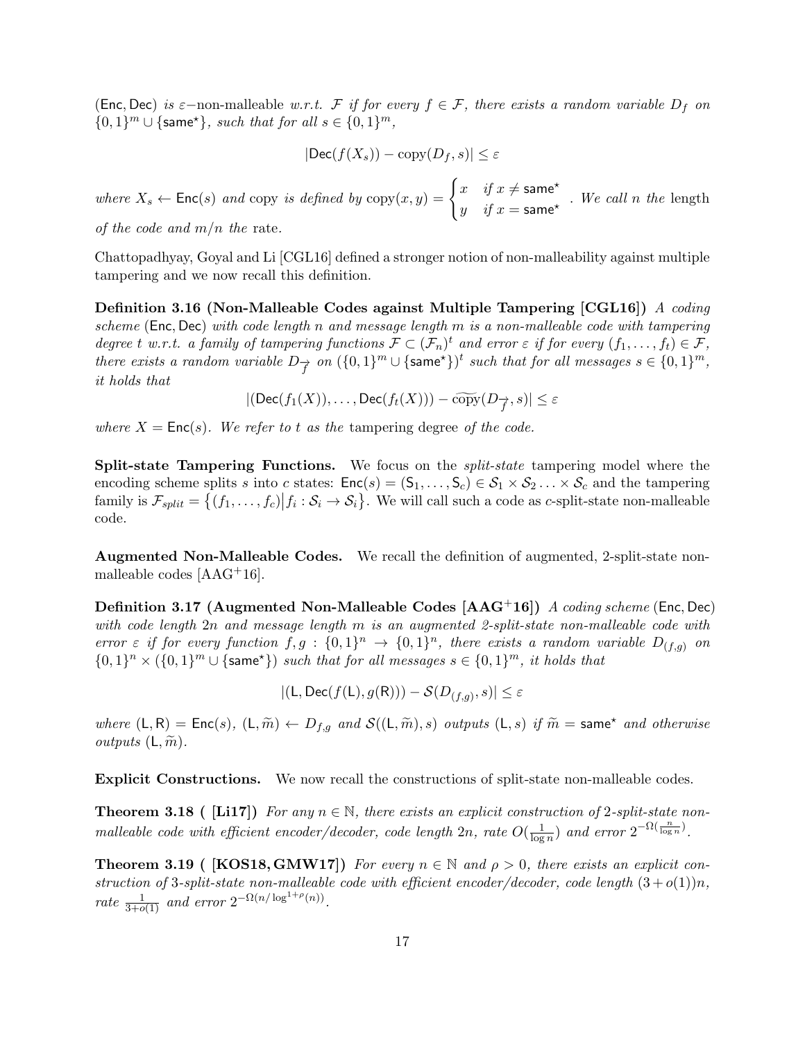(Enc, Dec) is  $\varepsilon$ -non-malleable w.r.t. F if for every  $f \in \mathcal{F}$ , there exists a random variable  $D_f$  on  $\{0,1\}^m \cup \{\text{same}^*\}, \text{ such that for all } s \in \{0,1\}^m,$ 

$$
|\text{Dec}(f(X_s)) - \text{copy}(D_f, s)| \le \varepsilon
$$

where  $X_s \leftarrow \mathsf{Enc}(s)$  and copy is defined by  $\text{copy}(x, y) = \begin{cases} x & \text{if } x \neq \mathsf{same}^{\star} \\ y & \text{if } y \neq \mathsf{same} \end{cases}$  $y$  if  $x = \textsf{same}^*$ . We call n the length

of the code and  $m/n$  the rate.

Chattopadhyay, Goyal and Li [\[CGL16\]](#page-44-8) defined a stronger notion of non-malleability against multiple tampering and we now recall this definition.

Definition 3.16 (Non-Malleable Codes against Multiple Tampering [\[CGL16\]](#page-44-8)) A coding scheme (Enc, Dec) with code length n and message length  $m$  is a non-malleable code with tampering degree t w.r.t. a family of tampering functions  $\mathcal{F} \subset (\mathcal{F}_n)^t$  and error  $\varepsilon$  if for every  $(f_1, \ldots, f_t) \in \mathcal{F}$ , there exists a random variable  $D_{\overrightarrow{f}}$  on  $(\{0,1\}^m \cup {\{\textsf{same}^{\star}\}})^t$  such that for all messages  $s \in \{0,1\}^m$ , it holds that

$$
|(\mathsf{Dec}(f_1(X)),\ldots,\mathsf{Dec}(f_t(X))) - \widetilde{\mathrm{copy}}(D_{\overrightarrow{f}},s)| \leq \varepsilon
$$

where  $X = \text{Enc}(s)$ . We refer to t as the tampering degree of the code.

Split-state Tampering Functions. We focus on the *split-state* tampering model where the encoding scheme splits s into c states:  $Enc(s) = (S_1, \ldots, S_c) \in S_1 \times S_2 \ldots \times S_c$  and the tampering family is  $\mathcal{F}_{split} = \{(f_1, \ldots, f_c) | f_i : \mathcal{S}_i \to \mathcal{S}_i\}$ . We will call such a code as *c*-split-state non-malleable code.

Augmented Non-Malleable Codes. We recall the definition of augmented, 2-split-state nonmalleable codes [\[AAG](#page-43-5)+16].

<span id="page-16-1"></span>Definition 3.17 (Augmented Non-Malleable Codes [\[AAG](#page-43-5)<sup>+</sup>16]) A coding scheme (Enc, Dec) with code length  $2n$  and message length m is an augmented 2-split-state non-malleable code with error  $\varepsilon$  if for every function  $f, g : \{0,1\}^n \to \{0,1\}^n$ , there exists a random variable  $D_{(f,g)}$  on  $\{0,1\}^n \times (\{0,1\}^m \cup {\text{same*}}\})$  such that for all messages  $s \in \{0,1\}^m$ , it holds that

 $|(\mathsf{L}, \mathsf{Dec}(f(\mathsf{L}), g(\mathsf{R}))) - \mathcal{S}(D_{(f,g)}, s)| \leq \varepsilon$ 

where  $(L, R) = \text{Enc}(s)$ ,  $(L, \widetilde{m}) \leftarrow D_{f,g}$  and  $\mathcal{S}((L, \widetilde{m}), s)$  outputs  $(L, s)$  if  $\widetilde{m} = \text{same}^{\star}$  and otherwise *outputs*  $(L, \widetilde{m})$ .

Explicit Constructions. We now recall the constructions of split-state non-malleable codes.

**Theorem 3.18 (** [\[Li17\]](#page-47-4)) For any  $n \in \mathbb{N}$ , there exists an explicit construction of 2-split-state nonmalleable code with efficient encoder/decoder, code length  $2n$ , rate  $O(\frac{1}{\log n})$  $\frac{1}{\log n}$ ) and error  $2^{-\Omega(\frac{n}{\log n})}$ .

<span id="page-16-0"></span>**Theorem 3.19 (** [\[KOS18,](#page-47-5) [GMW17\]](#page-46-4)) For every  $n \in \mathbb{N}$  and  $\rho > 0$ , there exists an explicit construction of 3-split-state non-malleable code with efficient encoder/decoder, code length  $(3+o(1))n$ , rate  $\frac{1}{3+o(1)}$  and error  $2^{-\Omega(n/\log^{1+\rho}(n))}$ .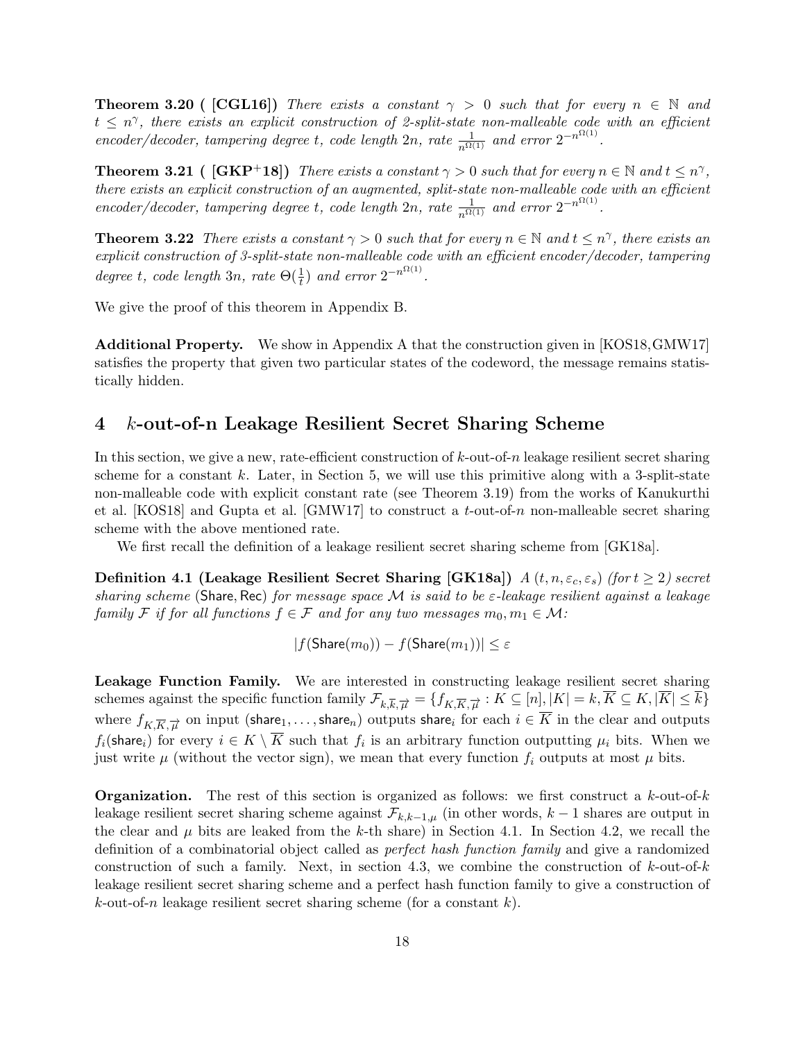**Theorem 3.20 ( [\[CGL16\]](#page-44-8))** There exists a constant  $\gamma > 0$  such that for every  $n \in \mathbb{N}$  and  $t \leq n^{\gamma}$ , there exists an explicit construction of 2-split-state non-malleable code with an efficient encoder/decoder, tampering degree t, code length  $2n$ , rate  $\frac{1}{n^{\Omega(1)}}$  and error  $2^{-n^{\Omega(1)}}$ .

<span id="page-17-3"></span>**Theorem 3.21** (  $[\text{GKP+18}]$ ) There exists a constant  $\gamma > 0$  such that for every  $n \in \mathbb{N}$  and  $t \leq n^{\gamma}$ , there exists an explicit construction of an augmented, split-state non-malleable code with an efficient encoder/decoder, tampering degree t, code length  $2n$ , rate  $\frac{1}{n^{\Omega(1)}}$  and error  $2^{-n^{\Omega(1)}}$ .

<span id="page-17-2"></span>**Theorem 3.22** There exists a constant  $\gamma > 0$  such that for every  $n \in \mathbb{N}$  and  $t \leq n^{\gamma}$ , there exists an explicit construction of 3-split-state non-malleable code with an efficient encoder/decoder, tampering degree t, code length 3n, rate  $\Theta(\frac{1}{t})$  and error  $2^{-n^{\Omega(1)}}$ .

We give the proof of this theorem in Appendix [B.](#page-49-0)

Additional Property. We show in Appendix [A](#page-47-0) that the construction given in [\[KOS18,](#page-47-5)[GMW17\]](#page-46-4) satisfies the property that given two particular states of the codeword, the message remains statistically hidden.

## <span id="page-17-0"></span>4 k-out-of-n Leakage Resilient Secret Sharing Scheme

In this section, we give a new, rate-efficient construction of  $k$ -out-of-n leakage resilient secret sharing scheme for a constant  $k$ . Later, in Section [5,](#page-26-0) we will use this primitive along with a 3-split-state non-malleable code with explicit constant rate (see Theorem [3.19\)](#page-16-0) from the works of Kanukurthi et al. [\[KOS18\]](#page-47-5) and Gupta et al. [\[GMW17\]](#page-46-4) to construct a t-out-of-n non-malleable secret sharing scheme with the above mentioned rate.

We first recall the definition of a leakage resilient secret sharing scheme from [\[GK18a\]](#page-45-2).

<span id="page-17-1"></span>**Definition 4.1 (Leakage Resilient Secret Sharing [\[GK18a\]](#page-45-2))**  $A(t, n, \varepsilon_c, \varepsilon_s)$  (for  $t \ge 2$ ) secret sharing scheme (Share, Rec) for message space  $M$  is said to be  $\varepsilon$ -leakage resilient against a leakage family F if for all functions  $f \in \mathcal{F}$  and for any two messages  $m_0, m_1 \in \mathcal{M}$ :

$$
|f(\mathsf{Share}(m_0))-f(\mathsf{Share}(m_1))|\leq \varepsilon
$$

Leakage Function Family. We are interested in constructing leakage resilient secret sharing schemes against the specific function family  $\mathcal{F}_{k,\overline{k},\overrightarrow{\mu}} = \{f_{K,\overline{K},\overrightarrow{\mu}} : K \subseteq [n], |K| = k, K \subseteq K, |K| \leq k\}$ where  $f_{K,\overline{K},\overrightarrow{\mu}}$  on input (share $_1,\ldots,$ share $_n)$  outputs share $_i$  for each  $i\in K$  in the clear and outputs  $f_i(\text{share}_i)$  for every  $i \in K \setminus K$  such that  $f_i$  is an arbitrary function outputting  $\mu_i$  bits. When we just write  $\mu$  (without the vector sign), we mean that every function  $f_i$  outputs at most  $\mu$  bits.

**Organization.** The rest of this section is organized as follows: we first construct a  $k$ -out-of- $k$ leakage resilient secret sharing scheme against  $\mathcal{F}_{k,k-1,\mu}$  (in other words,  $k-1$  shares are output in the clear and  $\mu$  bits are leaked from the k-th share) in Section [4.1.](#page-18-0) In Section [4.2,](#page-19-0) we recall the definition of a combinatorial object called as perfect hash function family and give a randomized construction of such a family. Next, in section [4.3,](#page-20-0) we combine the construction of  $k$ -out-of-k leakage resilient secret sharing scheme and a perfect hash function family to give a construction of  $k$ -out-of-n leakage resilient secret sharing scheme (for a constant  $k$ ).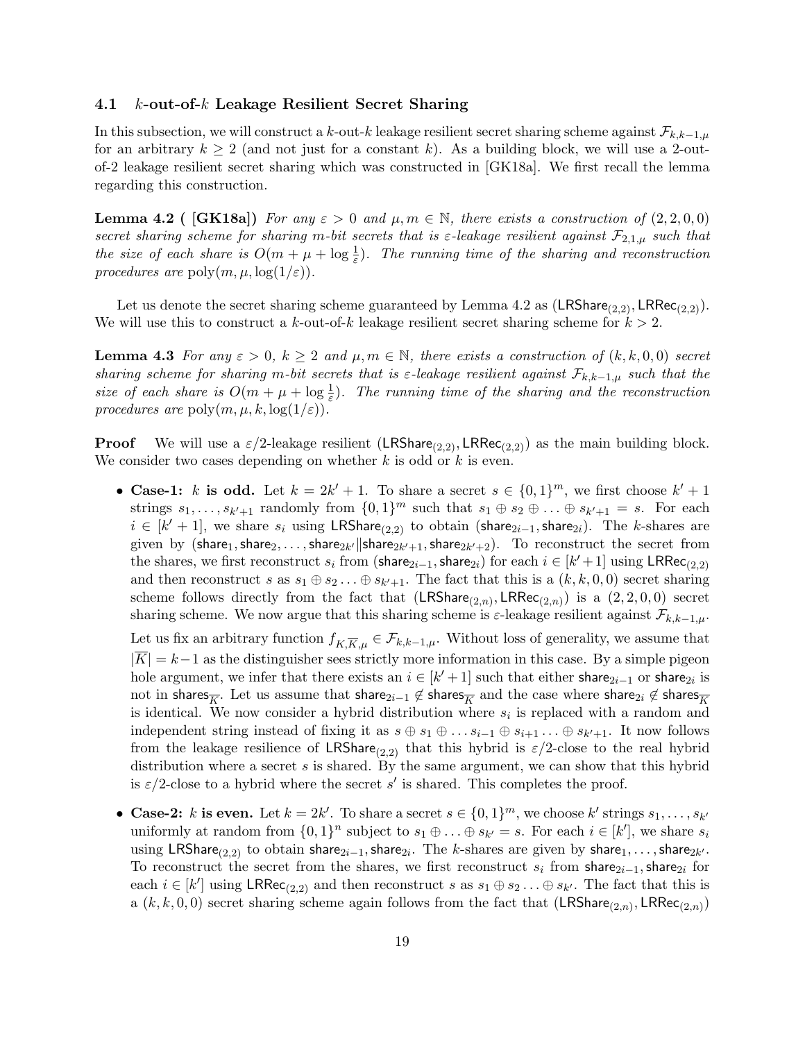#### <span id="page-18-0"></span>4.1 k-out-of-k Leakage Resilient Secret Sharing

In this subsection, we will construct a k-out-k leakage resilient secret sharing scheme against  $\mathcal{F}_{k,k-1,\mu}$ for an arbitrary  $k \geq 2$  (and not just for a constant k). As a building block, we will use a 2-outof-2 leakage resilient secret sharing which was constructed in [\[GK18a\]](#page-45-2). We first recall the lemma regarding this construction.

<span id="page-18-1"></span>**Lemma 4.2** ( [\[GK18a\]](#page-45-2)) For any  $\varepsilon > 0$  and  $\mu, m \in \mathbb{N}$ , there exists a construction of  $(2, 2, 0, 0)$ secret sharing scheme for sharing m-bit secrets that is  $\varepsilon$ -leakage resilient against  $\mathcal{F}_{2,1,\mu}$  such that the size of each share is  $O(m + \mu + \log \frac{1}{\varepsilon})$ . The running time of the sharing and reconstruction procedures are  $\text{poly}(m, \mu, \log(1/\varepsilon))$ .

Let us denote the secret sharing scheme guaranteed by Lemma [4.2](#page-18-1) as  $(LRShare_{(2,2)}, LRRec_{(2,2)}).$ We will use this to construct a k-out-of-k leakage resilient secret sharing scheme for  $k > 2$ .

<span id="page-18-2"></span>**Lemma 4.3** For any  $\varepsilon > 0$ ,  $k \geq 2$  and  $\mu, m \in \mathbb{N}$ , there exists a construction of  $(k, k, 0, 0)$  secret sharing scheme for sharing m-bit secrets that is  $\varepsilon$ -leakage resilient against  $\mathcal{F}_{k,k-1,\mu}$  such that the size of each share is  $O(m + \mu + \log \frac{1}{\varepsilon})$ . The running time of the sharing and the reconstruction procedures are  $\text{poly}(m, \mu, k, \log(1/\varepsilon)).$ 

**Proof** We will use a  $\varepsilon/2$ -leakage resilient (LRShare<sub>(2,2)</sub>, LRRec<sub>(2,2)</sub>) as the main building block. We consider two cases depending on whether  $k$  is odd or  $k$  is even.

• Case-1: k is odd. Let  $k = 2k' + 1$ . To share a secret  $s \in \{0,1\}^m$ , we first choose  $k' + 1$ . strings  $s_1, \ldots, s_{k'+1}$  randomly from  $\{0,1\}^m$  such that  $s_1 \oplus s_2 \oplus \ldots \oplus s_{k'+1} = s$ . For each  $i \in [k'+1]$ , we share  $s_i$  using LRShare<sub>(2,2)</sub> to obtain (share<sub>2i-1</sub>, share<sub>2i</sub>). The k-shares are given by  $(\mathsf{share}_1, \mathsf{share}_2, \dots, \mathsf{share}_{2k'} \| \mathsf{share}_{2k'+1}, \mathsf{share}_{2k'+2}).$  To reconstruct the secret from the shares, we first reconstruct  $s_i$  from (share<sub>2i-1</sub>, share<sub>2i</sub>) for each  $i \in [k'+1]$  using LRRec<sub>(2,2)</sub> and then reconstruct s as  $s_1 \oplus s_2 \ldots \oplus s_{k'+1}$ . The fact that this is a  $(k, k, 0, 0)$  secret sharing scheme follows directly from the fact that  $(LRShare_{(2,n)}, LRRec_{(2,n)})$  is a  $(2, 2, 0, 0)$  secret sharing scheme. We now argue that this sharing scheme is  $\varepsilon$ -leakage resilient against  $\mathcal{F}_{k,k-1,\mu}$ .

Let us fix an arbitrary function  $f_{K,\overline{K},\mu} \in \mathcal{F}_{k,k-1,\mu}$ . Without loss of generality, we assume that  $|\overline{K}| = k-1$  as the distinguisher sees strictly more information in this case. By a simple pigeon hole argument, we infer that there exists an  $i \in [k'+1]$  such that either share<sub>2i-1</sub> or share<sub>2i</sub> is not in shares<sub>K</sub>. Let us assume that share<sub>2i-1</sub>  $\notin$  shares<sub>K</sub> and the case where share<sub>2i</sub>  $\notin$  shares<sub>K</sub> is identical. We now consider a hybrid distribution where  $s_i$  is replaced with a random and independent string instead of fixing it as  $s \oplus s_1 \oplus \ldots s_{i-1} \oplus s_{i+1} \ldots \oplus s_{k'+1}$ . It now follows from the leakage resilience of LRShare<sub>(2,2)</sub> that this hybrid is  $\varepsilon/2$ -close to the real hybrid distribution where a secret s is shared. By the same argument, we can show that this hybrid is  $\varepsilon/2$ -close to a hybrid where the secret s' is shared. This completes the proof.

• Case-2: k is even. Let  $k = 2k'$ . To share a secret  $s \in \{0,1\}^m$ , we choose k' strings  $s_1, \ldots, s_{k'}$ uniformly at random from  $\{0,1\}^n$  subject to  $s_1 \oplus \ldots \oplus s_{k'} = s$ . For each  $i \in [k']$ , we share  $s_i$ using LRShare<sub>(2,2)</sub> to obtain share<sub>2i−1</sub>, share<sub>2i</sub>. The k-shares are given by share<sub>1</sub>, . . . , share<sub>2k'</sub>. To reconstruct the secret from the shares, we first reconstruct  $s_i$  from share<sub>2i-1</sub>, share<sub>2i</sub> for each  $i \in [k']$  using  $LRRec_{(2,2)}$  and then reconstruct s as  $s_1 \oplus s_2 \ldots \oplus s_{k'}$ . The fact that this is a  $(k, k, 0, 0)$  secret sharing scheme again follows from the fact that  $(\mathsf{LRShare}_{(2,n)}, \mathsf{LRRec}_{(2,n)})$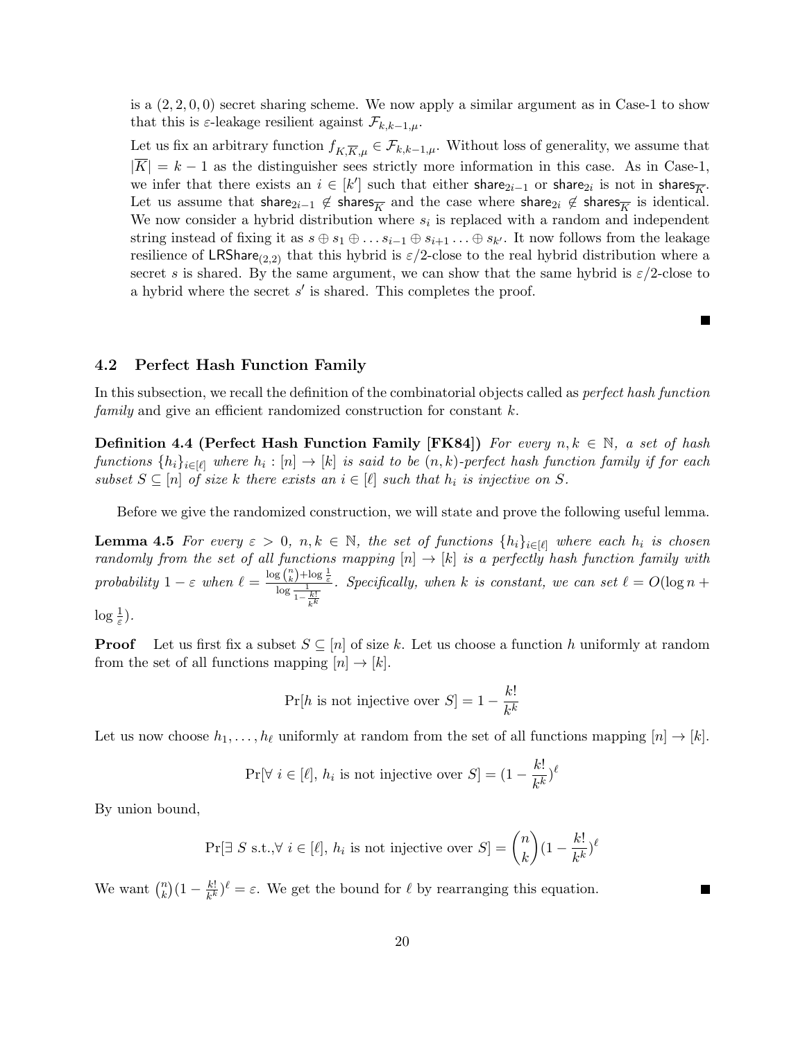is a  $(2, 2, 0, 0)$  secret sharing scheme. We now apply a similar argument as in Case-1 to show that this is  $\varepsilon$ -leakage resilient against  $\mathcal{F}_{k,k-1,\mu}$ .

Let us fix an arbitrary function  $f_{K,\overline{K},\mu} \in \mathcal{F}_{k,k-1,\mu}$ . Without loss of generality, we assume that  $|\overline{K}| = k - 1$  as the distinguisher sees strictly more information in this case. As in Case-1, we infer that there exists an  $i \in [k']$  such that either share<sub>2i-1</sub> or share<sub>2i</sub> is not in shares<sub>K</sub>. Let us assume that share<sub>2i-1</sub>  $\notin$  shares<sub>K</sub> and the case where share<sub>2i</sub>  $\notin$  shares<sub>K</sub> is identical. We now consider a hybrid distribution where  $s_i$  is replaced with a random and independent string instead of fixing it as  $s \oplus s_1 \oplus \ldots s_{i-1} \oplus s_{i+1} \ldots \oplus s_{k'}$ . It now follows from the leakage resilience of LRShare<sub>(2,2)</sub> that this hybrid is  $\varepsilon/2$ -close to the real hybrid distribution where a secret s is shared. By the same argument, we can show that the same hybrid is  $\varepsilon/2$ -close to a hybrid where the secret  $s'$  is shared. This completes the proof.

<span id="page-19-1"></span>L.

## <span id="page-19-0"></span>4.2 Perfect Hash Function Family

In this subsection, we recall the definition of the combinatorial objects called as *perfect hash function* family and give an efficient randomized construction for constant k.

**Definition 4.4 (Perfect Hash Function Family [\[FK84\]](#page-45-8))** For every  $n, k \in \mathbb{N}$ , a set of hash  $functions \{h_i\}_{i\in[\ell]}$  where  $h_i: [n] \to [k]$  is said to be  $(n, k)$ -perfect hash function family if for each subset  $S \subseteq [n]$  of size k there exists an  $i \in [\ell]$  such that  $h_i$  is injective on S.

Before we give the randomized construction, we will state and prove the following useful lemma.

**Lemma 4.5** For every  $\varepsilon > 0$ ,  $n, k \in \mathbb{N}$ , the set of functions  $\{h_i\}_{i \in [\ell]}$  where each  $h_i$  is chosen randomly from the set of all functions mapping  $[n] \rightarrow [k]$  is a perfectly hash function family with probability  $1 - \varepsilon$  when  $\ell = \frac{\log {n \choose k} + \log \frac{1}{\varepsilon}}{\log \frac{1}{1 - \frac{k!}{k^k}}}$ . Specifically, when k is constant, we can set  $\ell = O(\log n + \ell)$ 

 $\log \frac{1}{\varepsilon}$ ).

**Proof** Let us first fix a subset  $S \subseteq [n]$  of size k. Let us choose a function h uniformly at random from the set of all functions mapping  $[n] \rightarrow [k]$ .

$$
Pr[h \text{ is not injective over } S] = 1 - \frac{k!}{k^k}
$$

Let us now choose  $h_1, \ldots, h_\ell$  uniformly at random from the set of all functions mapping  $[n] \to [k]$ .

$$
\Pr[\forall i \in [\ell], h_i \text{ is not injective over } S] = (1 - \frac{k!}{k^k})^{\ell}
$$

By union bound,

$$
\Pr[\exists S \text{ s.t.}, \forall i \in [\ell], h_i \text{ is not injective over } S] = \binom{n}{k} (1 - \frac{k!}{k^k})^{\ell}
$$

We want  $\binom{n}{k}$  $\binom{n}{k}(1-\frac{k!}{k^k})$  $\frac{k!}{k^k}$ ) $\ell = \varepsilon$ . We get the bound for  $\ell$  by rearranging this equation.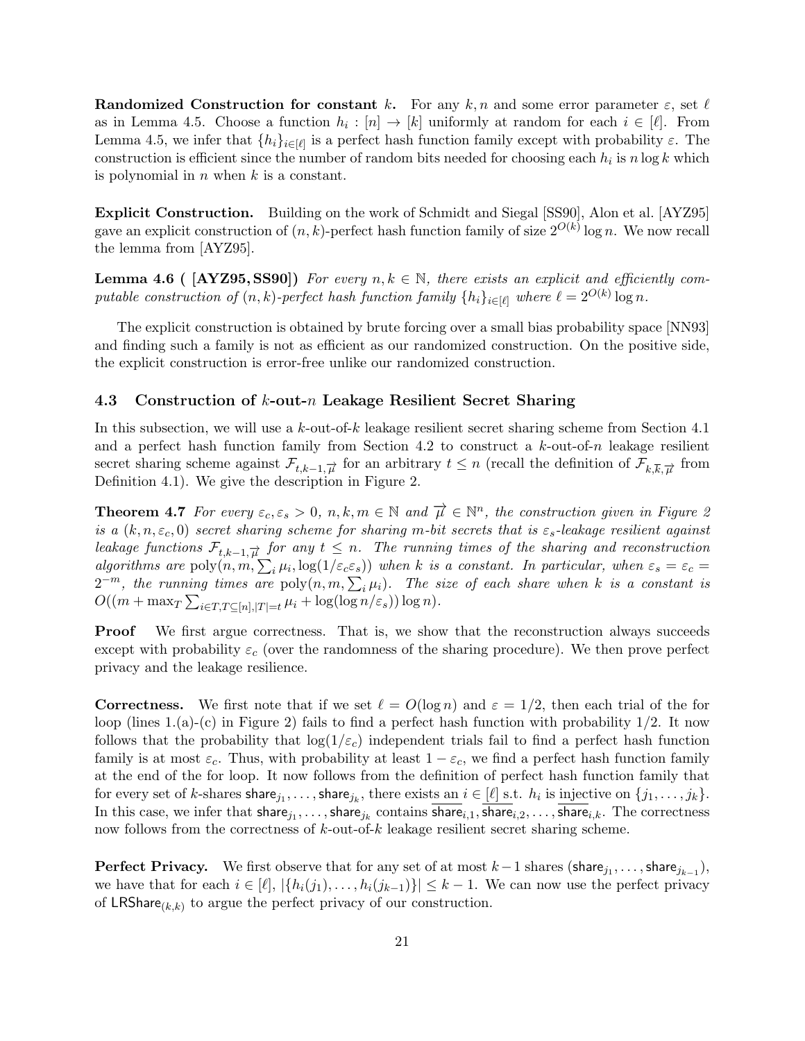**Randomized Construction for constant k.** For any k, n and some error parameter  $\varepsilon$ , set  $\ell$ as in Lemma [4.5.](#page-19-1) Choose a function  $h_i : [n] \to [k]$  uniformly at random for each  $i \in [\ell]$ . From Lemma [4.5,](#page-19-1) we infer that  $\{h_i\}_{i\in[\ell]}$  is a perfect hash function family except with probability  $\varepsilon$ . The construction is efficient since the number of random bits needed for choosing each  $h_i$  is  $n \log k$  which is polynomial in  $n$  when  $k$  is a constant.

Explicit Construction. Building on the work of Schmidt and Siegal [\[SS90\]](#page-47-10), Alon et al. [\[AYZ95\]](#page-43-12) gave an explicit construction of  $(n, k)$ -perfect hash function family of size  $2^{O(k)} \log n$ . We now recall the lemma from [\[AYZ95\]](#page-43-12).

**Lemma 4.6 (** [\[AYZ95,](#page-43-12) [SS90\]](#page-47-10)) For every  $n, k \in \mathbb{N}$ , there exists an explicit and efficiently computable construction of  $(n, k)$ -perfect hash function family  $\{h_i\}_{i \in [\ell]}$  where  $\ell = 2^{O(k)} \log n$ .

The explicit construction is obtained by brute forcing over a small bias probability space [\[NN93\]](#page-47-11) and finding such a family is not as efficient as our randomized construction. On the positive side, the explicit construction is error-free unlike our randomized construction.

#### <span id="page-20-0"></span>4.3 Construction of k-out-n Leakage Resilient Secret Sharing

In this subsection, we will use a  $k$ -out-of- $k$  leakage resilient secret sharing scheme from Section [4.1](#page-18-0) and a perfect hash function family from Section [4.2](#page-19-0) to construct a  $k$ -out-of-n leakage resilient secret sharing scheme against  $\mathcal{F}_{t,k-1,\overrightarrow{\mu}}$  for an arbitrary  $t \leq n$  (recall the definition of  $\mathcal{F}_{k,\overline{k},\overrightarrow{\mu}}$  from Definition [4.1\)](#page-17-1). We give the description in Figure [2.](#page-24-0)

**Theorem 4.7** For every  $\varepsilon_c, \varepsilon_s > 0, n, k, m \in \mathbb{N}$  and  $\vec{\mu} \in \mathbb{N}^n$ , the construction given in Figure [2](#page-24-0) is a  $(k, n, \varepsilon_c, 0)$  secret sharing scheme for sharing m-bit secrets that is  $\varepsilon_s$ -leakage resilient against leakage functions  $\mathcal{F}_{t,k-1,\overrightarrow{\mu}}$  for any  $t \leq n$ . The running times of the sharing and reconstruction algorithms are  $poly(n, m, \sum_i \mu_i, \log(1/\varepsilon_c \varepsilon_s))$  when k is a constant. In particular, when  $\varepsilon_s = \varepsilon_c =$  $2^{-m}$ , the running times are  $\text{poly}(n, m, \sum_i \mu_i)$ . The size of each share when k is a constant is  $O((m + \max_{T} \sum_{i \in T, T \subseteq [n], |T| = t} \mu_i + \log(\log n/\varepsilon_s)) \log n).$ 

**Proof** We first argue correctness. That is, we show that the reconstruction always succeeds except with probability  $\varepsilon_c$  (over the randomness of the sharing procedure). We then prove perfect privacy and the leakage resilience.

**Correctness.** We first note that if we set  $\ell = O(\log n)$  and  $\varepsilon = 1/2$ , then each trial of the for loop (lines 1.(a)-(c) in Figure [2\)](#page-24-0) fails to find a perfect hash function with probability  $1/2$ . It now follows that the probability that  $log(1/\varepsilon_c)$  independent trials fail to find a perfect hash function family is at most  $\varepsilon_c$ . Thus, with probability at least  $1 - \varepsilon_c$ , we find a perfect hash function family at the end of the for loop. It now follows from the definition of perfect hash function family that for every set of k-shares  $\textsf{share}_{j_1}, \ldots, \textsf{share}_{j_k}$ , there exists an  $i \in [\ell]$  s.t.  $h_i$  is injective on  $\{j_1, \ldots, j_k\}$ . In this case, we infer that  ${\sf share}_{j_1},\ldots,{\sf share}_{j_k}$  contains  ${\sf share}_{i,1}, {\sf share}_{i,2},\ldots,{\sf share}_{i,k}.$  The correctness now follows from the correctness of k-out-of-k leakage resilient secret sharing scheme.

**Perfect Privacy.** We first observe that for any set of at most  $k-1$  shares (share<sub>j1</sub>,..., share<sub>j<sub>k-1</sub>),</sub> we have that for each  $i \in [\ell], |\{h_i(j_1), \ldots, h_i(j_{k-1})\}| \leq k-1$ . We can now use the perfect privacy of LRShare<sub>(k,k)</sub> to argue the perfect privacy of our construction.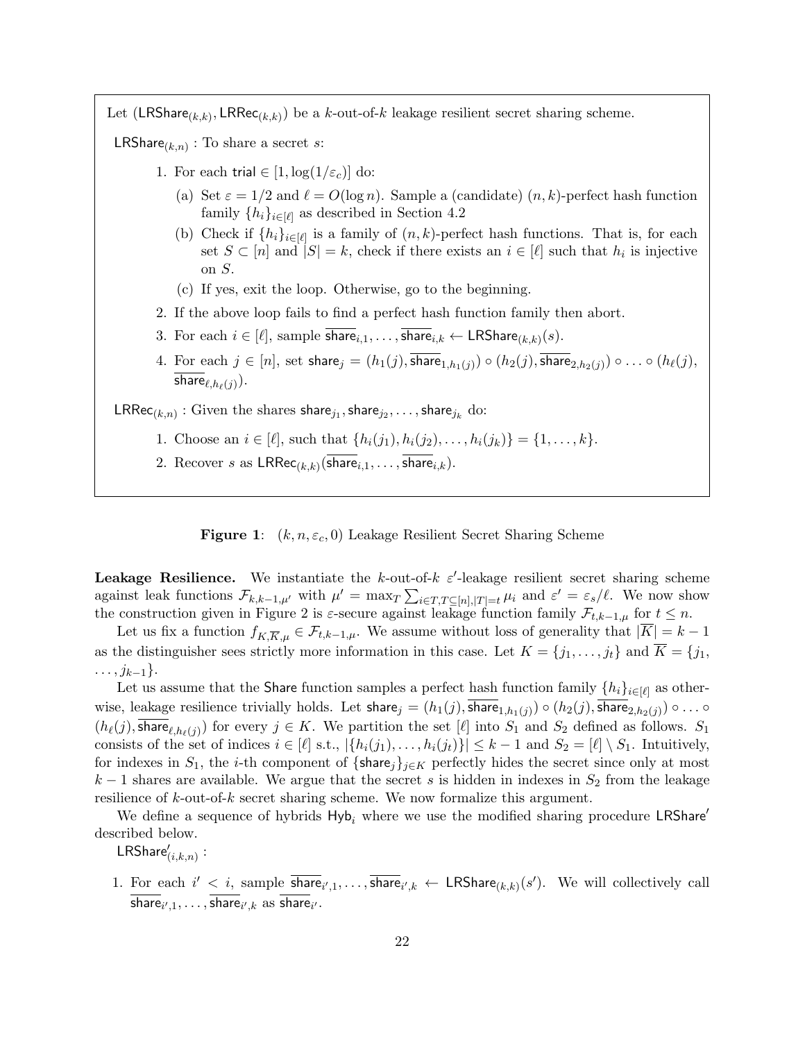Let (LRShare<sub>(k,k)</sub>, LRRec<sub>(k,k)</sub>) be a k-out-of-k leakage resilient secret sharing scheme.

**LRShare**<sub>( $k,n$ )</sub> : To share a secret *s*:

- 1. For each trial  $\in [1, \log(1/\varepsilon_c)]$  do:
	- (a) Set  $\varepsilon = 1/2$  and  $\ell = O(\log n)$ . Sample a (candidate)  $(n, k)$ -perfect hash function family  $\{h_i\}_{i\in[\ell]}$  as described in Section [4.2](#page-19-0)
	- (b) Check if  $\{h_i\}_{i\in[\ell]}$  is a family of  $(n, k)$ -perfect hash functions. That is, for each set  $S \subset [n]$  and  $|S| = k$ , check if there exists an  $i \in [\ell]$  such that  $h_i$  is injective on S.
	- (c) If yes, exit the loop. Otherwise, go to the beginning.
- 2. If the above loop fails to find a perfect hash function family then abort.
- 3. For each  $i \in [\ell],$  sample share $_{i,1}, \ldots$ , share $_{i,k} \leftarrow \mathsf{LRShare}_{(k,k)}(s)$ .
- 4. For each  $j \in [n]$ , set share $j = (h_1(j), \overline{\textsf{share}}_{1,h_1(j)}) \circ (h_2(j), \overline{\textsf{share}}_{2,h_2(j)}) \circ \ldots \circ (h_\ell(j),$ share $_{\ell,h_\ell(j)}).$

 $\mathsf{LRRec}_{(k,n)}:$  Given the shares share $_{j_1},$ share $_{j_2},\ldots,$ share $_{j_k}$  do:

- 1. Choose an  $i \in [\ell],$  such that  $\{h_i(j_1), h_i(j_2), \ldots, h_i(j_k)\} = \{1, \ldots, k\}.$
- 2. Recover s as  $\mathsf{LRRec}_{(k,k)}(\mathsf{share}_{i,1}, \ldots, \mathsf{share}_{i,k}).$



**Leakage Resilience.** We instantiate the k-out-of-k  $\varepsilon'$ -leakage resilient secret sharing scheme against leak functions  $\mathcal{F}_{k,k-1,\mu'}$  with  $\mu' = \max_{T} \sum_{i \in T, T \subseteq [n], |T|=t} \mu_i$  and  $\varepsilon' = \varepsilon_s/\ell$ . We now show the construction given in Figure [2](#page-24-0) is  $\varepsilon$ -secure against leakage function family  $\mathcal{F}_{t,k-1,\mu}$  for  $t \leq n$ .

Let us fix a function  $f_{K,\overline{K},\mu} \in \mathcal{F}_{t,k-1,\mu}$ . We assume without loss of generality that  $|\overline{K}| = k - 1$ as the distinguisher sees strictly more information in this case. Let  $K = \{j_1, \ldots, j_t\}$  and  $\overline{K} = \{j_1, \ldots, j_t\}$  $\ldots, j_{k-1}\}.$ 

Let us assume that the Share function samples a perfect hash function family  $\{h_i\}_{i\in[\ell]}$  as otherwise, leakage resilience trivially holds. Let  ${\sf share}_j=(h_1(j),\overline{{\sf share}_{1,h_1(j)}})\circ (h_2(j),\overline{{\sf share}_{2,h_2(j)}})\circ \ldots \circ$  $(h_{\ell}(j), \text{share}_{\ell,h_{\ell}(j)})$  for every  $j \in K$ . We partition the set  $[\ell]$  into  $S_1$  and  $S_2$  defined as follows.  $S_1$ consists of the set of indices  $i \in [\ell]$  s.t.,  $|\{h_i(j_1), \ldots, h_i(j_t)\}| \leq k - 1$  and  $S_2 = [\ell] \setminus S_1$ . Intuitively, for indexes in  $S_1$ , the *i*-th component of {share<sub>j</sub>}<sub>j∈K</sub> perfectly hides the secret since only at most  $k-1$  shares are available. We argue that the secret s is hidden in indexes in  $S_2$  from the leakage resilience of  $k$ -out-of- $k$  secret sharing scheme. We now formalize this argument.

We define a sequence of hybrids  $Hy_{b_i}$  where we use the modified sharing procedure LRShare' described below.

 $\mathsf{LRShare}'_{(i,k,n)}:$ 

1. For each  $i' < i$ , sample  $\overline{\text{share}}_{i',1}, \ldots, \overline{\text{share}}_{i',k} \leftarrow \text{LRShare}_{(k,k)}(s')$ . We will collectively call share $_{i',1},\ldots,$  share $_{i',k}$  as share $_{i'}$ .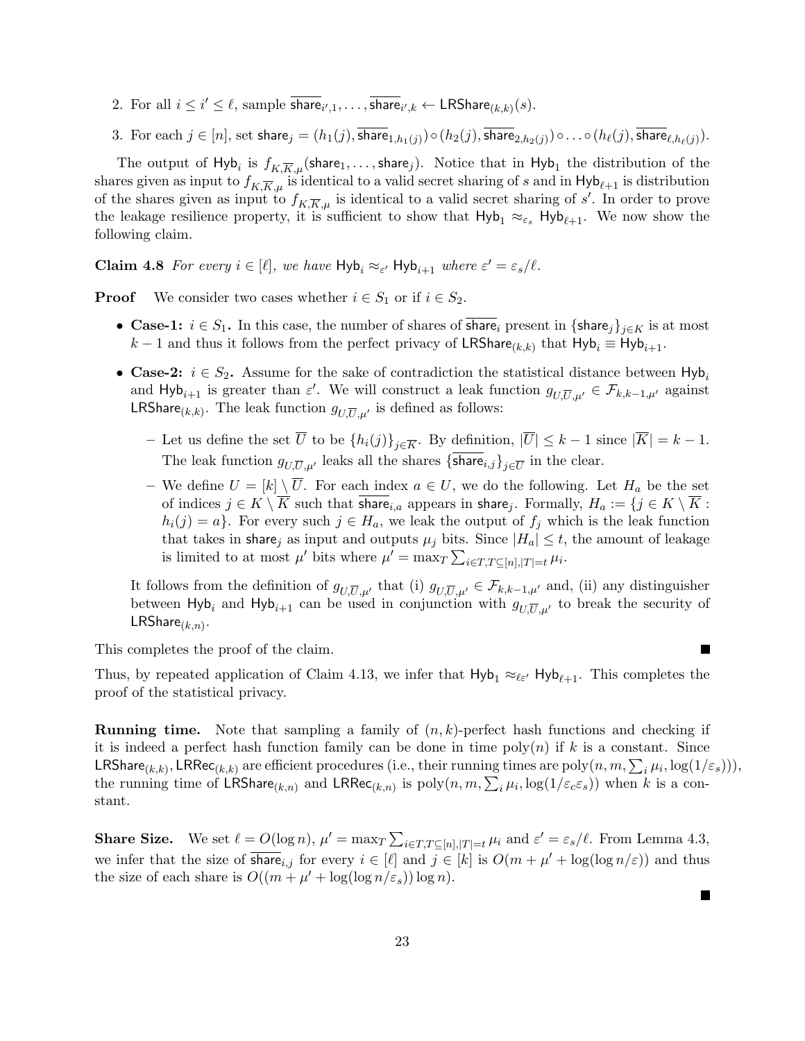- 2. For all  $i \leq i' \leq \ell$ , sample  $\overline{\text{share}}_{i',1}, \ldots, \overline{\text{share}}_{i',k} \leftarrow \text{LRShare}_{(k,k)}(s)$ .
- 3. For each  $j\in[n],$  set share $_j=(h_1(j),$ share $_{1,h_1(j)})\circ (h_2(j),$ share $_{2,h_2(j)})\circ\ldots\circ (h_\ell(j),$ share $_{\ell,h_\ell(j)}).$

The output of  $H$ yb $_i$  is  $f_{K,\overline{K},\mu}(\mathsf{share}_1,\ldots,\mathsf{share}_j).$  Notice that in  $H$ yb $_1$  the distribution of the shares given as input to  $f_{K,\overline{K},\mu}$  is identical to a valid secret sharing of s and in  $Hyb_{\ell+1}$  is distribution of the shares given as input to  $f_{K,\overline{K},\mu}$  is identical to a valid secret sharing of s'. In order to prove the leakage resilience property, it is sufficient to show that  $Hyb_1 \approx_{\varepsilon_s} Hyb_{\ell+1}$ . We now show the following claim.

**Claim 4.8** For every  $i \in [\ell]$ , we have  $Hyb_i \approx_{\varepsilon'} Hyb_{i+1}$  where  $\varepsilon' = \varepsilon_s/\ell$ .

**Proof** We consider two cases whether  $i \in S_1$  or if  $i \in S_2$ .

- Case-1:  $i \in S_1$ . In this case, the number of shares of share<sub>i</sub> present in {share<sub>j</sub>}<sub>j∈K</sub> is at most  $k-1$  and thus it follows from the perfect privacy of LRShare<sub>(k,k)</sub> that  $Hyb_i \equiv Hyb_{i+1}$ .
- Case-2:  $i \in S_2$ . Assume for the sake of contradiction the statistical distance between Hyb<sub>i</sub> and  $\textsf{Hyb}_{i+1}$  is greater than  $\varepsilon'$ . We will construct a leak function  $g_{U,\overline{U},\mu'} \in \mathcal{F}_{k,k-1,\mu'}$  against **LRShare**<sub>(k,k)</sub>. The leak function  $g_{U,\overline{U},\mu'}$  is defined as follows:
	- Let us define the set  $\overline{U}$  to be  $\{h_i(j)\}_{j\in\overline{K}}$ . By definition,  $|\overline{U}| \leq k-1$  since  $|\overline{K}| = k-1$ . The leak function  $g_{U,\overline{U},\mu'}$  leaks all the shares  $\{\text{share}_{i,j}\}_{j\in\overline{U}}$  in the clear.
	- We define  $U = [k] \setminus \overline{U}$ . For each index  $a \in U$ , we do the following. Let  $H_a$  be the set of indices  $j \in K \setminus K$  such that share<sub>i,a</sub> appears in share<sub>j</sub>. Formally,  $H_a := \{j \in K \setminus K :$  $h_i(j) = a$ . For every such  $j \in H_a$ , we leak the output of  $f_i$  which is the leak function that takes in share<sub>j</sub> as input and outputs  $\mu_j$  bits. Since  $|H_a| \leq t$ , the amount of leakage is limited to at most  $\mu'$  bits where  $\mu' = \max_{T} \sum_{i \in T, T \subseteq [n], |T| = t} \mu_i$ .

It follows from the definition of  $g_{U,\overline{U},\mu'}$  that (i)  $g_{U,\overline{U},\mu'} \in \mathcal{F}_{k,k-1,\mu'}$  and, (ii) any distinguisher between Hyb<sub>i</sub> and Hyb<sub>i+1</sub> can be used in conjunction with  $g_{U,\overline{U},\mu'}$  to break the security of  $LRShare_{(k,n)}$ .

 $\blacksquare$ 

This completes the proof of the claim.

Thus, by repeated application of Claim [4.13,](#page-25-0) we infer that  $Hyb_1 \approx_{\ell \epsilon'} Hyb_{\ell+1}$ . This completes the proof of the statistical privacy.

**Running time.** Note that sampling a family of  $(n, k)$ -perfect hash functions and checking if it is indeed a perfect hash function family can be done in time  $poly(n)$  if k is a constant. Since  $\mathsf{LRShare}_{(k,k)}, \mathsf{LRRec}_{(k,k)}$  are efficient procedures (i.e., their running times are  $\mathrm{poly}(n,m,\sum_i\mu_i,\log(1/\varepsilon_s))),$ the running time of  $\mathsf{LRShare}_{(k,n)}$  and  $\mathsf{LRRec}_{(k,n)}$  is  $\mathrm{poly}(n,m,\sum_i \mu_i, \log(1/\varepsilon_c\varepsilon_s))$  when  $k$  is a constant.

**Share Size.** We set  $\ell = O(\log n)$ ,  $\mu' = \max_T \sum_{i \in T, T \subseteq [n], |T| = t} \mu_i$  and  $\varepsilon' = \varepsilon_s / \ell$ . From Lemma [4.3,](#page-18-2) we infer that the size of  $\overline{\text{share}}_{i,j}$  for every  $i \in [\ell]$  and  $j \in [k]$  is  $O(m + \mu' + \log(\log n/\varepsilon))$  and thus the size of each share is  $O((m + \mu' + \log(\log n/\varepsilon_s)) \log n)$ .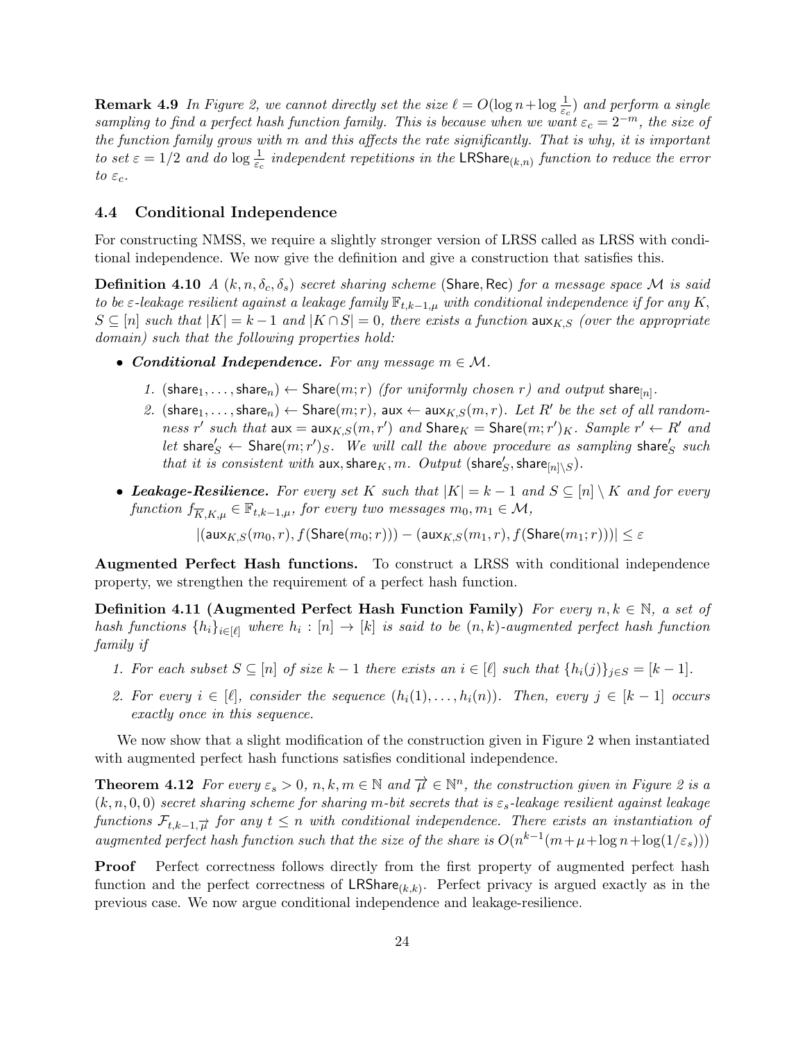**Remark 4.9** In Figure [2,](#page-24-0) we cannot directly set the size  $\ell = O(\log n + \log \frac{1}{\varepsilon_c})$  and perform a single sampling to find a perfect hash function family. This is because when we want  $\varepsilon_c = 2^{-m}$ , the size of the function family grows with m and this affects the rate significantly. That is why, it is important to set  $\varepsilon = 1/2$  and do  $\log \frac{1}{\varepsilon_c}$  independent repetitions in the LRShare<sub>(k,n)</sub> function to reduce the error to  $\varepsilon_c$ .

#### <span id="page-23-0"></span>4.4 Conditional Independence

For constructing NMSS, we require a slightly stronger version of LRSS called as LRSS with conditional independence. We now give the definition and give a construction that satisfies this.

**Definition 4.10** A  $(k, n, \delta_c, \delta_s)$  secret sharing scheme (Share, Rec) for a message space M is said to be  $\varepsilon$ -leakage resilient against a leakage family  $\mathbb{F}_{t,k-1,\mu}$  with conditional independence if for any K,  $S \subseteq [n]$  such that  $|K| = k - 1$  and  $|K \cap S| = 0$ , there exists a function  $\max_{K,S}$  (over the appropriate domain) such that the following properties hold:

- Conditional Independence. For any message  $m \in \mathcal{M}$ .
	- 1. (share<sub>1</sub>, ..., share<sub>n</sub>)  $\leftarrow$  Share(*m*; *r*) (for uniformly chosen *r*) and output share<sub>[n]</sub>.
	- 2.  $(\text{share}_1, \ldots, \text{share}_n) \leftarrow \text{Share}(m; r)$ , aux  $\leftarrow$  aux $_{K,S}(m, r)$ . Let R' be the set of all randomness r' such that  $aux = aux_{K,S}(m,r')$  and  $Share_K = share(m;r')_K$ . Sample  $r' \leftarrow R'$  and let share's  $\leftarrow$  Share $(m;r')_S$ . We will call the above procedure as sampling share's such that it is consistent with  $\textsf{aux}, \textsf{share}_K, m$ .  $Output$  (share's, share $_{[n]\setminus S}$ ).
- Leakage-Resilience. For every set K such that  $|K| = k 1$  and  $S \subseteq [n] \setminus K$  and for every function  $f_{\overline{K},K,\mu} \in \mathbb{F}_{t,k-1,\mu}$ , for every two messages  $m_0, m_1 \in \mathcal{M}$ ,

 $|(\mathsf{aux}_{K,S}(m_0,r), f(\mathsf{Share}(m_0;r))) - (\mathsf{aux}_{K,S}(m_1,r), f(\mathsf{Share}(m_1;r)))| \leq \varepsilon$ 

Augmented Perfect Hash functions. To construct a LRSS with conditional independence property, we strengthen the requirement of a perfect hash function.

<span id="page-23-1"></span>Definition 4.11 (Augmented Perfect Hash Function Family) For every  $n, k \in \mathbb{N}$ , a set of hash functions  $\{h_i\}_{i\in[\ell]}$  where  $h_i:[n]\to[k]$  is said to be  $(n,k)$ -augmented perfect hash function family if

- 1. For each subset  $S \subseteq [n]$  of size  $k-1$  there exists an  $i \in [\ell]$  such that  $\{h_i(j)\}_{j \in S} = [k-1]$ .
- 2. For every  $i \in [\ell]$ , consider the sequence  $(h_i(1), \ldots, h_i(n))$ . Then, every  $j \in [k-1]$  occurs exactly once in this sequence.

We now show that a slight modification of the construction given in Figure [2](#page-24-0) when instantiated with augmented perfect hash functions satisfies conditional independence.

<span id="page-23-2"></span>**Theorem 4.1[2](#page-24-0)** For every  $\varepsilon_s > 0$ ,  $n, k, m \in \mathbb{N}$  and  $\overrightarrow{\mu} \in \mathbb{N}^n$ , the construction given in Figure 2 is a  $(k, n, 0, 0)$  secret sharing scheme for sharing m-bit secrets that is  $\varepsilon_s$ -leakage resilient against leakage functions  $\mathcal{F}_{t,k-1,\overrightarrow{\mu}}$  for any  $t \leq n$  with conditional independence. There exists an instantiation of augmented perfect hash function such that the size of the share is  $O(n^{k-1}(m+\mu+\log n+\log(1/\varepsilon_{s})))$ 

**Proof** Perfect correctness follows directly from the first property of augmented perfect hash function and the perfect correctness of  $LRShare_{(k,k)}$ . Perfect privacy is argued exactly as in the previous case. We now argue conditional independence and leakage-resilience.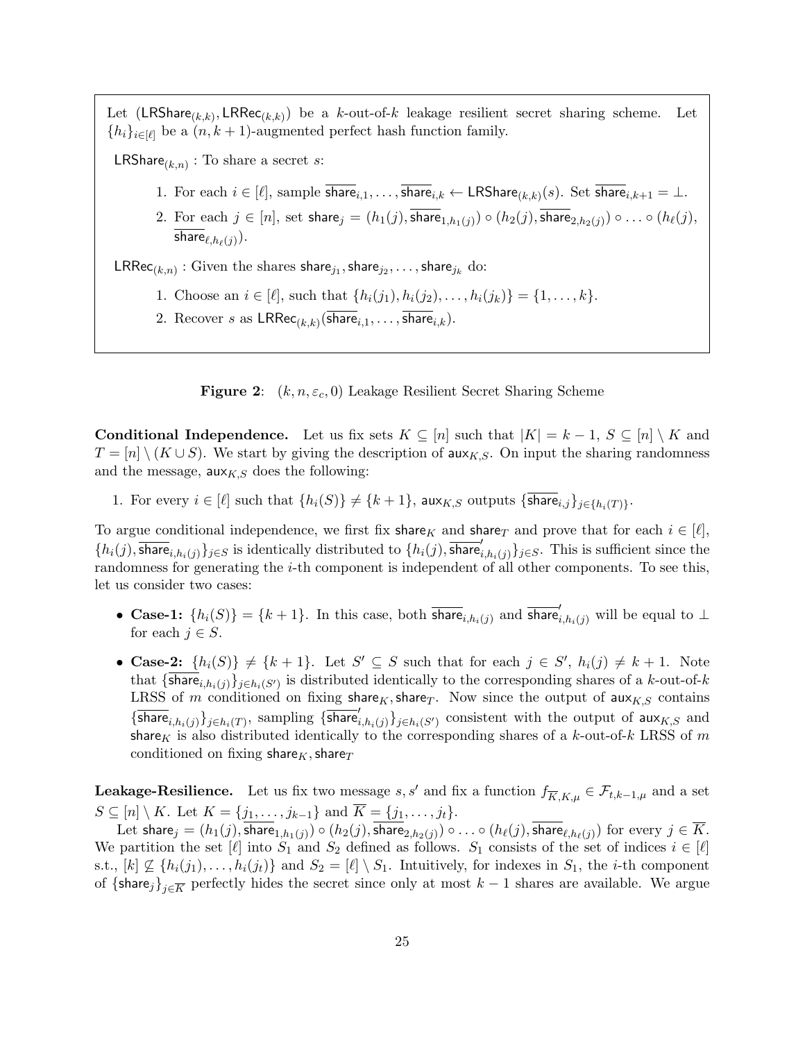Let  $(\mathsf{LRShare}_{(k,k)}, \mathsf{LRRec}_{(k,k)})$  be a k-out-of-k leakage resilient secret sharing scheme. Let  ${h_i}_{i \in [\ell]}$  be a  $(n, k + 1)$ -augmented perfect hash function family.

**LRShare**<sub>( $k,n$ )</sub> : To share a secret *s*:

- 1. For each  $i \in [\ell],$  sample share $i,1,\ldots,$  share $i,k \leftarrow \mathsf{LRShare}_{(k,k)}(s)$ . Set share $i,k+1 = \bot$ .
- 2. For each  $j\in [n],$  set  $\mathsf{share}_j=(h_1(j),\mathsf{share}_{1,h_1(j)})\circ (h_2(j),\mathsf{share}_{2,h_2(j)})\circ \ldots \circ (h_\ell(j),$ share $_{\ell,h_\ell(j)}).$

 $\mathsf{LRRec}_{(k,n)}:$  Given the shares share $_{j_1},$ share $_{j_2},\ldots,$ share $_{j_k}$  do:

- 1. Choose an  $i \in [\ell],$  such that  $\{h_i(j_1), h_i(j_2), \ldots, h_i(j_k)\} = \{1, \ldots, k\}.$
- 2. Recover s as  $\mathsf{LRRec}_{(k,k)}(\mathsf{share}_{i,1}, \ldots, \mathsf{share}_{i,k}).$

<span id="page-24-0"></span>**Figure 2:**  $(k, n, \varepsilon_c, 0)$  Leakage Resilient Secret Sharing Scheme

**Conditional Independence.** Let us fix sets  $K \subseteq [n]$  such that  $|K| = k - 1$ ,  $S \subseteq [n] \setminus K$  and  $T = [n] \setminus (K \cup S)$ . We start by giving the description of aux<sub>K,S</sub>. On input the sharing randomness and the message,  $aux_{K,S}$  does the following:

1. For every  $i \in [\ell]$  such that  $\{h_i(S)\}\neq \{k+1\}$ , aux $_{K,S}$  outputs  $\{\textsf{share}_{i,j}\}_{j\in \{h_i(T)\}}$ .

To argue conditional independence, we first fix share<sub>K</sub> and share<sub>T</sub> and prove that for each  $i \in [\ell],$  $\{h_i(j), \overline{\text{share}}_{i,h_i(j)}\}_{j\in S}$  is identically distributed to  $\{h_i(j), \overline{\text{share}}'_{i,h_i(j)}\}_{j\in S}$ . This is sufficient since the randomness for generating the *i*-th component is independent of all other components. To see this, let us consider two cases:

- Case-1:  $\{h_i(S)\} = \{k+1\}$ . In this case, both  $\overline{\text{share}}_{i,h_i(j)}$  and  $\overline{\text{share}}'_{i,h_i(j)}$  will be equal to  $\perp$ for each  $j \in S$ .
- Case-2:  $\{h_i(S)\}\neq \{k+1\}$ . Let  $S' \subseteq S$  such that for each  $j \in S'$ ,  $h_i(j) \neq k+1$ . Note that  $\{\textsf{share}_{i,h_i(j)}\}_{j\in h_i(S')}$  is distributed identically to the corresponding shares of a k-out-of-k LRSS of m conditioned on fixing share<sub>K</sub>, share<sub>T</sub>. Now since the output of aux<sub>K,S</sub> contains  $\{\overline{\textsf{share}}_{i,h_i(j)}\}_{j\in h_i(T)}$ , sampling  $\{\overline{\textsf{share}}_{i,h_i(j)}'\}_{j\in h_i(S')}$  consistent with the output of  $\textsf{aux}_{K,S}$  and share<sub>K</sub> is also distributed identically to the corresponding shares of a k-out-of-k LRSS of m conditioned on fixing share<sub>K</sub>, share<sub>T</sub>

**Leakage-Resilience.** Let us fix two message s, s' and fix a function  $f_{\overline{K},K,\mu} \in \mathcal{F}_{t,k-1,\mu}$  and a set  $S \subseteq [n] \setminus K$ . Let  $K = \{j_1, \ldots, j_{k-1}\}$  and  $\overline{K} = \{j_1, \ldots, j_t\}.$ 

Let share $_j=(h_1(j),$ share $_{1,h_1(j)})\circ (h_2(j),$ share $_{2,h_2(j)})\circ\ldots\circ (h_\ell(j),$ share $_{\ell,h_\ell(j)})$  for every  $j\in \overline{K}.$ We partition the set  $[\ell]$  into  $S_1$  and  $S_2$  defined as follows.  $S_1$  consists of the set of indices  $i \in [\ell]$ s.t.,  $[k] \nsubseteq \{h_i(j_1), \ldots, h_i(j_t)\}\$ and  $S_2 = [\ell] \setminus S_1$ . Intuitively, for indexes in  $S_1$ , the *i*-th component of  $\{\text{share}_j\}_{j\in\overline{K}}$  perfectly hides the secret since only at most  $k-1$  shares are available. We argue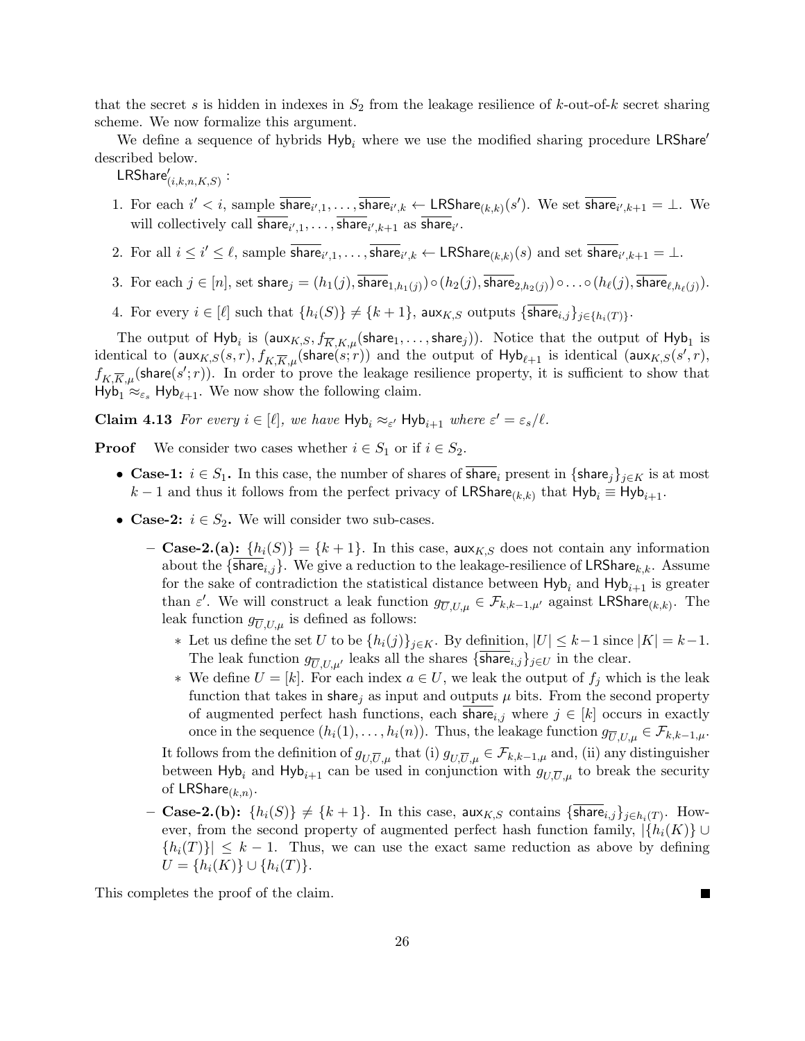that the secret s is hidden in indexes in  $S_2$  from the leakage resilience of k-out-of-k secret sharing scheme. We now formalize this argument.

We define a sequence of hybrids  $Hyb_i$  where we use the modified sharing procedure LRShare' described below.

 $\mathsf{LRShare}'_{(i,k,n,K,S)}:$ 

- 1. For each  $i' < i$ , sample  $\overline{\text{share}}_{i',1}, \ldots, \overline{\text{share}}_{i',k} \leftarrow \text{LRShare}_{(k,k)}(s')$ . We set  $\overline{\text{share}}_{i',k+1} = \bot$ . We will collectively call share<sub>i',1</sub>, ..., share<sub>i',k+1</sub> as share<sub>i'</sub>.
- 2. For all  $i \leq i' \leq \ell$ , sample  $\overline{\textsf{share}}_{i',1}, \ldots, \overline{\textsf{share}}_{i',k} \leftarrow \textsf{LRShare}_{(k,k)}(s)$  and set  $\overline{\textsf{share}}_{i',k+1} = \bot$ .
- 3. For each  $j\in[n],$  set share $_j=(h_1(j),$ share $_{1,h_1(j)})\circ (h_2(j),$ share $_{2,h_2(j)})\circ\ldots\circ (h_\ell(j),$ share $_{\ell,h_\ell(j)}).$
- 4. For every  $i \in [\ell]$  such that  $\{h_i(S)\}\neq \{k+1\}$ , aux $_{K,S}$  outputs  $\{\textsf{share}_{i,j}\}_{j\in \{h_i(T)\}}$ .

The output of  $H$ yb $_i$  is  $(\textsf{aux}_{K,S}, f_{\overline{K},K,\mu}(\textsf{share}_1,\dots,\textsf{share}_j)).$  Notice that the output of  $H$ yb $_1$  is identical to  $(\textsf{aux}_{K,S}(s,r), f_{K,\overline{K},\mu}(\textsf{share}(s;r)))$  and the output of  $\textsf{Hyb}_{\ell+1}$  is identical  $(\textsf{aux}_{K,S}(s',r), f_{K,\overline{K},\mu}(\textsf{share}(s',r)))$  $f_{K,\overline{K},\mu}(\text{share}(s';r)).$  In order to prove the leakage resilience property, it is sufficient to show that  $Hyb_1 \approx_{\varepsilon_s} Hyb_{\ell+1}$ . We now show the following claim.

<span id="page-25-0"></span>**Claim 4.13** For every  $i \in [\ell]$ , we have  $Hyb_i \approx_{\varepsilon'} Hyb_{i+1}$  where  $\varepsilon' = \varepsilon_s/\ell$ .

**Proof** We consider two cases whether  $i \in S_1$  or if  $i \in S_2$ .

- Case-1:  $i \in S_1$ . In this case, the number of shares of share<sub>i</sub> present in {share<sub>j</sub>}<sub>j∈K</sub> is at most  $k-1$  and thus it follows from the perfect privacy of LRShare<sub>(k,k)</sub> that  $Hyb_i \equiv Hyb_{i+1}$ .
- Case-2:  $i \in S_2$ . We will consider two sub-cases.
	- Case-2.(a):  $\{h_i(S)\} = \{k+1\}$ . In this case, aux<sub>K,S</sub> does not contain any information about the {share<sub>i,j</sub>}. We give a reduction to the leakage-resilience of LRShare<sub>k,k</sub>. Assume for the sake of contradiction the statistical distance between  $Hyb_i$  and  $Hyb_{i+1}$  is greater than  $\varepsilon'$ . We will construct a leak function  $g_{\overline{U},U,\mu} \in \mathcal{F}_{k,k-1,\mu'}$  against LRShare<sub>(k,k)</sub>. The leak function  $g_{\overline{U},U,\mu}$  is defined as follows:
		- ∗ Let us define the set U to be  $\{h_i(j)\}_{j\in K}$ . By definition,  $|U| \leq k-1$  since  $|K| = k-1$ . The leak function  $g_{\overline{U},U,\mu'}$  leaks all the shares {share $i,j\rbrace_{j\in U}$  in the clear.
		- ∗ We define  $U = [k]$ . For each index  $a \in U$ , we leak the output of  $f_i$  which is the leak function that takes in share, as input and outputs  $\mu$  bits. From the second property of augmented perfect hash functions, each share<sub>i,j</sub> where  $j \in [k]$  occurs in exactly once in the sequence  $(h_i(1), \ldots, h_i(n))$ . Thus, the leakage function  $g_{\overline{U},U,\mu} \in \mathcal{F}_{k,k-1,\mu}$ .

It follows from the definition of  $g_{U,\overline{U},\mu}$  that (i)  $g_{U,\overline{U},\mu} \in \mathcal{F}_{k,k-1,\mu}$  and, (ii) any distinguisher between Hyb<sub>i</sub> and Hyb<sub>i+1</sub> can be used in conjunction with  $g_{U,\overline{U},\mu}$  to break the security of  $\mathsf{LRShare}_{(k,n)}$ .

 $-$  Case-2.(b):  $\{h_i(S)\}\neq \{k+1\}$ . In this case, aux $_{K,S}$  contains  $\{{\sf share}_{i,j}\}_{j\in h_i(T)}.$  However, from the second property of augmented perfect hash function family,  $|\{h_i(K)\}\cup\{h_i(K)\}\rangle$  ${h_i(T)} \leq k-1$ . Thus, we can use the exact same reduction as above by defining  $U = \{h_i(K)\} \cup \{h_i(T)\}.$ 

 $\blacksquare$ 

This completes the proof of the claim.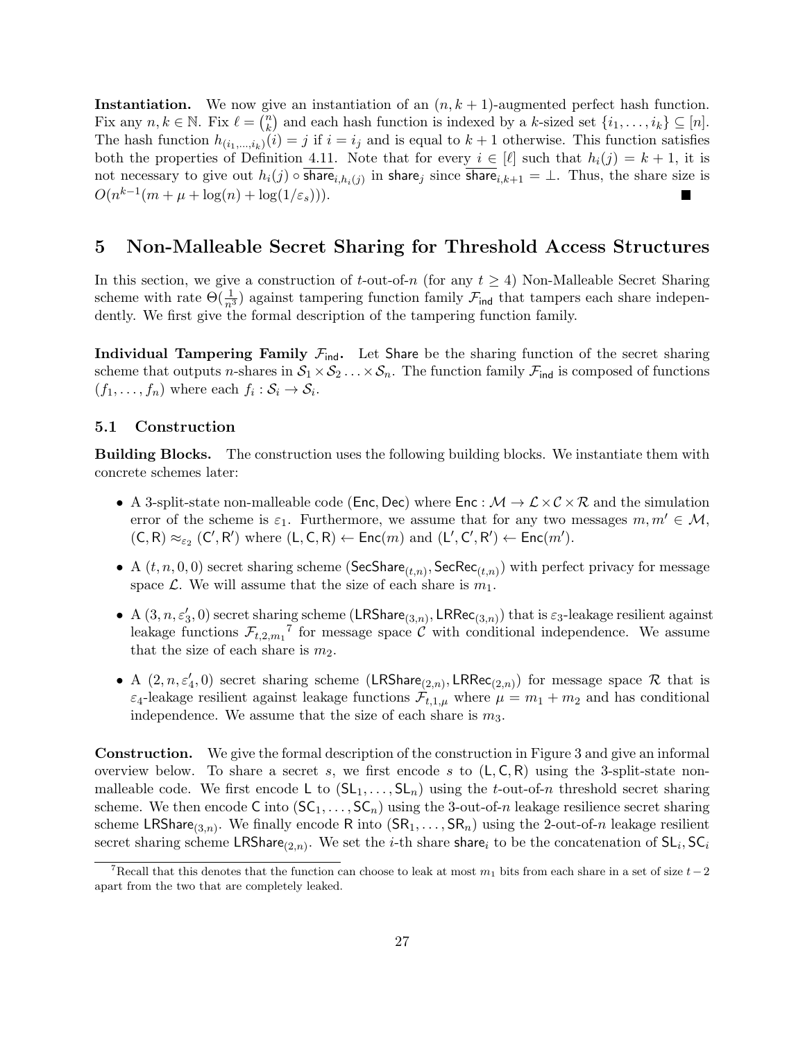**Instantiation.** We now give an instantiation of an  $(n, k + 1)$ -augmented perfect hash function. Fix any  $n, k \in \mathbb{N}$ . Fix  $\ell = \binom{n}{k}$  ${k \choose k}$  and each hash function is indexed by a k-sized set  $\{i_1, \ldots, i_k\} \subseteq [n]$ . The hash function  $h_{(i_1,...,i_k)}(i) = j$  if  $i = i_j$  and is equal to  $k + 1$  otherwise. This function satisfies both the properties of Definition [4.11.](#page-23-1) Note that for every  $i \in [\ell]$  such that  $h_i(j) = k + 1$ , it is not necessary to give out  $h_i(j)$   $\circ$  share $_{i,h_i(j)}$  in share $_j$  since share $_{i,k+1}=\bot$ . Thus, the share size is  $O(n^{k-1}(m + \mu + \log(n) + \log(1/\varepsilon_s))).$ 

# <span id="page-26-0"></span>5 Non-Malleable Secret Sharing for Threshold Access Structures

In this section, we give a construction of t-out-of-n (for any  $t \geq 4$ ) Non-Malleable Secret Sharing scheme with rate  $\Theta(\frac{1}{n^3})$  against tampering function family  $\mathcal{F}_{\text{ind}}$  that tampers each share independently. We first give the formal description of the tampering function family.

Individual Tampering Family  $\mathcal{F}_{ind}$ . Let Share be the sharing function of the secret sharing scheme that outputs *n*-shares in  $S_1 \times S_2 \dots \times S_n$ . The function family  $\mathcal{F}_{ind}$  is composed of functions  $(f_1, \ldots, f_n)$  where each  $f_i : S_i \to S_i$ .

#### <span id="page-26-1"></span>5.1 Construction

Building Blocks. The construction uses the following building blocks. We instantiate them with concrete schemes later:

- A 3-split-state non-malleable code (Enc, Dec) where  $\text{Enc}: \mathcal{M} \to \mathcal{L} \times \mathcal{C} \times \mathcal{R}$  and the simulation error of the scheme is  $\varepsilon_1$ . Furthermore, we assume that for any two messages  $m, m' \in \mathcal{M}$ ,  $(C, R) \approx_{\varepsilon_2} (C', R')$  where  $(L, C, R) \leftarrow \mathsf{Enc}(m)$  and  $(L', C', R') \leftarrow \mathsf{Enc}(m')$ .
- A  $(t, n, 0, 0)$  secret sharing scheme (SecShare<sub> $(t,n)$ </sub>, SecRec<sub> $(t,n)$ </sub>) with perfect privacy for message space L. We will assume that the size of each share is  $m_1$ .
- A  $(3, n, \varepsilon_3', 0)$  secret sharing scheme  $(\mathsf{LRShare}_{(3,n)}, \mathsf{LRRec}_{(3,n)})$  that is  $\varepsilon_3$ -leakage resilient against leakage functions  $\mathcal{F}_{t,2,m_1}^{\dagger}$  for message space  $\mathcal{C}$  with conditional independence. We assume that the size of each share is  $m_2$ .
- A  $(2, n, \varepsilon_4', 0)$  secret sharing scheme  $(LRShare_{(2,n)}, LRRec_{(2,n)})$  for message space R that is  $\varepsilon_4$ -leakage resilient against leakage functions  $\mathcal{F}_{t,1,\mu}$  where  $\mu = m_1 + m_2$  and has conditional independence. We assume that the size of each share is  $m_3$ .

Construction. We give the formal description of the construction in Figure [3](#page-27-2) and give an informal overview below. To share a secret s, we first encode s to  $(L, C, R)$  using the 3-split-state nonmalleable code. We first encode L to  $(SL_1, \ldots, SL_n)$  using the t-out-of-n threshold secret sharing scheme. We then encode C into  $(\mathsf{SC}_1, \ldots, \mathsf{SC}_n)$  using the 3-out-of-n leakage resilience secret sharing scheme LRShare<sub>(3,n)</sub>. We finally encode R into  $(SR_1, \ldots, SR_n)$  using the 2-out-of-n leakage resilient secret sharing scheme LRShare<sub>(2,n)</sub>. We set the *i*-th share share<sub>i</sub> to be the concatenation of  $SL_i, SC_i$ 

<span id="page-26-2"></span><sup>&</sup>lt;sup>7</sup>Recall that this denotes that the function can choose to leak at most  $m_1$  bits from each share in a set of size  $t-2$ apart from the two that are completely leaked.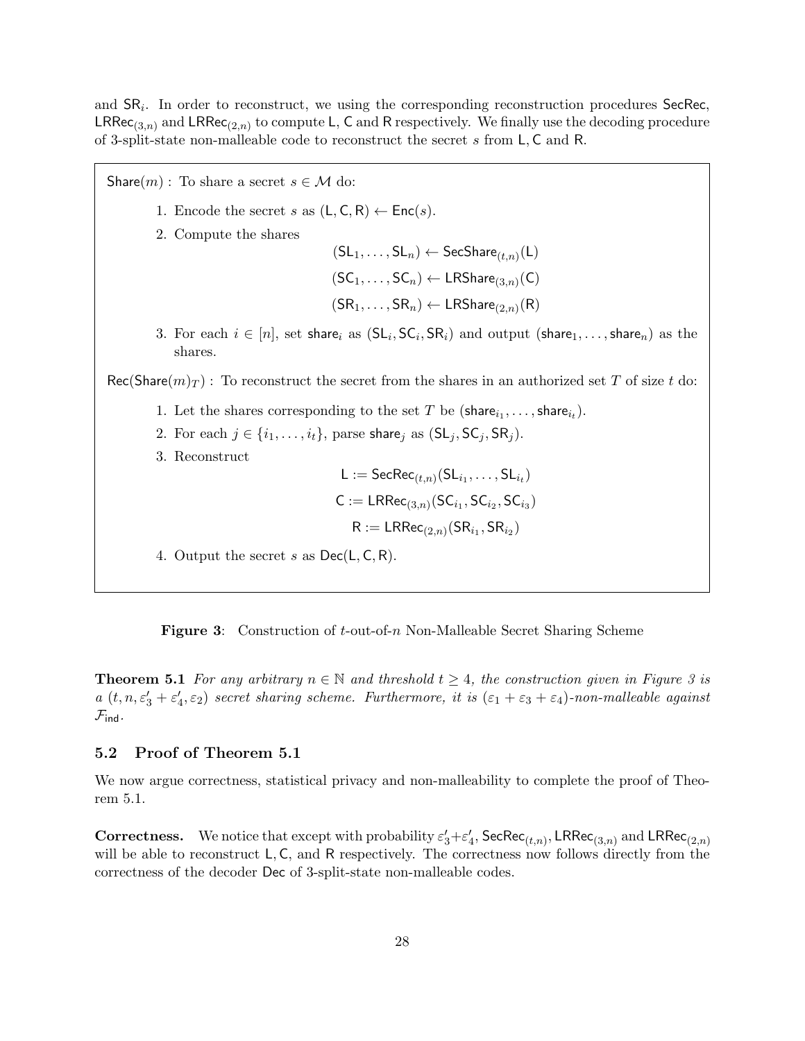and  $SR_i$ . In order to reconstruct, we using the corresponding reconstruction procedures SecRec,  $LRRec_{(3,n)}$  and  $LRRec_{(2,n)}$  to compute L, C and R respectively. We finally use the decoding procedure of 3-split-state non-malleable code to reconstruct the secret s from L, C and R.

Share(m) : To share a secret  $s \in \mathcal{M}$  do: 1. Encode the secret s as  $(L, C, R) \leftarrow \text{Enc}(s)$ . 2. Compute the shares  $(\mathsf{SL}_1,\ldots,\mathsf{SL}_n)\leftarrow \mathsf{SecShare}_{(t,n)}(\mathsf{L})$  $(\mathsf{SC}_1, \ldots, \mathsf{SC}_n) \leftarrow \mathsf{LRShare}_{(3,n)}(\mathsf{C})$  $(\mathsf{SR}_1, \ldots, \mathsf{SR}_n) \leftarrow \mathsf{LRShare}_{(2,n)}(\mathsf{R})$ 3. For each  $i \in [n]$ , set share<sub>i</sub> as  $(S\mathsf{L}_i, \mathsf{SC}_i, \mathsf{SR}_i)$  and output  $(\mathsf{share}_1, \ldots, \mathsf{share}_n)$  as the shares.  $\text{Rec}(\text{Share}(m)_{T})$ : To reconstruct the secret from the shares in an authorized set T of size t do: 1. Let the shares corresponding to the set T be  $(\text{share}_{i_1}, \ldots, \text{share}_{i_t}).$ 2. For each  $j \in \{i_1, \ldots, i_t\}$ , parse share<sub>j</sub> as  $(SL_j, SC_j, SR_j)$ . 3. Reconstruct  $\mathsf{L} := \mathsf{SecRec}_{(t,n)}(\mathsf{SL}_{i_1}, \ldots, \mathsf{SL}_{i_t})$  $C := \mathsf{LRRec}_{(3,n)}(\mathsf{SC}_{i_1},\mathsf{SC}_{i_2},\mathsf{SC}_{i_3})$  $\mathsf{R} := \mathsf{LRRec}_{(2,n)}(\mathsf{SR}_{i_1},\mathsf{SR}_{i_2})$ 4. Output the secret s as  $Dec(L, C, R)$ .

<span id="page-27-2"></span>Figure 3: Construction of t-out-of-n Non-Malleable Secret Sharing Scheme

<span id="page-27-1"></span>**Theorem 5.1** For any arbitrary  $n \in \mathbb{N}$  and threshold  $t \geq 4$ , the construction given in Figure [3](#page-27-2) is  $a(t, n, \varepsilon_3' + \varepsilon_4', \varepsilon_2)$  secret sharing scheme. Furthermore, it is  $(\varepsilon_1 + \varepsilon_3 + \varepsilon_4)$ -non-malleable against  $\mathcal{F}_{\mathsf{ind}}$ .

#### <span id="page-27-0"></span>5.2 Proof of Theorem [5.1](#page-27-1)

We now argue correctness, statistical privacy and non-malleability to complete the proof of [Theo](#page-27-1)[rem 5.1.](#page-27-1)

**Correctness.** We notice that except with probability  $\varepsilon'_3 + \varepsilon'_4$ ,  $\mathsf{SecRec}_{(t,n)}$ , LRRec<sub>(3,n)</sub> and LRRec<sub>(2,n)</sub> will be able to reconstruct L, C, and R respectively. The correctness now follows directly from the correctness of the decoder Dec of 3-split-state non-malleable codes.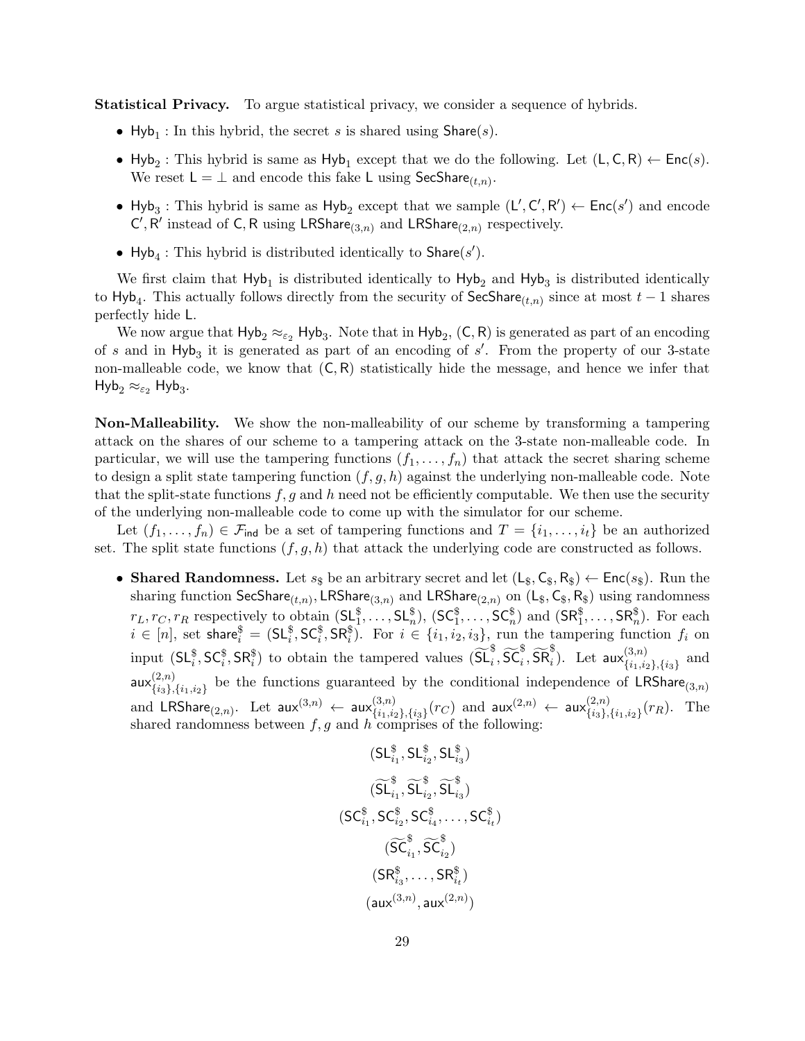Statistical Privacy. To argue statistical privacy, we consider a sequence of hybrids.

- Hyb<sub>1</sub>: In this hybrid, the secret s is shared using  $\text{Share}(s)$ .
- Hyb<sub>2</sub>: This hybrid is same as Hyb<sub>1</sub> except that we do the following. Let  $(L, C, R) \leftarrow Enc(s)$ . We reset  $L = \perp$  and encode this fake L using SecShare<sub> $(t,n)$ </sub>.
- Hyb<sub>3</sub>: This hybrid is same as Hyb<sub>2</sub> except that we sample  $(L', C', R') \leftarrow Enc(s')$  and encode  $C', R'$  instead of C, R using LRShare<sub>(3,n)</sub> and LRShare<sub>(2,n)</sub> respectively.
- Hyb<sub>4</sub>: This hybrid is distributed identically to  $\textsf{Share}(s')$ .

We first claim that  $Hyb_1$  is distributed identically to  $Hyb_2$  and  $Hyb_3$  is distributed identically to Hyb<sub>4</sub>. This actually follows directly from the security of  $\mathsf{SecShare}_{(t,n)}$  since at most  $t-1$  shares perfectly hide L.

We now argue that  $Hyb_2 \approx_{\epsilon_2} Hyb_3$ . Note that in  $Hyb_2$ ,  $(C, R)$  is generated as part of an encoding of s and in  $Hyb_3$  it is generated as part of an encoding of s'. From the property of our 3-state non-malleable code, we know that  $(C, R)$  statistically hide the message, and hence we infer that  $\mathsf{Hyb}_2 \approx_{\varepsilon_2} \mathsf{Hyb}_3.$ 

Non-Malleability. We show the non-malleability of our scheme by transforming a tampering attack on the shares of our scheme to a tampering attack on the 3-state non-malleable code. In particular, we will use the tampering functions  $(f_1, \ldots, f_n)$  that attack the secret sharing scheme to design a split state tampering function  $(f, g, h)$  against the underlying non-malleable code. Note that the split-state functions  $f, g$  and h need not be efficiently computable. We then use the security of the underlying non-malleable code to come up with the simulator for our scheme.

Let  $(f_1,\ldots,f_n)\in\mathcal{F}_{\text{ind}}$  be a set of tampering functions and  $T=\{i_1,\ldots,i_t\}$  be an authorized set. The split state functions  $(f, g, h)$  that attack the underlying code are constructed as follows.

• Shared Randomness. Let  $s_{\$}$  be an arbitrary secret and let  $(L_{\$}, C_{\$}, R_{\$}) \leftarrow \text{Enc}(s_{\$})$ . Run the sharing function  ${\sf SecShare}_{(t,n)}, {\sf LRShare}_{(3,n)}$  and  ${\sf LRShare}_{(2,n)}$  on  $({\sf L}_\$,{\sf C}_\$,{\sf R}_\$)$  using randomness  $r_L, r_C, r_R$  respectively to obtain  $(S_{\ell_1}^{\S}, \ldots, S_{\ell_n}^{\S}), (SC_1^{\S}, \ldots, SC_n^{\S})$  and  $(SR_1^{\S}, \ldots, SR_n^{\S}).$  For each  $i \in [n],$  set share $i = (SL_i^{\$}, SC_i^{\$}, SR_i^{\$})$ . For  $i \in \{i_1, i_2, i_3\}$ , run the tampering function  $f_i$  on input  $(SL_i^{\$}, SC_i^{\$}, SR_i^{\$})$  to obtain the tampered values  $(\widetilde{SL}_i^{\$}, \widetilde{SC}_i^{\$}, \widetilde{SR}_i^{\$})$ . Let  $\textsf{aux}_{\{i_1,i_2\}}^{(3,n)}$  $\{i_1,i_2\},\{i_3\}$  and aux $\binom{(2,n)}{f_{i_0},\ldots}$  ${2,n \choose {i_3}, \{i_1,i_2\}}$  be the functions guaranteed by the conditional independence of LRShare<sub>(3,n)</sub> and  $\mathsf{LRShare}_{(2,n)}$ . Let  $\mathsf{aux}^{(3,n)} \leftarrow \mathsf{aux}^{(3,n)}_{\{i_1,i_2\}}$  $\{^{(3,n)}_{\{i_1,i_2\},\{i_3\}}(r_C)$  and  $\mathsf{aux}^{(2,n)}_{\{a_3\},\{i_3\}}$  $\binom{(2,n)}{\{i_3\},\{i_1,i_2\}}(r_R)$ . The shared randomness between  $f, g$  and h comprises of the following:

$$
(\mathsf{SL}^{\$}_{i_1},\mathsf{SL}^{\$}_{i_2},\mathsf{SL}^{\$}_{i_3}) \\ \widetilde{(\mathsf{SL}^{\$}_{i_1},\mathsf{SL}^{\$}_{i_2},\mathsf{SL}^{\$}_{i_3})} \\ (\mathsf{SC}^{\$}_{i_1},\mathsf{SC}^{\$}_{i_2},\mathsf{SC}^{\$}_{i_4},\ldots,\mathsf{SC}^{\$}_{i_t}) \\ \widetilde{(\mathsf{SC}^{\$}_{i_1},\mathsf{SC}^{\$}_{i_2})} \\ (\mathsf{SR}^{\$}_{i_3},\ldots,\mathsf{SR}^{\$}_{i_t}) \\ (\mathsf{aux}^{(3,n)},\mathsf{aux}^{(2,n)})
$$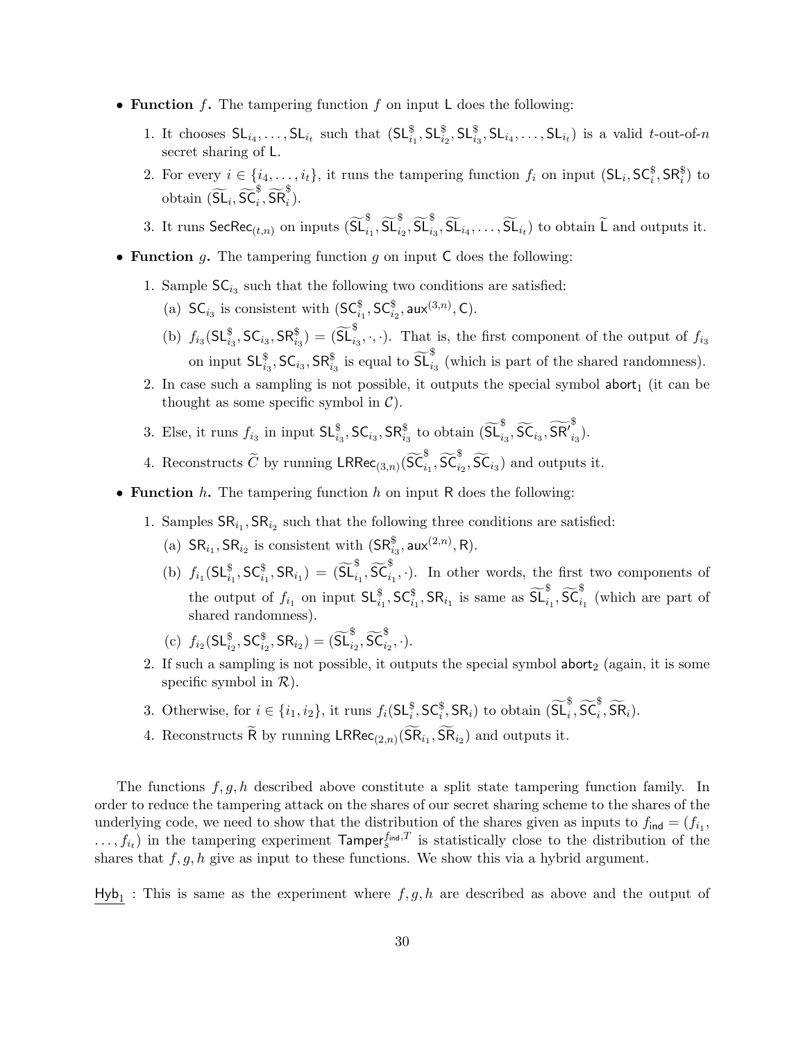- Function f. The tampering function f on input L does the following:
	- 1. It chooses  $SL_{i_4},\ldots, SL_{i_t}$  such that  $(SL_{i_1}^{\$}, SL_{i_2}^{\$}, SL_{i_3}^{\$}, SL_{i_4},\ldots, SL_{i_t})$  is a valid t-out-of-n secret sharing of L.
	- 2. For every  $i \in \{i_4, \ldots, i_t\}$ , it runs the tampering function  $f_i$  on input  $(\mathsf{SL}_i, \mathsf{SC}_i^{\$}, \mathsf{SR}_i^{\$})$  to obtain  $(\widetilde{\mathsf{SL}}_i, \widetilde{\mathsf{SC}}_i^{\$}, \widetilde{\mathsf{SR}}_i^{\$}).$
	- 3. It runs  $\mathsf{SecRec}_{(t,n)}$  on inputs  $(\widetilde{\mathsf{SL}}_{i_1}^{\$}, \widetilde{\mathsf{SL}}_{i_2}^{\$}, \widetilde{\mathsf{SL}}_{i_3}^{\$}, \widetilde{\mathsf{SL}}_{i_4}, \ldots, \widetilde{\mathsf{SL}}_{i_t})$  to obtain  $\widetilde{\mathsf{L}}$  and outputs it.
- Function  $g$ . The tampering function  $g$  on input C does the following:
	- 1. Sample  $SC_{i_3}$  such that the following two conditions are satisfied:
		- (a)  $SC_{i_3}$  is consistent with  $(SC_{i_1}^{\$}, SC_{i_2}^{\$}, aux^{(3,n)}, C)$ .
		- (b)  $f_{i_3}(\mathsf{SL}_{i_3}^{\$}, \mathsf{SC}_{i_3}, \mathsf{SR}_{i_3}^{\$}) = (\widetilde{\mathsf{SL}}_{i_3}^{\$}, \cdot, \cdot)$ . That is, the first component of the output of  $f_{i_3}$ on input  $\mathsf{SL}_{i_3}^{\$}$ ,  $\mathsf{SC}_{i_3}$ ,  $\mathsf{SR}_{i_3}^{\$}$  is equal to  $\widetilde{\mathsf{SL}}_{i_3}^{\$}$  (which is part of the shared randomness).
	- 2. In case such a sampling is not possible, it outputs the special symbol abort<sub>1</sub> (it can be thought as some specific symbol in  $\mathcal{C}$ ).
	- 3. Else, it runs  $f_{i_3}$  in input  $\mathsf{SL}^{\$}_{i_3}$ ,  $\mathsf{SC}_{i_3}$ ,  $\mathsf{SR}^{\$}_{i_3}$  to obtain  $(\widetilde{\mathsf{SL}}^{\$}_{i_3}, \widetilde{\mathsf{SC}}_{i_3}, \widetilde{\mathsf{SR}}^{\$}_{i_3})$  $_{i_3}).$
	- 4. Reconstructs  $\widetilde{C}$  by running  $\mathsf{LRRec}_{(3,n)}(\widetilde{SC}_{i_1}^{\$},\widetilde{SC}_{i_2}^{\$},\widetilde{SC}_{i_3})$  and outputs it.
- Function  $h$ . The tampering function  $h$  on input R does the following:
	- 1. Samples  $\text{SR}_{i_1}$ ,  $\text{SR}_{i_2}$  such that the following three conditions are satisfied:
		- (a)  $\text{SR}_{i_1}, \text{SR}_{i_2}$  is consistent with  $(\text{SR}_{i_3}^{\$}, \text{aux}^{(2,n)}, \text{R})$ .
		- (b)  $f_{i_1}(\mathsf{SL}_{i_1}^{\$},\mathsf{SC}_{i_1}^{\$},\mathsf{SR}_{i_1}) = (\widetilde{\mathsf{SL}}_{i_1}^{\$},\widetilde{\mathsf{SC}}_{i_1}^{\$},\cdot).$  In other words, the first two components of the output of  $f_{i_1}$  on input  $\mathsf{SL}^{\$}_{i_1}$ ,  $\mathsf{SC}^{\$}_{i_1}$ ,  $\mathsf{SR}_{i_1}$  is same as  $\widetilde{\mathsf{SL}}^{\$}_{i_1}$ ,  $\widetilde{\mathsf{SC}}^{\$}_{i_1}$  (which are part of shared randomness).
		- (c)  $f_{i_2}(\mathsf{SL}_{i_2}^{\$}, \mathsf{SC}_{i_2}^{\$}, \mathsf{SR}_{i_2}) = (\widetilde{\mathsf{SL}}_{i_2}^{\$}, \widetilde{\mathsf{SC}}_{i_2}^{\$}, \cdot).$
	- 2. If such a sampling is not possible, it outputs the special symbol abort<sub>2</sub> (again, it is some specific symbol in  $\mathcal{R}$ ).
	- 3. Otherwise, for  $i \in \{i_1, i_2\}$ , it runs  $f_i(\mathsf{SL}_i^{\$}, \mathsf{SC}_i^{\$}, \mathsf{SR}_i)$  to obtain  $(\widetilde{\mathsf{SL}}_i^{\$}, \widetilde{\mathsf{SC}}_i^{\$}, \widetilde{\mathsf{SR}}_i)$ .
	- 4. Reconstructs R by running  $\mathsf{LRRec}_{(2,n)}(\mathsf{SR}_{i_1}, \mathsf{SR}_{i_2})$  and outputs it.

The functions  $f, g, h$  described above constitute a split state tampering function family. In order to reduce the tampering attack on the shares of our secret sharing scheme to the shares of the underlying code, we need to show that the distribution of the shares given as inputs to  $f_{\text{ind}} = (f_{i_1},$  $\dots, f_{i_t}$ ) in the tampering experiment  $\mathsf{Tameer}_{s}^{f_{\mathsf{ind}},T}$  is statistically close to the distribution of the shares that  $f, g, h$  give as input to these functions. We show this via a hybrid argument.

 $Hyb_1$ : This is same as the experiment where  $f, g, h$  are described as above and the output of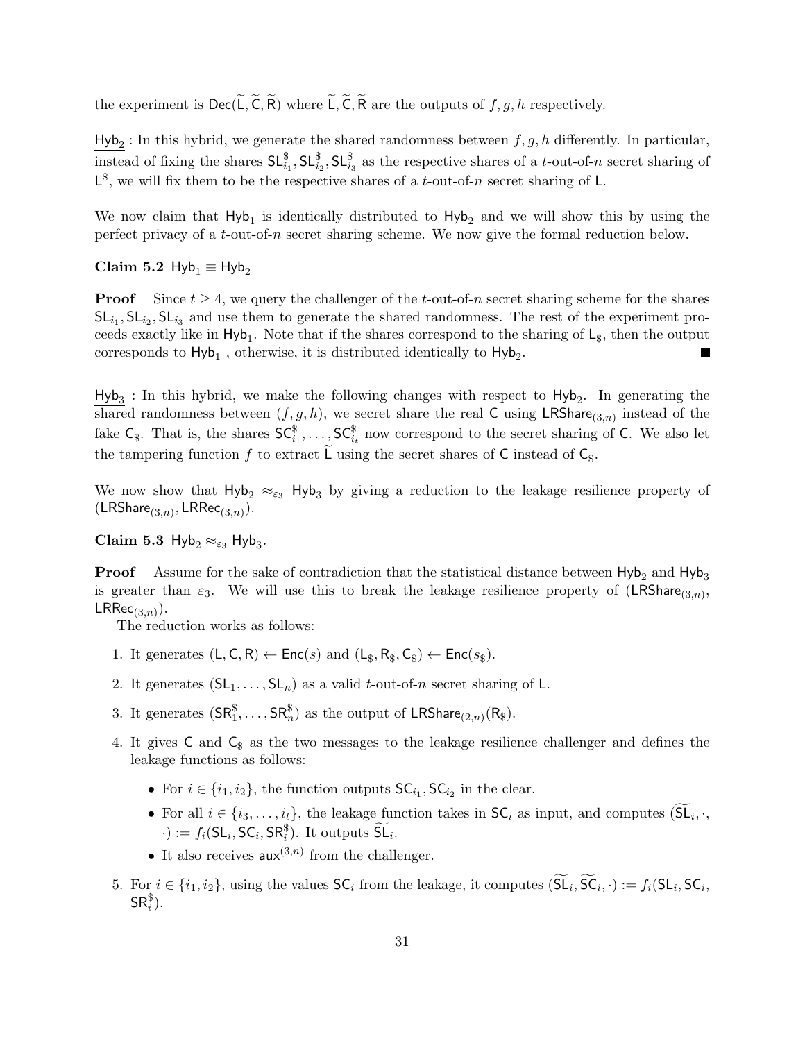the experiment is  $\text{Dec}(\widetilde{L}, \widetilde{C}, \widetilde{R})$  where  $\widetilde{L}, \widetilde{C}, \widetilde{R}$  are the outputs of  $f, g, h$  respectively.

 $\text{Hyb}_2$ : In this hybrid, we generate the shared randomness between  $f, g, h$  differently. In particular, instead of fixing the shares  $SL_{i_1}^{\$}$ ,  $SL_{i_2}^{\$}$ ,  $SL_{i_3}^{\$}$  as the respective shares of a *t*-out-of-n secret sharing of  $\mathsf{L}^{\$}$ , we will fix them to be the respective shares of a *t*-out-of-n secret sharing of L.

We now claim that  $Hyb_1$  is identically distributed to  $Hyb_2$  and we will show this by using the perfect privacy of a t-out-of-n secret sharing scheme. We now give the formal reduction below.

Claim 5.2 Hyb<sub>1</sub>  $\equiv$  Hyb<sub>2</sub>

**Proof** Since  $t \geq 4$ , we query the challenger of the t-out-of-n secret sharing scheme for the shares  $SL_{i_1}$ ,  $SL_{i_2}$ ,  $SL_{i_3}$  and use them to generate the shared randomness. The rest of the experiment proceeds exactly like in  $Hyb_1$ . Note that if the shares correspond to the sharing of  $L_{\$}$ , then the output corresponds to  $\mathsf{Hyb}_1$  , otherwise, it is distributed identically to  $\mathsf{Hyb}_2$ . ×

 $Hyb<sub>3</sub>$ : In this hybrid, we make the following changes with respect to  $Hyb<sub>2</sub>$ . In generating the shared randomness between  $(f, g, h)$ , we secret share the real C using LRShare<sub>(3,n)</sub> instead of the fake  $\mathsf{C}_{\$}$ . That is, the shares  $\mathsf{SC}_{i_1}^{\$}$ ,...,  $\mathsf{SC}_{i_t}^{\$}$  now correspond to the secret sharing of C. We also let the tampering function  $f$  to extract L using the secret shares of C instead of  $C_{\$}$ .

We now show that  $H_yb_2 \approx_{\epsilon_3} H_yb_3$  by giving a reduction to the leakage resilience property of  $(\mathsf{LRShare}_{(3,n)}, \mathsf{LRRec}_{(3,n)}).$ 

Claim 5.3 Hyb<sub>2</sub>  $\approx_{\varepsilon_3}$  Hyb<sub>3</sub>.

**Proof** Assume for the sake of contradiction that the statistical distance between  $Hyb_2$  and  $Hyb_3$ is greater than  $\varepsilon_3$ . We will use this to break the leakage resilience property of  $(LRShare_{(3,n)},$  $\mathsf{LRRec}_{(3,n)}).$ 

The reduction works as follows:

- 1. It generates  $(L, C, R) \leftarrow \text{Enc}(s)$  and  $(L_{\$}, R_{\$}, C_{\$}) \leftarrow \text{Enc}(s_{\$})$ .
- 2. It generates  $(SL_1, \ldots, SL_n)$  as a valid t-out-of-n secret sharing of L.
- 3. It generates  $(\mathsf{SR}^{\$}_1, \ldots, \mathsf{SR}^{\$}_n)$  as the output of  $\mathsf{LRShare}_{(2,n)}(\mathsf{R}_\$)$ .
- 4. It gives  $C$  and  $C_{\$}$  as the two messages to the leakage resilience challenger and defines the leakage functions as follows:
	- For  $i \in \{i_1, i_2\}$ , the function outputs  $\mathsf{SC}_{i_1}$ ,  $\mathsf{SC}_{i_2}$  in the clear.
	- For all  $i \in \{i_3, \ldots, i_t\}$ , the leakage function takes in  $\mathsf{SC}_i$  as input, and computes  $(\mathsf{SL}_i, \cdot, \cdot)$  $\cdot$ ) :=  $f_i(\mathsf{SL}_i, \mathsf{SC}_i, \mathsf{SR}_i^{\$})$ . It outputs  $\widetilde{\mathsf{SL}}_i$ .
	- It also receives  $\mathsf{aux}^{(3,n)}$  from the challenger.
- 5. For  $i \in \{i_1, i_2\}$ , using the values  $\mathsf{SC}_i$  from the leakage, it computes  $(\mathsf{SL}_i, \mathsf{SC}_i, \cdot) := f_i(\mathsf{SL}_i, \mathsf{SC}_i, \cdot)$  $\mathsf{SR}^{\$}_i$ ).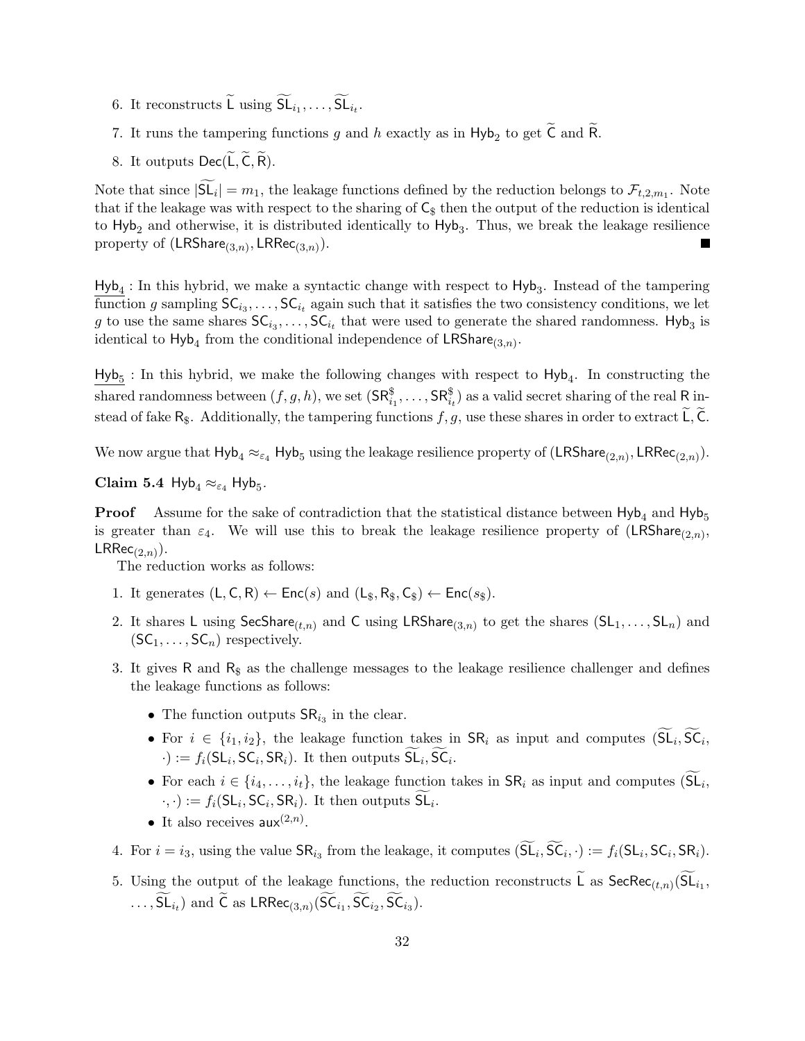- 6. It reconstructs L using  $SL_{i_1}, \ldots, SL_{i_t}$ .
- 7. It runs the tampering functions  $g$  and  $h$  exactly as in  $Hyb_2$  to get C and R.
- 8. It outputs  $Dec(L, C, R)$ .

Note that since  $|\mathsf{SL}_i| = m_1$ , the leakage functions defined by the reduction belongs to  $\mathcal{F}_{t,2,m_1}$ . Note that if the leakage was with respect to the sharing of  $\mathsf{C}_\$$  then the output of the reduction is identical to  $Hyb<sub>2</sub>$  and otherwise, it is distributed identically to  $Hyb<sub>3</sub>$ . Thus, we break the leakage resilience property of  $(\mathsf{LRShare}_{(3,n)}, \mathsf{LRRec}_{(3,n)}).$ П

 $Hyb<sub>4</sub>$ : In this hybrid, we make a syntactic change with respect to  $Hyb<sub>3</sub>$ . Instead of the tampering function g sampling  $SC_{i_3}, \ldots, SC_{i_t}$  again such that it satisfies the two consistency conditions, we let g to use the same shares  $\mathsf{SC}_{i_3}, \ldots, \mathsf{SC}_{i_t}$  that were used to generate the shared randomness. Hyb<sub>3</sub> is identical to  $\mathsf{Hyb}_4$  from the conditional independence of  $\mathsf{LRShare}_{(3,n)}$ .

 $Hyb<sub>5</sub>$ : In this hybrid, we make the following changes with respect to  $Hyb<sub>4</sub>$ . In constructing the shared randomness between  $(f, g, h)$ , we set  $(\mathsf{SR}^{\$}_{i_1}, \ldots, \mathsf{SR}^{\$}_{i_t})$  as a valid secret sharing of the real R instead of fake  $R_{\$}$ . Additionally, the tampering functions  $f, g$ , use these shares in order to extract L, C.

We now argue that  $Hyb_4 \approx_{\varepsilon_4} Hyb_5$  using the leakage resilience property of  $(LRShare_{(2,n)}, LRRec_{(2,n)})$ .

Claim 5.4  $Hyb_4 \approx_{\varepsilon_4} Hyb_5$ .

**Proof** Assume for the sake of contradiction that the statistical distance between  $Hyb_4$  and  $Hyb_5$ is greater than  $\varepsilon_4$ . We will use this to break the leakage resilience property of  $(LRShare_{(2,n)},$  $LRRec_{(2,n)}).$ 

The reduction works as follows:

- 1. It generates  $(L, C, R) \leftarrow \text{Enc}(s)$  and  $(L_s, R_s, C_s) \leftarrow \text{Enc}(s_s)$ .
- 2. It shares L using SecShare<sub>(t,n)</sub> and C using LRShare<sub>(3,n)</sub> to get the shares  $(SL_1, \ldots, SL_n)$  and  $(SC_1, \ldots, SC_n)$  respectively.
- 3. It gives R and  $R_{\rm s}$  as the challenge messages to the leakage resilience challenger and defines the leakage functions as follows:
	- The function outputs  $\text{SR}_{i_3}$  in the clear.
	- For  $i \in \{i_1, i_2\}$ , the leakage function takes in  $\mathsf{SR}_i$  as input and computes  $(\mathsf{SL}_i, \mathsf{SC}_i,$  $\cdot$ ) :=  $f_i(\mathsf{SL}_i, \mathsf{SC}_i, \mathsf{SR}_i)$ . It then outputs  $\mathsf{SL}_i, \mathsf{SC}_i$ .
	- For each  $i \in \{i_4, \ldots, i_t\}$ , the leakage function takes in  $\mathsf{SR}_i$  as input and computes  $(\mathsf{SL}_i,$  $\cdot, \cdot) := f_i(\mathsf{SL}_i, \mathsf{SC}_i, \mathsf{SR}_i)$ . It then outputs  $\mathsf{SL}_i$ .
	- It also receives  $\mathsf{aux}^{(2,n)}$ .
- 4. For  $i = i_3$ , using the value  $SR_{i_3}$  from the leakage, it computes  $(SL_i, SC_i, \cdot) := f_i(SL_i, SC_i, SR_i)$ .
- 5. Using the output of the leakage functions, the reduction reconstructs L as  $\mathsf{SecRec}_{(t,n)}(\mathsf{SL}_{i_1},$  $\dots$ , SL<sub>it</sub>) and C as LRRec<sub>(3,n)</sub>(SC<sub>i<sub>1</sub></sub>, SC<sub>i<sub>2</sub></sub>, SC<sub>i<sub>3</sub>).</sub>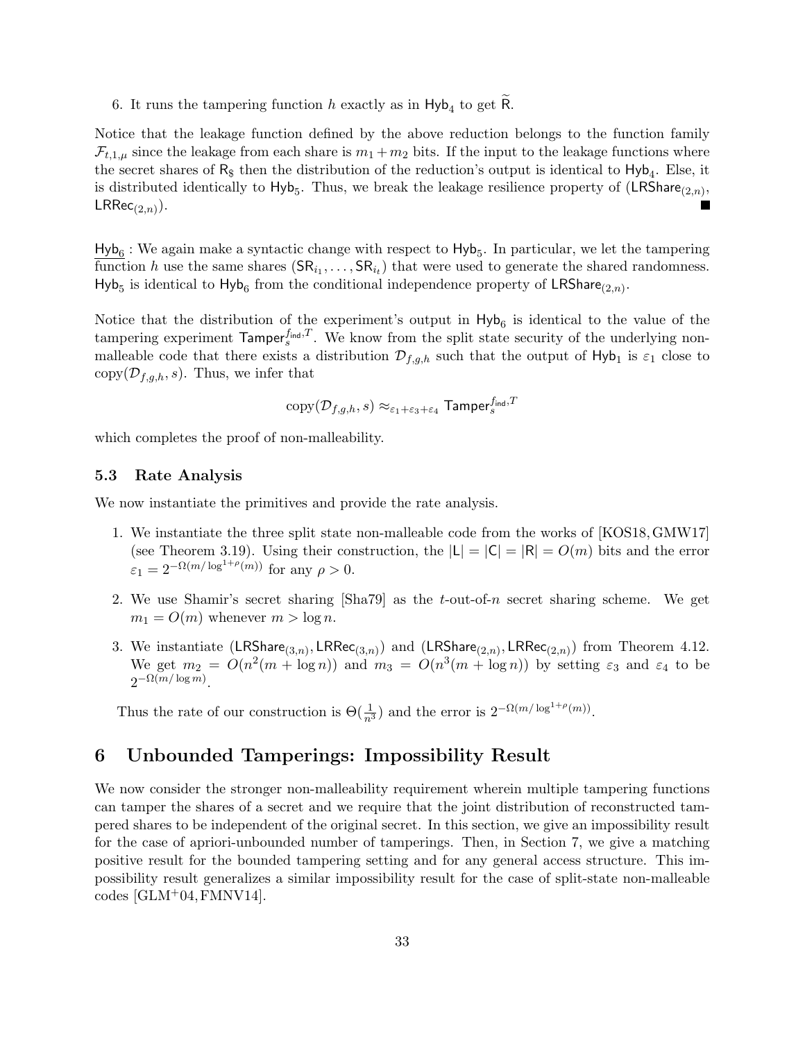6. It runs the tampering function h exactly as in  $Hyb_4$  to get R.

Notice that the leakage function defined by the above reduction belongs to the function family  $\mathcal{F}_{t,1,\mu}$  since the leakage from each share is  $m_1 + m_2$  bits. If the input to the leakage functions where the secret shares of  $R_{\$}$  then the distribution of the reduction's output is identical to  $Hyb_4$ . Else, it is distributed identically to  $Hyb_5$ . Thus, we break the leakage resilience property of  $(LRShare_{(2,n)},$  $\mathsf{LRRec}_{(2,n)}).$ П

 $Hyb<sub>6</sub>$ : We again make a syntactic change with respect to  $Hyb<sub>5</sub>$ . In particular, we let the tampering function h use the same shares  $(SR_{i_1},...,SR_{i_t})$  that were used to generate the shared randomness. Hyb<sub>5</sub> is identical to Hyb<sub>6</sub> from the conditional independence property of LRShare<sub>(2,n)</sub>.

Notice that the distribution of the experiment's output in  $Hyb_6$  is identical to the value of the tampering experiment  $\mathsf{Tamper}_{s}^{f_{\text{ind}},T}$ . We know from the split state security of the underlying nonmalleable code that there exists a distribution  $\mathcal{D}_{f,g,h}$  such that the output of  $Hyb_1$  is  $\varepsilon_1$  close to copy $(\mathcal{D}_{f,q,h}, s)$ . Thus, we infer that

$$
\text{copy}(\mathcal{D}_{f,g,h},s) \approx_{\varepsilon_1+\varepsilon_3+\varepsilon_4} \textsf{Tamper}_s^{f_{\textsf{ind}},T}
$$

which completes the proof of non-malleability.

#### <span id="page-32-0"></span>5.3 Rate Analysis

We now instantiate the primitives and provide the rate analysis.

- 1. We instantiate the three split state non-malleable code from the works of [\[KOS18,](#page-47-5)[GMW17\]](#page-46-4) (see Theorem [3.19\)](#page-16-0). Using their construction, the  $|L| = |C| = |R| = O(m)$  bits and the error  $\varepsilon_1 = 2^{-\Omega(m/\log^{1+\rho}(m))}$  for any  $\rho > 0$ .
- 2. We use Shamir's secret sharing  $[\text{Sha}79]$  as the t-out-of-n secret sharing scheme. We get  $m_1 = O(m)$  whenever  $m > \log n$ .
- 3. We instantiate  $(\mathsf{LRShare}_{(3,n)}, \mathsf{LRRec}_{(3,n)})$  and  $(\mathsf{LRShare}_{(2,n)}, \mathsf{LRRec}_{(2,n)})$  from Theorem [4.12.](#page-23-2) We get  $m_2 = O(n^2(m + \log n))$  and  $m_3 = O(n^3(m + \log n))$  by setting  $\varepsilon_3$  and  $\varepsilon_4$  to be  $2^{-\Omega(m/\log m)}$ .

Thus the rate of our construction is  $\Theta(\frac{1}{n^3})$  and the error is  $2^{-\Omega(m/\log^{1+\rho}(m))}$ .

## <span id="page-32-1"></span>6 Unbounded Tamperings: Impossibility Result

We now consider the stronger non-malleability requirement wherein multiple tampering functions can tamper the shares of a secret and we require that the joint distribution of reconstructed tampered shares to be independent of the original secret. In this section, we give an impossibility result for the case of apriori-unbounded number of tamperings. Then, in Section [7,](#page-33-1) we give a matching positive result for the bounded tampering setting and for any general access structure. This impossibility result generalizes a similar impossibility result for the case of split-state non-malleable codes  $[GLM+04, FMNV14]$  $[GLM+04, FMNV14]$  $[GLM+04, FMNV14]$ .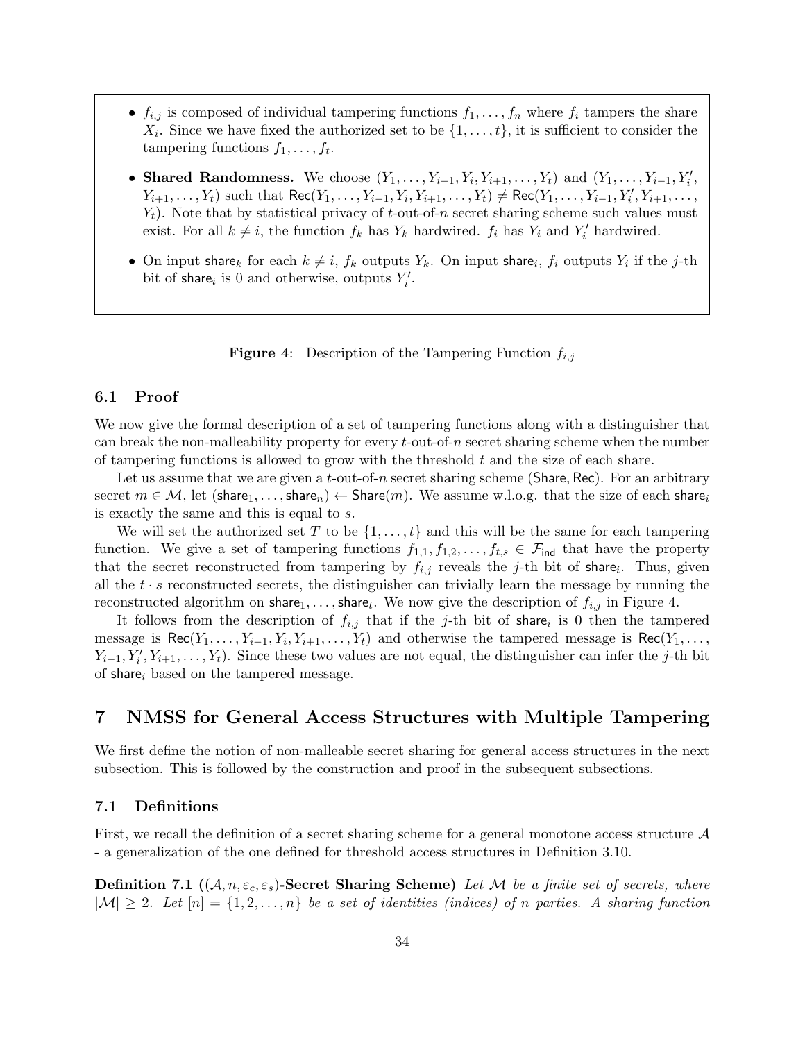- $f_{i,j}$  is composed of individual tampering functions  $f_1, \ldots, f_n$  where  $f_i$  tampers the share  $X_i$ . Since we have fixed the authorized set to be  $\{1, \ldots, t\}$ , it is sufficient to consider the tampering functions  $f_1, \ldots, f_t$ .
- Shared Randomness. We choose  $(Y_1, \ldots, Y_{i-1}, Y_i, Y_{i+1}, \ldots, Y_t)$  and  $(Y_1, \ldots, Y_{i-1}, Y_i',$  $Y_{i+1}, \ldots, Y_t$ ) such that  $\text{Rec}(Y_1, \ldots, Y_{i-1}, Y_i, Y_{i+1}, \ldots, Y_t) \neq \text{Rec}(Y_1, \ldots, Y_{i-1}, Y_i', Y_{i+1}, \ldots, Y_t)$  $Y_t$ ). Note that by statistical privacy of t-out-of-n secret sharing scheme such values must exist. For all  $k \neq i$ , the function  $f_k$  has  $Y_k$  hardwired.  $f_i$  has  $Y_i$  and  $Y'_i$  hardwired.
- On input share<sub>k</sub> for each  $k \neq i$ ,  $f_k$  outputs  $Y_k$ . On input share<sub>i</sub>,  $f_i$  outputs  $Y_i$  if the j-th bit of share<sub>i</sub> is 0 and otherwise, outputs  $Y_i'$ .

<span id="page-33-3"></span>**Figure 4:** Description of the Tampering Function  $f_{i,j}$ 

#### <span id="page-33-0"></span>6.1 Proof

We now give the formal description of a set of tampering functions along with a distinguisher that can break the non-malleability property for every  $t$ -out-of-n secret sharing scheme when the number of tampering functions is allowed to grow with the threshold  $t$  and the size of each share.

Let us assume that we are given a *t*-out-of-*n* secret sharing scheme (Share, Rec). For an arbitrary secret  $m \in \mathcal{M}$ , let  $(\text{share}_1, \ldots, \text{share}_n) \leftarrow \text{Share}(m)$ . We assume w.l.o.g. that the size of each share<sub>i</sub> is exactly the same and this is equal to s.

We will set the authorized set T to be  $\{1, \ldots, t\}$  and this will be the same for each tampering function. We give a set of tampering functions  $f_{1,1}, f_{1,2}, \ldots, f_{t,s} \in \mathcal{F}_{\text{ind}}$  that have the property that the secret reconstructed from tampering by  $f_{i,j}$  reveals the j-th bit of share. Thus, given all the  $t \cdot s$  reconstructed secrets, the distinguisher can trivially learn the message by running the reconstructed algorithm on  ${\sf share}_1, \ldots, {\sf share}_t$ . We now give the description of  $f_{i,j}$  in Figure [4.](#page-33-3)

It follows from the description of  $f_{i,j}$  that if the j-th bit of share<sub>i</sub> is 0 then the tampered message is  $\text{Rec}(Y_1, \ldots, Y_{i-1}, Y_i, Y_{i+1}, \ldots, Y_t)$  and otherwise the tampered message is  $\text{Rec}(Y_1, \ldots, Y_t)$  $Y_{i-1}, Y_i', Y_{i+1}, \ldots, Y_t$ ). Since these two values are not equal, the distinguisher can infer the j-th bit of share<sub>i</sub> based on the tampered message.

## <span id="page-33-1"></span>7 NMSS for General Access Structures with Multiple Tampering

We first define the notion of non-malleable secret sharing for general access structures in the next subsection. This is followed by the construction and proof in the subsequent subsections.

#### <span id="page-33-2"></span>7.1 Definitions

First, we recall the definition of a secret sharing scheme for a general monotone access structure A - a generalization of the one defined for threshold access structures in [Definition 3.10.](#page-14-0)

**Definition 7.1**  $((A, n, \varepsilon_c, \varepsilon_s)$ -Secret Sharing Scheme) Let M be a finite set of secrets, where  $|M| \geq 2$ . Let  $[n] = \{1, 2, ..., n\}$  be a set of identities (indices) of n parties. A sharing function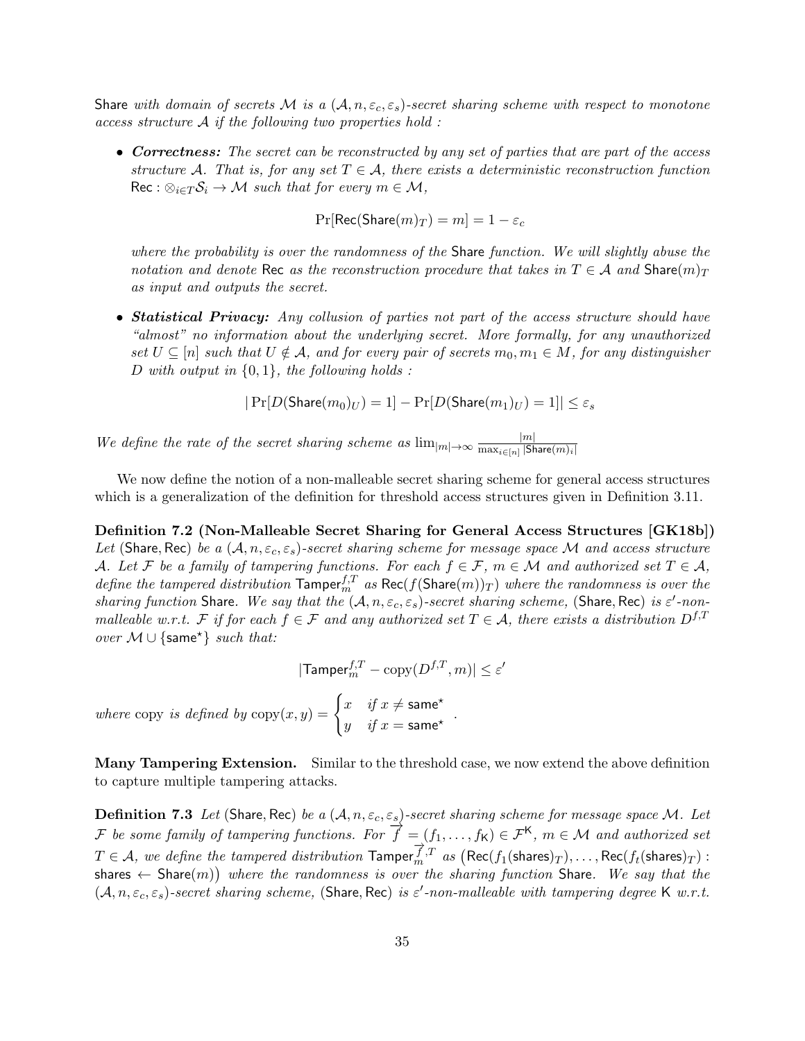Share with domain of secrets M is a  $(A, n, \varepsilon_c, \varepsilon_s)$ -secret sharing scheme with respect to monotone  $access$  structure  $A$  if the following two properties hold :

• Correctness: The secret can be reconstructed by any set of parties that are part of the access structure A. That is, for any set  $T \in \mathcal{A}$ , there exists a deterministic reconstruction function  $\text{Rec}: \otimes_{i \in T} S_i \to M \text{ such that for every } m \in M,$ 

$$
\Pr[\mathsf{Rec}(\mathsf{Share}(m)_T) = m] = 1 - \varepsilon_c
$$

where the probability is over the randomness of the Share function. We will slightly abuse the notation and denote Rec as the reconstruction procedure that takes in  $T \in \mathcal{A}$  and  $\text{Share}(m)_T$ as input and outputs the secret.

• Statistical Privacy: Any collusion of parties not part of the access structure should have "almost" no information about the underlying secret. More formally, for any unauthorized set  $U \subseteq [n]$  such that  $U \notin \mathcal{A}$ , and for every pair of secrets  $m_0, m_1 \in M$ , for any distinguisher D with output in  $\{0,1\}$ , the following holds:

$$
|\Pr[D(\text{Share}(m_0)_U) = 1] - \Pr[D(\text{Share}(m_1)_U) = 1]| \le \varepsilon_s
$$

We define the rate of the secret sharing scheme as  $\lim_{|m|\to\infty} \frac{|m|}{\max_{i\in[n]} |S|}$  $\max_{i \in [n]} |\mathsf{Share}(m)_i|$ 

We now define the notion of a non-malleable secret sharing scheme for general access structures which is a generalization of the definition for threshold access structures given in [Definition 3.11.](#page-14-1)

Definition 7.2 (Non-Malleable Secret Sharing for General Access Structures [\[GK18b\]](#page-45-3)) Let (Share, Rec) be a  $(A, n, \varepsilon_c, \varepsilon_s)$ -secret sharing scheme for message space M and access structure A. Let F be a family of tampering functions. For each  $f \in \mathcal{F}$ ,  $m \in \mathcal{M}$  and authorized set  $T \in \mathcal{A}$ , define the tampered distribution  $\text{Tamper}_m^{f,T}$  as  $\text{Rec}(f(\text{Share}(m))_T)$  where the randomness is over the sharing function Share. We say that the  $(A, n, \varepsilon_c, \varepsilon_s)$ -secret sharing scheme, (Share, Rec) is  $\varepsilon'$ -nonmalleable w.r.t. F if for each  $f \in \mathcal{F}$  and any authorized set  $T \in \mathcal{A}$ , there exists a distribution  $D^{f,T}$ *over*  $M \cup \{same^*\}$  *such that:* 

$$
|\textsf{Tamper}_m^{f,T} - \text{copy}(D^{f,T},m)| \leq \varepsilon'
$$

where copy is defined by  $\text{copy}(x, y) = \begin{cases} x & \text{if } x \neq \textsf{same}^{\star} \\ y & \text{if } y \neq \textsf{some} \end{cases}$  $\begin{array}{ll} x & y & x \ y & \text{if } x = \textsf{same}^{\star} \end{array}$ 

Many Tampering Extension. Similar to the threshold case, we now extend the above definition to capture multiple tampering attacks.

**Definition 7.3** Let (Share, Rec) be a  $(A, n, \varepsilon_c, \varepsilon_s)$ -secret sharing scheme for message space M. Let F be some family of tampering functions. For  $\overrightarrow{f} = (f_1, \ldots, f_K) \in \mathcal{F}^K$ ,  $m \in \mathcal{M}$  and authorized set  $T \in \mathcal{A}$ , we define the tampered distribution  $\text{Tame}(\overrightarrow{f_n})^T$  as  $(\text{Rec}(f_1(\text{shares})_T), \dots, \text{Rec}(f_t(\text{shares})_T)$ : shares  $\leftarrow$  Share $(m)$ ) where the randomness is over the sharing function Share. We say that the  $(A, n, \varepsilon_c, \varepsilon_s)$ -secret sharing scheme, (Share, Rec) is  $\varepsilon'$ -non-malleable with tampering degree K w.r.t.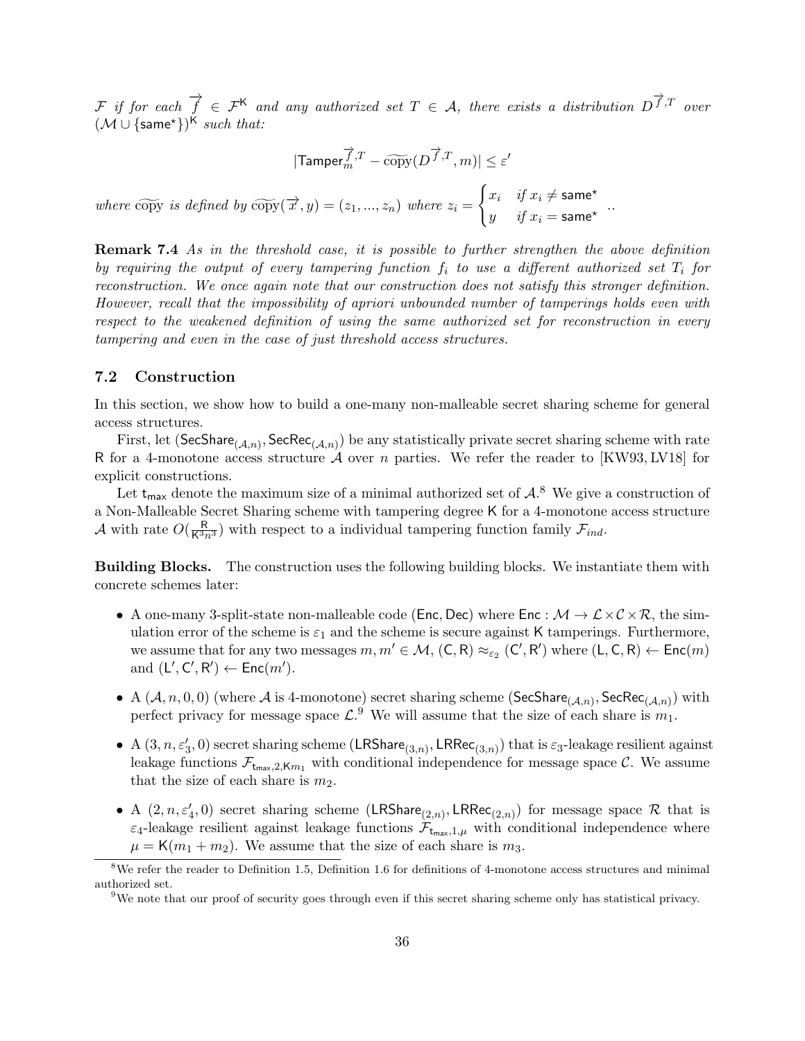F if for each  $\overrightarrow{f} \in \mathcal{F}^{\mathsf{K}}$  and any authorized set  $T \in \mathcal{A}$ , there exists a distribution  $D^{\overrightarrow{f},T}$  over  $(\mathcal{M} \cup \{\textsf{same}^{\star}\})^{\mathsf{K}}$  such that:

$$
|\mathrm{Tamper}_m^{\overrightarrow{f},T}-\widetilde{\operatorname{copy}}(D^{\overrightarrow{f},T},m)|\leq \varepsilon'
$$

where copy is defined by  $\widetilde{\text{copy}}(\overrightarrow{x}, y) = (z_1, ..., z_n)$  where  $z_i = \begin{cases} x_i & \text{if } x_i \neq \textsf{same}^\star \\ y & \text{if } x_i = \textsf{same}^\star \end{cases}$  $y$  if  $x_i = \text{same}^*$  .

Remark 7.4 As in the threshold case, it is possible to further strengthen the above definition by requiring the output of every tampering function  $f_i$  to use a different authorized set  $T_i$  for reconstruction. We once again note that our construction does not satisfy this stronger definition. However, recall that the impossibility of apriori unbounded number of tamperings holds even with respect to the weakened definition of using the same authorized set for reconstruction in every tampering and even in the case of just threshold access structures.

#### <span id="page-35-0"></span>7.2 Construction

In this section, we show how to build a one-many non-malleable secret sharing scheme for general access structures.

First, let  $(\mathsf{SecShare}_{(\mathcal{A},n)}, \mathsf{SecRec}_{(\mathcal{A},n)})$  be any statistically private secret sharing scheme with rate R for a 4-monotone access structure A over n parties. We refer the reader to [\[KW93,](#page-47-7) [LV18\]](#page-47-8) for explicit constructions.

Let  $t_{\text{max}}$  denote the maximum size of a minimal authorized set of  $\mathcal{A}$ .<sup>[8](#page-35-1)</sup> We give a construction of a Non-Malleable Secret Sharing scheme with tampering degree K for a 4-monotone access structure A with rate  $O(\frac{R}{K^3 n^3})$  with respect to a individual tampering function family  $\mathcal{F}_{ind}$ .

Building Blocks. The construction uses the following building blocks. We instantiate them with concrete schemes later:

- A one-many 3-split-state non-malleable code (Enc, Dec) where  $Enc : \mathcal{M} \to \mathcal{L} \times \mathcal{C} \times \mathcal{R}$ , the simulation error of the scheme is  $\varepsilon_1$  and the scheme is secure against K tamperings. Furthermore, we assume that for any two messages  $m, m' \in \mathcal{M}$ ,  $(C, R) \approx_{\varepsilon_2} (C', R')$  where  $(L, C, R) \leftarrow \text{Enc}(m)$ and  $(L', C', R') \leftarrow \mathsf{Enc}(m')$ .
- A  $(A, n, 0, 0)$  (where  $A$  is 4-monotone) secret sharing scheme (SecShare $_{(A,n)}$ , SecRec $_{(A,n)})$  with perfect privacy for message space  $\mathcal{L}^9$  $\mathcal{L}^9$ . We will assume that the size of each share is  $m_1$ .
- A  $(3, n, \varepsilon_3', 0)$  secret sharing scheme  $(\mathsf{LRShare}_{(3,n)}, \mathsf{LRRec}_{(3,n)})$  that is  $\varepsilon_3$ -leakage resilient against leakage functions  $\mathcal{F}_{t_{max},2,Km_1}$  with conditional independence for message space C. We assume that the size of each share is  $m_2$ .
- A  $(2, n, \varepsilon_4', 0)$  secret sharing scheme  $(LRShare_{(2,n)}, LRRec_{(2,n)})$  for message space R that is  $\varepsilon_4$ -leakage resilient against leakage functions  $\mathcal{F}_{t_{\text{max}},1,\mu}$  with conditional independence where  $\mu = K(m_1 + m_2)$ . We assume that the size of each share is  $m_3$ .

<span id="page-35-1"></span><sup>8</sup>We refer the reader to [Definition 1.5,](#page-5-3) [Definition 1.6](#page-5-4) for definitions of 4-monotone access structures and minimal authorized set.

<span id="page-35-2"></span><sup>9</sup>We note that our proof of security goes through even if this secret sharing scheme only has statistical privacy.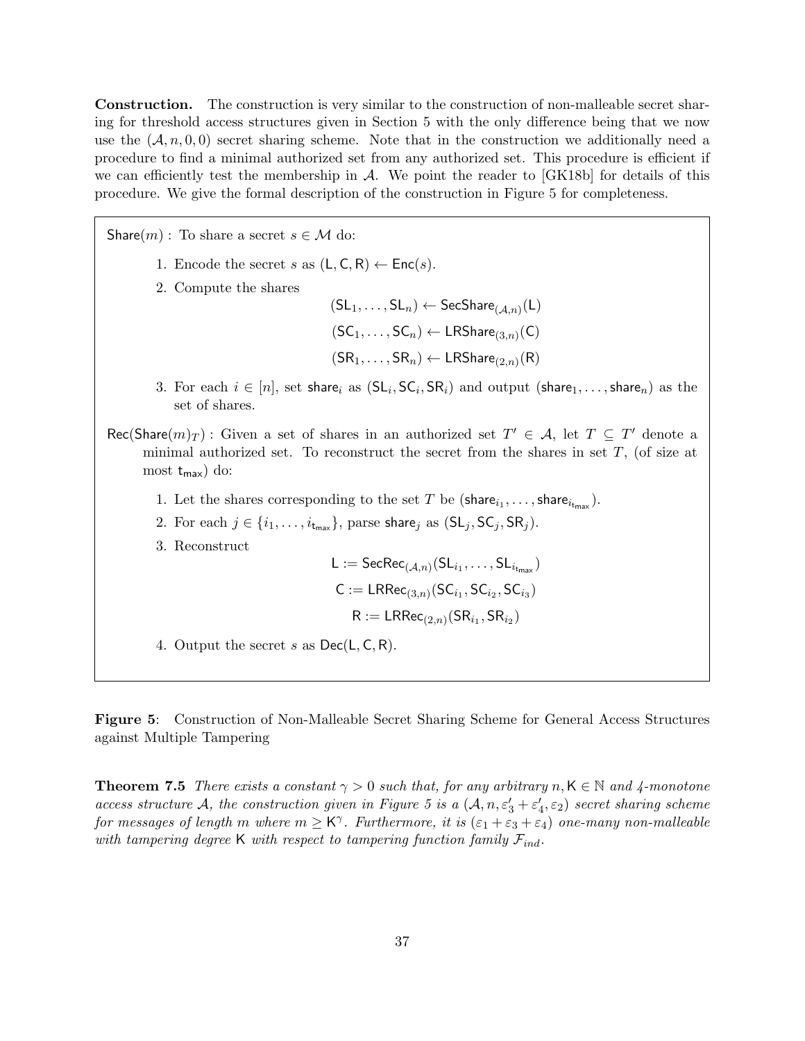Construction. The construction is very similar to the construction of non-malleable secret sharing for threshold access structures given in [Section 5](#page-26-0) with the only difference being that we now use the  $(A, n, 0, 0)$  secret sharing scheme. Note that in the construction we additionally need a procedure to find a minimal authorized set from any authorized set. This procedure is efficient if we can efficiently test the membership in  $\mathcal{A}$ . We point the reader to  $[GK18b]$  for details of this procedure. We give the formal description of the construction in Figure [5](#page-36-1) for completeness.

Share(m) : To share a secret  $s \in \mathcal{M}$  do: 1. Encode the secret s as  $(L, C, R) \leftarrow \text{Enc}(s)$ . 2. Compute the shares  $(\mathsf{SL}_1,\ldots,\mathsf{SL}_n)\leftarrow \mathsf{SecShare}_{(\mathcal{A},n)}(\mathsf{L})$  $(\mathsf{SC}_1, \ldots, \mathsf{SC}_n) \leftarrow \mathsf{LRShare}_{(3,n)}(\mathsf{C})$  $(SR_1, \ldots, SR_n) \leftarrow \mathsf{LRShare}_{(2,n)}(R)$ 3. For each  $i \in [n]$ , set share<sub>i</sub> as  $(S\mathsf{L}_i, \mathsf{SC}_i, \mathsf{SR}_i)$  and output  $(\mathsf{share}_1, \ldots, \mathsf{share}_n)$  as the set of shares. Rec(Share $(m)_T$ ): Given a set of shares in an authorized set  $T' \in \mathcal{A}$ , let  $T \subseteq T'$  denote a minimal authorized set. To reconstruct the secret from the shares in set  $T$ , (of size at most  $t_{\text{max}}$ ) do: 1. Let the shares corresponding to the set T be  $(\text{share}_{i_1}, \ldots, \text{share}_{i_{t_{max}}}).$ 2. For each  $j \in \{i_1, \ldots, i_{t_{\text{max}}}\}\$ , parse share<sub>j</sub> as  $(SL_j, SC_j, SR_j)$ . 3. Reconstruct  $\mathsf{L} := \mathsf{SecRec}_{(\mathcal{A}, n)}(\mathsf{SL}_{i_1}, \dots, \mathsf{SL}_{i_{\mathsf{t_{\mathsf{max}}}}})$  $\mathsf{C} := \mathsf{LRRec}_{(3,n)}(\mathsf{SC}_{i_1},\mathsf{SC}_{i_2},\mathsf{SC}_{i_3})$  $\mathsf{R} := \mathsf{LRRec}_{(2,n)}(\mathsf{SR}_{i_1},\mathsf{SR}_{i_2})$ 4. Output the secret s as  $Dec(L, C, R)$ .

<span id="page-36-1"></span>Figure 5: Construction of Non-Malleable Secret Sharing Scheme for General Access Structures against Multiple Tampering

<span id="page-36-0"></span>**Theorem 7.5** There exists a constant  $\gamma > 0$  such that, for any arbitrary  $n, K \in \mathbb{N}$  and 4-monotone access structure A, the construction given in Figure [5](#page-36-1) is a  $(A, n, \varepsilon_3' + \varepsilon_4', \varepsilon_2)$  secret sharing scheme for messages of length m where  $m \geq K^{\gamma}$ . Furthermore, it is  $(\varepsilon_1 + \varepsilon_3 + \varepsilon_4)$  one-many non-malleable with tampering degree K with respect to tampering function family  $\mathcal{F}_{ind}$ .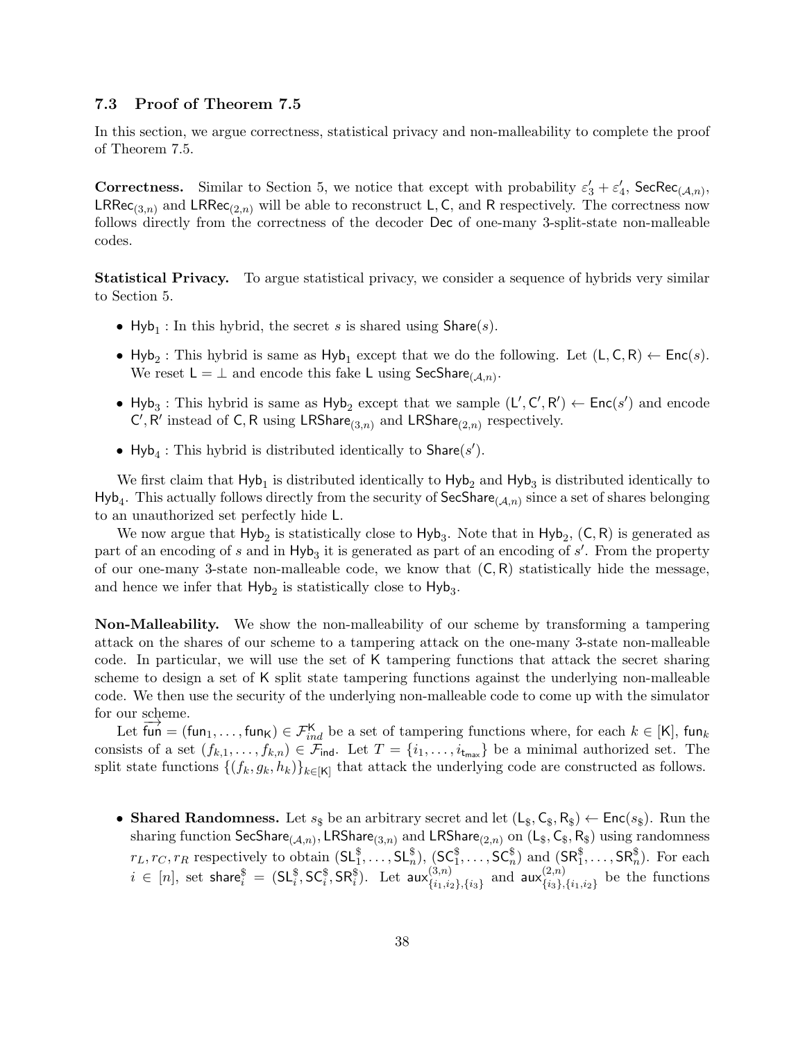#### <span id="page-37-0"></span>7.3 Proof of Theorem [7.5](#page-36-0)

In this section, we argue correctness, statistical privacy and non-malleability to complete the proof of [Theorem 7.5.](#page-36-0)

**Correctness.** Similar to [Section 5,](#page-26-0) we notice that except with probability  $\varepsilon'_3 + \varepsilon'_4$ , SecRec<sub>(A,n)</sub>,  $LRRec_{(3,n)}$  and  $LRRec_{(2,n)}$  will be able to reconstruct L, C, and R respectively. The correctness now follows directly from the correctness of the decoder Dec of one-many 3-split-state non-malleable codes.

Statistical Privacy. To argue statistical privacy, we consider a sequence of hybrids very similar to [Section 5.](#page-26-0)

- Hyb<sub>1</sub>: In this hybrid, the secret s is shared using  $\text{Share}(s)$ .
- Hyb<sub>2</sub>: This hybrid is same as Hyb<sub>1</sub> except that we do the following. Let  $(L, C, R) \leftarrow Enc(s)$ . We reset  $L = \perp$  and encode this fake L using SecShare<sub>(A,n)</sub>.
- Hyb<sub>3</sub>: This hybrid is same as Hyb<sub>2</sub> except that we sample  $(L', C', R') \leftarrow Enc(s')$  and encode  $C', R'$  instead of C, R using LRShare<sub>(3,n)</sub> and LRShare<sub>(2,n)</sub> respectively.
- Hyb<sub>4</sub>: This hybrid is distributed identically to  $\textsf{Share}(s')$ .

We first claim that  $Hyb_1$  is distributed identically to  $Hyb_2$  and  $Hyb_3$  is distributed identically to  $Hyb_4$ . This actually follows directly from the security of SecShare<sub>(A,n)</sub> since a set of shares belonging to an unauthorized set perfectly hide L.

We now argue that  $Hyb_2$  is statistically close to  $Hyb_3$ . Note that in  $Hyb_2$ ,  $(C, R)$  is generated as part of an encoding of s and in  $Hyb_3$  it is generated as part of an encoding of s'. From the property of our one-many 3-state non-malleable code, we know that  $(C, R)$  statistically hide the message, and hence we infer that  $Hyb<sub>2</sub>$  is statistically close to  $Hyb<sub>3</sub>$ .

Non-Malleability. We show the non-malleability of our scheme by transforming a tampering attack on the shares of our scheme to a tampering attack on the one-many 3-state non-malleable code. In particular, we will use the set of K tampering functions that attack the secret sharing scheme to design a set of K split state tampering functions against the underlying non-malleable code. We then use the security of the underlying non-malleable code to come up with the simulator for our scheme.

Let  $\overline{\text{fun}} = (\text{fun}_1, \dots, \text{fun}_K) \in \mathcal{F}_{ind}^{\mathsf{K}}$  be a set of tampering functions where, for each  $k \in [\mathsf{K}]$ , fun<sub>k</sub> consists of a set  $(f_{k,1},\ldots,f_{k,n})\in\mathcal{F}_{\text{ind}}$ . Let  $T=\{i_1,\ldots,i_{t_{\text{max}}}\}\$  be a minimal authorized set. The split state functions  $\{(f_k, g_k, h_k)\}_{k\in[K]}$  that attack the underlying code are constructed as follows.

• Shared Randomness. Let  $s_{\$}$  be an arbitrary secret and let  $(L_{\$}, C_{\$}, R_{\$}) \leftarrow \text{Enc}(s_{\$})$ . Run the sharing function  ${\sf SecShare}_{(\mathcal{A},n)},$   ${\sf LRShare}_{(3,n)}$  and  ${\sf LRShare}_{(2,n)}$  on  $({\sf L}_\$,{\sf C}_\$,{\sf R}_\$)$  using randomness  $r_L, r_C, r_R$  respectively to obtain  $(SL_1^{\$}, \ldots, SL_n^{\$}), (SC_1^{\$}, \ldots, SC_n^{\$})$  and  $(SR_1^{\$}, \ldots, SR_n^{\$}).$  For each  $i\,\in\,[n], \text{ set share}^{\$}\,=\,(\mathsf{SL}^{\$}_i, \mathsf{SC}^{\$}_i, \mathsf{SR}^{\$}_i). \,\,\,\text{Let}\,\,\mathsf{aux}^{(3,n)}_{\{i_1,i_2,i_3,i_4,i_5,i_6\}}.$  $_{\{i_1,i_2\},\{i_3\}}^{(3,n)}$  and  $\mathsf{aux}_{\{i_3\},}^{(2,n)}$  $\{i_3\}, \{i_1, i_2\}$  be the functions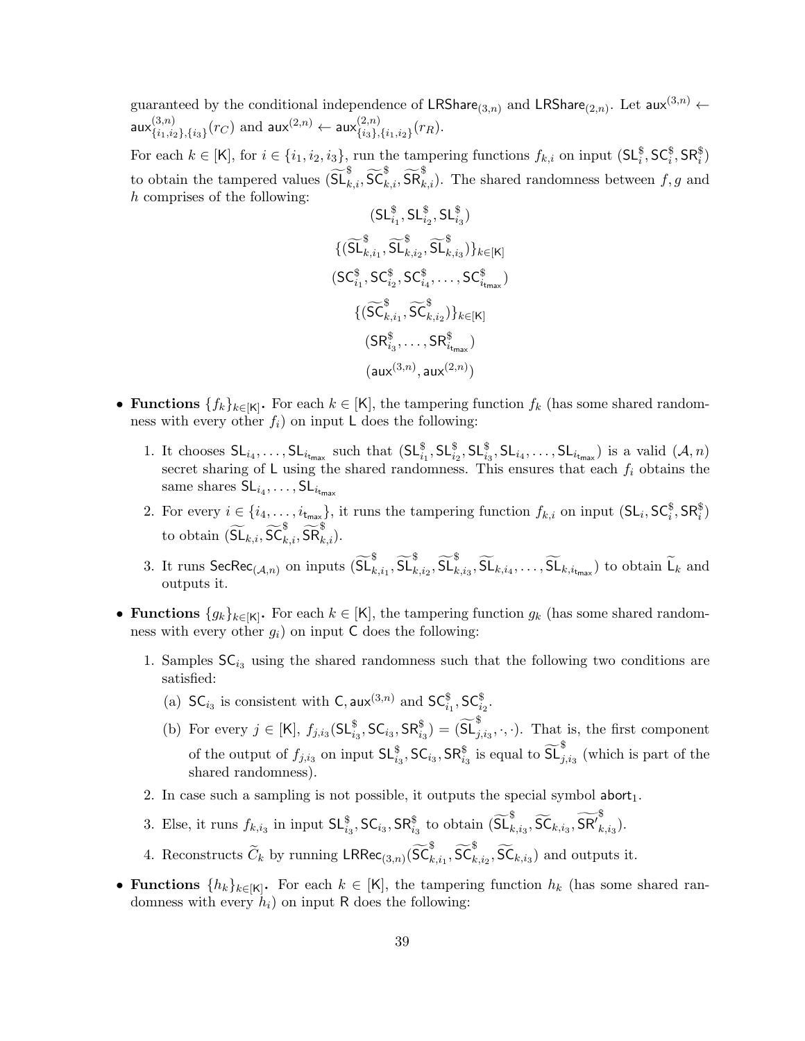guaranteed by the conditional independence of LRShare<sub>(3,n)</sub> and LRShare<sub>(2,n)</sub>. Let  $aux^{(3,n)} \leftarrow$  $\mathsf{aux}_{f_{i_1},j_2}^{(3,n)}$  $_{\{i_1,i_2\},\{i_3\}}^{(3,n)}(r_C)$  and  $\mathsf{aux}^{(2,n)}\leftarrow \mathsf{aux}^{(2,n)}_{\{i_3\}},$  ${}^{(2,n)}_{\{i_3\},\{i_1,i_2\}}(r_R).$ 

For each  $k \in [\mathsf{K}]$ , for  $i \in \{i_1, i_2, i_3\}$ , run the tampering functions  $f_{k,i}$  on input  $(\mathsf{SL}_i^{\$}, \mathsf{SC}_i^{\$}, \mathsf{SR}_i^{\$})$ to obtain the tampered values  $(\widetilde{\mathsf{SL}}_{k,i}^{\$}, \widetilde{\mathsf{SC}}_{k,i}^{\$}, \widetilde{\mathsf{SR}}_{k,i}^{\$})$ . The shared randomness between  $f, g$  and h comprises of the following:

$$
(\mathsf{SL}^{\$}_{i_1}, \mathsf{SL}^{\$}_{i_2}, \mathsf{SL}^{\$}_{i_3})
$$
\n
$$
\{(\widetilde{\mathsf{SL}}^{\$}_{k,i_1}, \widetilde{\mathsf{SL}}^{\$}_{k,i_2}, \widetilde{\mathsf{SL}}^{\$}_{k,i_3})\}_{k \in [K]}
$$
\n
$$
(\mathsf{SC}^{\$}_{i_1}, \mathsf{SC}^{\$}_{i_2}, \mathsf{SC}^{\$}_{i_4}, \dots, \mathsf{SC}^{\$}_{i_{t_{\text{max}}})}
$$
\n
$$
\{(\widetilde{\mathsf{SC}}^{\$}_{k,i_1}, \widetilde{\mathsf{SC}}^{\$}_{k,i_2})\}_{k \in [K]}
$$
\n
$$
(\mathsf{SR}^{\$}_{i_3}, \dots, \mathsf{SR}^{\$}_{i_{t_{\text{max}}})}
$$
\n
$$
(\mathsf{aux}^{(3,n)}, \mathsf{aux}^{(2,n)})
$$

- Functions  $\{f_k\}_{k\in[K]}$ . For each  $k\in[K]$ , the tampering function  $f_k$  (has some shared randomness with every other  $f_i$ ) on input L does the following:
	- 1. It chooses  $SL_{i_4},\ldots, SL_{i_{\text{tr}_{\text{max}}}}$  such that  $(SL_{i_1}^{\$}, SL_{i_2}^{\$}, SL_{i_3}^{\$}, SL_{i_4},\ldots, SL_{i_{\text{tr}_{\text{max}}}})$  is a valid  $(\mathcal{A},n)$ secret sharing of L using the shared randomness. This ensures that each  $f_i$  obtains the same shares  $\mathsf{SL}_{i_4}, \ldots, \mathsf{SL}_{i_{\mathsf{tmax}}}$
	- 2. For every  $i \in \{i_4, \ldots, i_{t_{\text{max}}}\}\$ , it runs the tampering function  $f_{k,i}$  on input  $(\mathsf{SL}_i, \mathsf{SC}_i^{\$}, \mathsf{SR}_i^{\$})$ to obtain  $(\widetilde{\mathsf{SL}}_{k,i}, \widetilde{\mathsf{SC}}_{k,i}^{\$}, \widetilde{\mathsf{SR}}_{k,i}^{\$}).$
	- 3. It runs  $\textsf{SecRec}_{(\mathcal{A},n)}$  on inputs  $(\widetilde{\mathsf{SL}}_{k,i_1}^{\$}, \widetilde{\mathsf{SL}}_{k,i_2}^{\$}, \widetilde{\mathsf{SL}}_{k,i_3}^{\$}, \widetilde{\mathsf{SL}}_{k,i_4}, \ldots, \widetilde{\mathsf{SL}}_{k,i_{\mathsf{t}_{\mathsf{max}}}})$  to obtain  $\widetilde{\mathsf{L}}_k$  and outputs it.
- Functions  ${g_k}_{k\in[K]}$ . For each  $k \in [K]$ , the tampering function  $g_k$  (has some shared randomness with every other  $g_i$ ) on input C does the following:
	- 1. Samples  $SC_{i_3}$  using the shared randomness such that the following two conditions are satisfied:
		- (a)  $SC_{i_3}$  is consistent with C, aux<sup>(3,n)</sup> and  $SC_{i_1}^{\$}$ ,  $SC_{i_2}^{\$}$ .
		- (b) For every  $j \in [K]$ ,  $f_{j,i_3}(\mathsf{SL}_{i_3}^{\$}, \mathsf{SC}_{i_3}, \mathsf{SR}_{i_3}^{\$}) = (\widetilde{\mathsf{SL}}_{j,i_3}^{\$}, \cdot, \cdot)$ . That is, the first component of the output of  $f_{j,i_3}$  on input  $\mathsf{SL}^{\$}_{i_3}$ ,  $\mathsf{SC}_{i_3}$ ,  $\mathsf{SR}^{\$}_{i_3}$  is equal to  $\widetilde{\mathsf{SL}}^{\$}_{j,i_3}$  (which is part of the shared randomness).
	- 2. In case such a sampling is not possible, it outputs the special symbol  $abort_1$ .
	- 3. Else, it runs  $f_{k,i_3}$  in input  $\mathsf{SL}^{\$}_{i_3}$ ,  $\mathsf{SC}_{i_3}$ ,  $\mathsf{SR}^{\$}_{i_3}$  to obtain  $(\widetilde{\mathsf{SL}}^{\$}_{k,i_3}, \widetilde{\mathsf{SC}}_{k,i_3}, \widetilde{\mathsf{SR}}'_{k_3}$  $_{k,i_3}).$
	- 4. Reconstructs  $\widetilde{C}_k$  by running  $\mathsf{LRRec}_{(3,n)}(\widetilde{\mathsf{SC}}_{k,i_1}^{\$}, \widetilde{\mathsf{SC}}_{k,i_2}^{\$}, \widetilde{\mathsf{SC}}_{k,i_3})$  and outputs it.
- Functions  $\{h_k\}_{k\in[K]}$ . For each  $k\in[K]$ , the tampering function  $h_k$  (has some shared randomness with every  $h_i$ ) on input R does the following: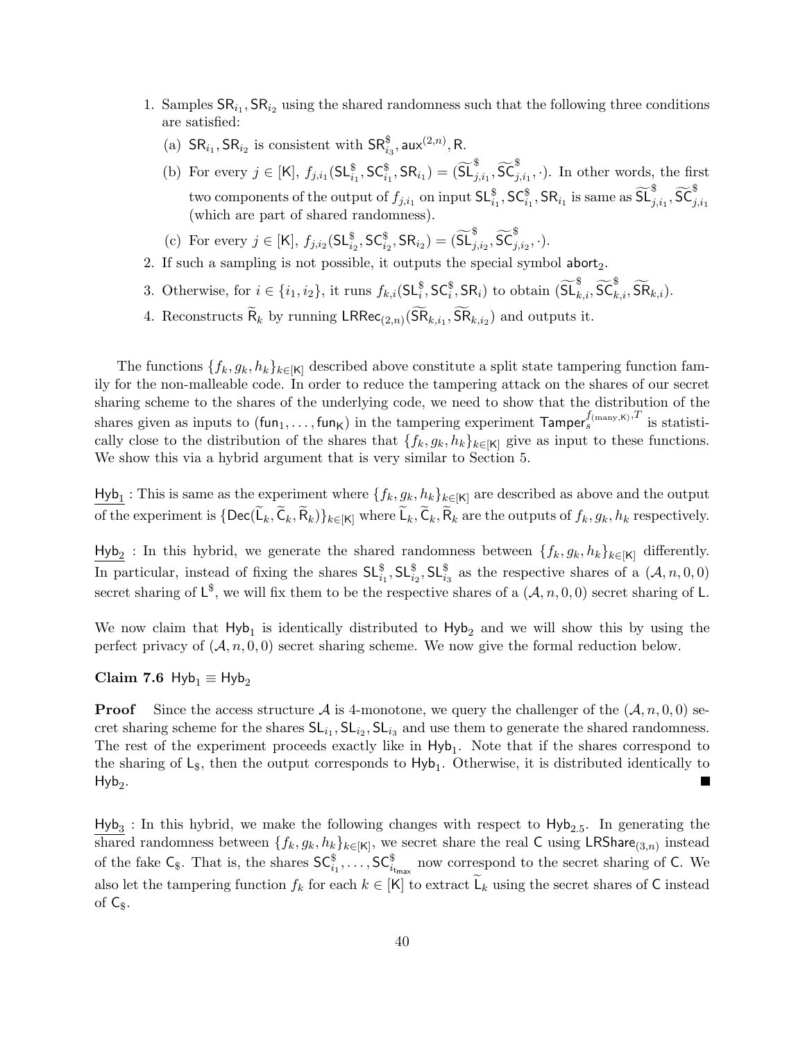- 1. Samples  $\text{SR}_{i_1}$ ,  $\text{SR}_{i_2}$  using the shared randomness such that the following three conditions are satisfied:
	- (a)  $\text{SR}_{i_1}, \text{SR}_{i_2}$  is consistent with  $\text{SR}_{i_3}^{\$}$ , aux $^{(2,n)}$ , R.
	- (b) For every  $j \in [K]$ ,  $f_{j,i_1}(\mathsf{SL}_{i_1}^{\$}, \mathsf{SC}_{i_1}^{\$}, \mathsf{SR}_{i_1}) = (\widetilde{\mathsf{SL}}_{j,i_1}^{\$}, \widetilde{\mathsf{SC}}_{j,i_1}^{\$}, \cdot)$ . In other words, the first two components of the output of  $f_{j,i_1}$  on input  $\mathsf{SL}^{\$}_{i_1}, \mathsf{SC}^{\$}_{i_1}, \mathsf{SR}_{i_1}$  is same as  $\widetilde{\mathsf{SL}}^{\$}_{j,i_1}, \widetilde{\mathsf{SC}}^{\$}_{j,i_1}$ (which are part of shared randomness).
	- (c) For every  $j \in [\mathsf{K}], f_{j,i_2}(\mathsf{SL}_{i_2}^{\$}, \mathsf{SC}_{i_2}^{\$}, \mathsf{SR}_{i_2}) = (\widetilde{\mathsf{SL}}_{j,i_2}^{\$}, \widetilde{\mathsf{SC}}_{j,i_2}^{\$}, \cdot).$
- 2. If such a sampling is not possible, it outputs the special symbol abort<sub>2</sub>.
- 3. Otherwise, for  $i \in \{i_1, i_2\}$ , it runs  $f_{k,i}(\mathsf{SL}_i^{\$}, \mathsf{SC}_i^{\$}, \mathsf{SR}_i)$  to obtain  $(\widetilde{\mathsf{SL}}_{k,i}^{\$}, \widetilde{\mathsf{SC}}_{k,i}^{\$}, \widetilde{\mathsf{SR}}_{k,i})$ .
- 4. Reconstructs  $\mathsf{R}_k$  by running  $\mathsf{LRRec}_{(2,n)}(\mathsf{SR}_{k,i_1}, \mathsf{SR}_{k,i_2})$  and outputs it.

The functions  $\{f_k, g_k, h_k\}_{k\in[K]}$  described above constitute a split state tampering function family for the non-malleable code. In order to reduce the tampering attack on the shares of our secret sharing scheme to the shares of the underlying code, we need to show that the distribution of the shares given as inputs to  $(\text{fun}_1, \ldots, \text{fun}_K)$  in the tampering experiment  $\textsf{Tamper}_s^{f(\text{many}, K), T}$  is statistically close to the distribution of the shares that  $\{f_k, g_k, h_k\}_{k\in[K]}$  give as input to these functions. We show this via a hybrid argument that is very similar to [Section 5.](#page-26-0)

 $\frac{\text{Hyb}_1}{\text{Hyb}_1}$ : This is same as the experiment where  $\{f_k, g_k, h_k\}_{k\in[k]}$  are described as above and the output of the experiment is  $\{Dec(L_k, C_k, R_k)\}_{k \in [K]}$  where  $L_k, C_k, R_k$  are the outputs of  $f_k, g_k, h_k$  respectively.

 $H_yb_2$ : In this hybrid, we generate the shared randomness between  $\{f_k, g_k, h_k\}_{k\in[K]}$  differently. In particular, instead of fixing the shares  $\mathsf{SL}_{i_1}^{\$}$ ,  $\mathsf{SL}_{i_2}^{\$}$ ,  $\mathsf{SL}_{i_3}^{\$}$  as the respective shares of a  $(\mathcal{A}, n, 0, 0)$ secret sharing of  $L^{\$}$ , we will fix them to be the respective shares of a  $(\mathcal{A}, n, 0, 0)$  secret sharing of L.

We now claim that  $Hyb_1$  is identically distributed to  $Hyb_2$  and we will show this by using the perfect privacy of  $(A, n, 0, 0)$  secret sharing scheme. We now give the formal reduction below.

Claim 7.6 Hyb<sub>1</sub>  $\equiv$  Hyb<sub>2</sub>

**Proof** Since the access structure A is 4-monotone, we query the challenger of the  $(A, n, 0, 0)$  secret sharing scheme for the shares  $SL_{i_1}$ ,  $SL_{i_2}$ ,  $SL_{i_3}$  and use them to generate the shared randomness. The rest of the experiment proceeds exactly like in  $Hyb_1$ . Note that if the shares correspond to the sharing of  $\mathsf{L}_{\$}$ , then the output corresponds to  $\mathsf{Hyb}_1$ . Otherwise, it is distributed identically to  $Hyb<sub>2</sub>$ . П

 $Hyb<sub>3</sub>$ : In this hybrid, we make the following changes with respect to  $Hyb<sub>2.5</sub>$ . In generating the shared randomness between  $\{f_k, g_k, h_k\}_{k\in[K]}$ , we secret share the real C using LRShare<sub>(3,n)</sub> instead of the fake  $\mathsf{C}_{\$}$ . That is, the shares  $\mathsf{SC}_{i_1}^{\$}$ ,...,  $\mathsf{SC}_{i_{\mathsf{t}_{\mathsf{max}}}}^{\$}$  now correspond to the secret sharing of C. We also let the tampering function  $f_k$  for each  $k \in [K]$  to extract  $\widetilde{\mathsf{L}}_k$  using the secret shares of C instead of  $\mathsf{C}_\$$ .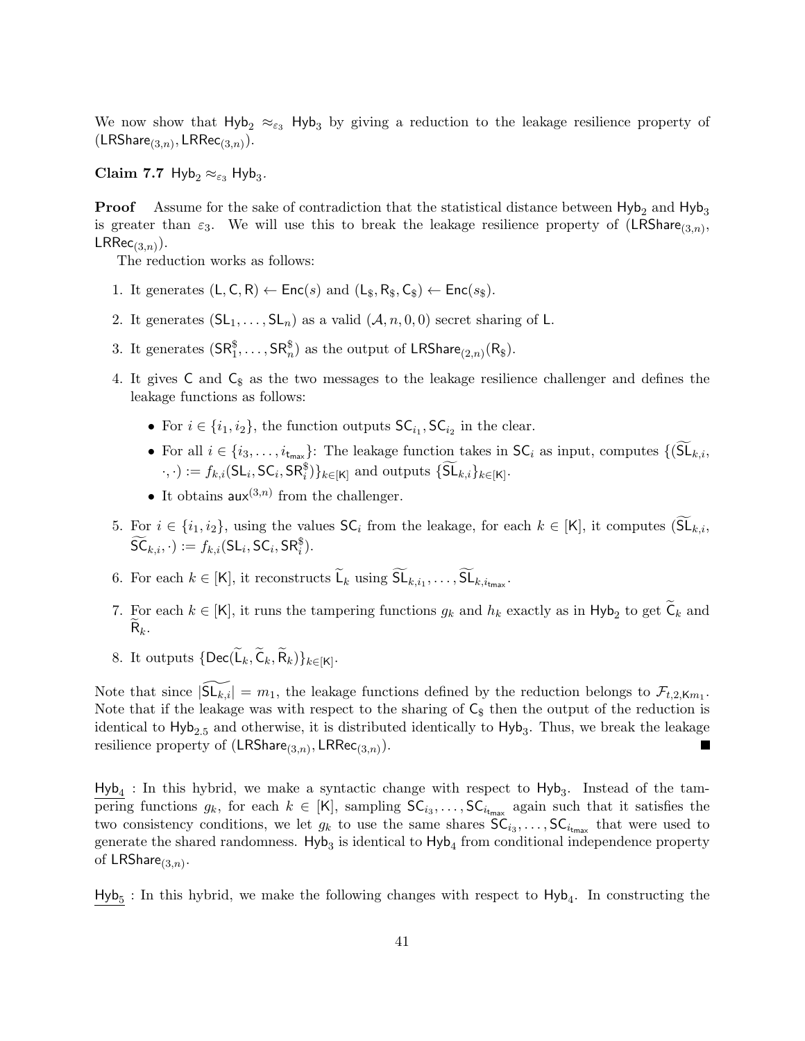We now show that  $H_yb_2 \approx_{\epsilon_3} H_yb_3$  by giving a reduction to the leakage resilience property of  $(\mathsf{LRShare}_{(3,n)}, \mathsf{LRRec}_{(3,n)}).$ 

Claim 7.7 Hyb<sub>2</sub>  $\approx_{\varepsilon_3}$  Hyb<sub>3</sub>.

**Proof** Assume for the sake of contradiction that the statistical distance between  $Hyb_2$  and  $Hyb_3$ is greater than  $\varepsilon_3$ . We will use this to break the leakage resilience property of  $(LRShare_{(3,n)},$  $\mathsf{LRRec}_{(3,n)}).$ 

The reduction works as follows:

- 1. It generates  $(L, C, R) \leftarrow \text{Enc}(s)$  and  $(L_{\$}, R_{\$}, C_{\$}) \leftarrow \text{Enc}(s_{\$})$ .
- 2. It generates  $(SL_1, \ldots, SL_n)$  as a valid  $(A, n, 0, 0)$  secret sharing of L.
- 3. It generates  $(\mathsf{SR}^{\$}_1, \ldots, \mathsf{SR}^{\$}_n)$  as the output of  $\mathsf{LRShare}_{(2,n)}(\mathsf{R}_\$)$ .
- 4. It gives  $C$  and  $C_{\$}$  as the two messages to the leakage resilience challenger and defines the leakage functions as follows:
	- For  $i \in \{i_1, i_2\}$ , the function outputs  $\mathsf{SC}_{i_1}$ ,  $\mathsf{SC}_{i_2}$  in the clear.
	- For all  $i \in \{i_3,\ldots,i_{t_{\text{max}}}\}$ : The leakage function takes in  $\mathsf{SC}_i$  as input, computes  $\{(\widetilde{\mathsf{SL}}_{k,i},\})$  $\cdot, \cdot) := f_{k,i}(\mathsf{SL}_i, \mathsf{SC}_i, \mathsf{SR}_i^{\$})\}_{k \in [\mathsf{K}]}$  and outputs  $\{\widetilde{\mathsf{SL}}_{k,i}\}_{k \in [\mathsf{K}]}$ .
	- It obtains  $\mathsf{aux}^{(3,n)}$  from the challenger.
- 5. For  $i \in \{i_1, i_2\}$ , using the values  $\mathsf{SC}_i$  from the leakage, for each  $k \in [\mathsf{K}]$ , it computes  $(\mathsf{SL}_{k,i},\mathsf{SL}_{k,i})$  $\widetilde{\mathsf{SC}}_{k,i}, \cdot := f_{k,i}(\mathsf{SL}_i, \mathsf{SC}_i, \mathsf{SR}_i^{\$}).$
- 6. For each  $k \in [K]$ , it reconstructs  $\mathsf{L}_k$  using  $\mathsf{SL}_{k,i_1}, \ldots, \mathsf{SL}_{k,i_{\text{tmax}}}.$
- 7. For each  $k \in [K]$ , it runs the tampering functions  $g_k$  and  $h_k$  exactly as in Hyb<sub>2</sub> to get  $C_k$  and  $\mathsf{R}_k$ .
- 8. It outputs  $\{\mathsf{Dec}(\mathsf{L}_k,\mathsf{C}_k,\mathsf{R}_k)\}_{k\in[\mathsf{K}]}$ .

Note that since  $|\widetilde{\mathsf{SL}_{k,i}}| = m_1$ , the leakage functions defined by the reduction belongs to  $\mathcal{F}_{t,2,\mathsf{K}m_1}$ . Note that if the leakage was with respect to the sharing of  $C_{\$}$  then the output of the reduction is identical to  $Hyb_{2.5}$  and otherwise, it is distributed identically to  $Hyb_3$ . Thus, we break the leakage resilience property of  $(\mathsf{LRShare}_{(3,n)}, \mathsf{LRRec}_{(3,n)}).$ ×

 $Hyb_4$ : In this hybrid, we make a syntactic change with respect to  $Hyb_3$ . Instead of the tampering functions  $g_k$ , for each  $k \in [K]$ , sampling  $SC_{i_3}, \ldots, SC_{i_{t_{\text{max}}}}$  again such that it satisfies the two consistency conditions, we let  $g_k$  to use the same shares  $SC_{i_3}, \ldots, SC_{i_{t_{max}}}$  that were used to generate the shared randomness.  $Hyb<sub>3</sub>$  is identical to  $Hyb<sub>4</sub>$  from conditional independence property of  $\mathsf{LRShare}_{(3,n)}$ .

 $Hyb<sub>5</sub>$ : In this hybrid, we make the following changes with respect to  $Hyb<sub>4</sub>$ . In constructing the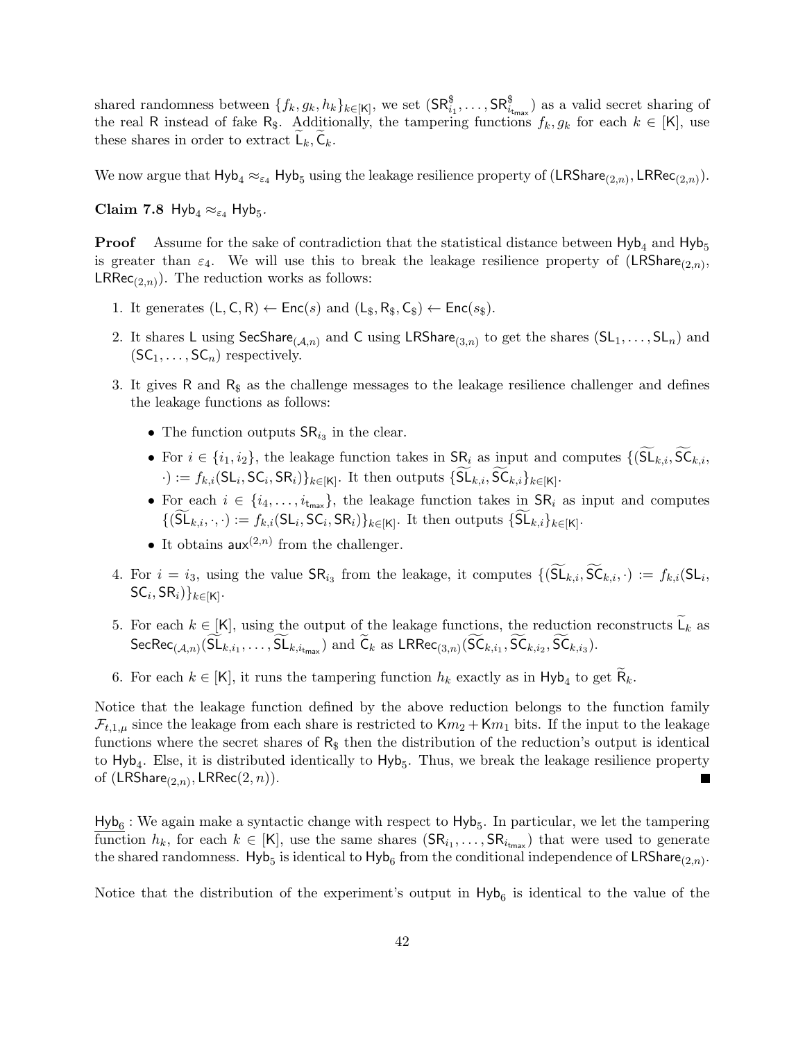shared randomness between  $\{f_k, g_k, h_k\}_{k\in[K]}$ , we set  $(\mathsf{SR}^{\$}_{i_1}, \ldots, \mathsf{SR}^{\$}_{i_{\mathsf{t}_{\mathsf{max}}}})$  as a valid secret sharing of the real R instead of fake R<sub>\$</sub>. Additionally, the tampering functions  $f_k, g_k$  for each  $k \in [K]$ , use these shares in order to extract  $\mathsf{L}_k, \mathsf{C}_k$ .

We now argue that  $Hyb_4 \approx_{\varepsilon_4} Hyb_5$  using the leakage resilience property of  $(LRShare_{(2,n)}, LRRec_{(2,n)})$ .

Claim 7.8  $Hyb_4 \approx_{\varepsilon_4} Hyb_5$ .

**Proof** Assume for the sake of contradiction that the statistical distance between  $Hyb_4$  and  $Hyb_5$ is greater than  $\varepsilon_4$ . We will use this to break the leakage resilience property of  $(LRShare_{(2,n)},$  $LRRec_{(2,n)}$ . The reduction works as follows:

- 1. It generates  $(L, C, R) \leftarrow \text{Enc}(s)$  and  $(L_{\$}, R_{\$}, C_{\$}) \leftarrow \text{Enc}(s_{\$})$ .
- 2. It shares L using SecShare<sub>(A,n)</sub> and C using LRShare<sub>(3,n)</sub> to get the shares  $(SL_1, \ldots, SL_n)$  and  $(SC_1, \ldots, SC_n)$  respectively.
- 3. It gives R and  $R<sub>s</sub>$  as the challenge messages to the leakage resilience challenger and defines the leakage functions as follows:
	- The function outputs  $\text{SR}_{i_3}$  in the clear.
	- For  $i \in \{i_1, i_2\}$ , the leakage function takes in  $\text{SR}_i$  as input and computes  $\{(\widetilde{\text{SL}}_{k,i}, \widetilde{\text{SC}}_{k,i},\})$  $\cdot) := f_{k,i}(\mathsf{SL}_i, \mathsf{SC}_i, \mathsf{SR}_i)\}_{k \in [\mathsf{K}]}$ . It then outputs  $\{\mathsf{SL}_{k,i}, \mathsf{SC}_{k,i}\}_{k \in [\mathsf{K}]}$ .
	- For each  $i \in \{i_4, \ldots, i_{t_{\text{max}}}\}\$ , the leakage function takes in  $\text{SR}_i$  as input and computes  $\{(\mathsf{SL}_{k,i}, \cdot, \cdot) := f_{k,i}(\mathsf{SL}_i, \mathsf{SC}_i, \mathsf{SR}_i)\}_{k \in [\mathsf{K}]}$ . It then outputs  $\{\mathsf{SL}_{k,i}\}_{k \in [\mathsf{K}]}$ .
	- It obtains  $\mathsf{aux}^{(2,n)}$  from the challenger.
- 4. For  $i = i_3$ , using the value  $\mathsf{SR}_{i_3}$  from the leakage, it computes  $\{(\mathsf{SL}_{k,i}, \mathsf{SC}_{k,i}, \cdot) := f_{k,i}(\mathsf{SL}_i, \cdot)\}$  $\mathsf{SC}_i, \mathsf{SR}_i) \}_{k \in [\mathsf{K}]}$ .
- 5. For each  $k \in [K]$ , using the output of the leakage functions, the reduction reconstructs  $L_k$  as  $\mathsf{SecRec}_{(\mathcal{A},n)}(\mathsf{SL}_{k,i_1},\ldots,\mathsf{SL}_{k,i_{\mathsf{t}_{\mathsf{max}}}}) \text{ and } \mathsf{C}_k \text{ as } \mathsf{LRRec}_{(3,n)}(\mathsf{SC}_{k,i_1},\mathsf{SC}_{k,i_2},\mathsf{SC}_{k,i_3}).$
- 6. For each  $k \in [K]$ , it runs the tampering function  $h_k$  exactly as in  $H_yb_4$  to get  $R_k$ .

Notice that the leakage function defined by the above reduction belongs to the function family  $\mathcal{F}_{t,1,\mu}$  since the leakage from each share is restricted to  $\mathsf{K}m_2 + \mathsf{K}m_1$  bits. If the input to the leakage functions where the secret shares of  $R_{\$}$  then the distribution of the reduction's output is identical to  $Hyb<sub>4</sub>$ . Else, it is distributed identically to  $Hyb<sub>5</sub>$ . Thus, we break the leakage resilience property of  $(\mathsf{LRShare}_{(2,n)}, \mathsf{LRRec}(2,n)).$ Г

 $Hyb<sub>6</sub>$ : We again make a syntactic change with respect to  $Hyb<sub>5</sub>$ . In particular, we let the tampering function  $h_k$ , for each  $k \in [K]$ , use the same shares  $(SR_{i_1},...,SR_{i_{t_{max}}})$  that were used to generate the shared randomness. Hyb<sub>5</sub> is identical to Hyb<sub>6</sub> from the conditional independence of LRShare<sub>(2,n)</sub>.

Notice that the distribution of the experiment's output in  $Hyb_6$  is identical to the value of the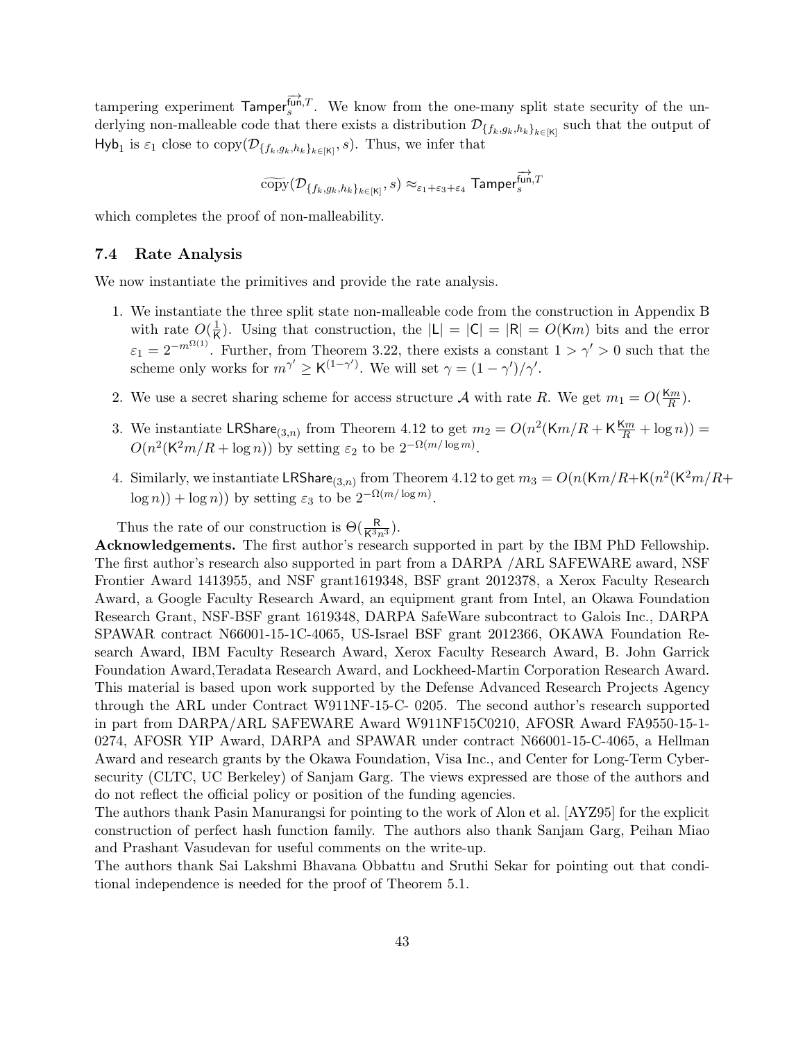tampering experiment  $\overrightarrow{T_{s}}^{T_{\text{unif}}T}$ . We know from the one-many split state security of the underlying non-malleable code that there exists a distribution  $\mathcal{D}_{\{f_k,g_k,h_k\}_{k\in[K]}}$  such that the output of Hyb<sub>1</sub> is  $\varepsilon_1$  close to copy $(\mathcal{D}_{\{f_k,g_k,h_k\}_{k\in[K]},s})$ . Thus, we infer that

$$
\widetilde{\text{copy}}(\mathcal{D}_{\{f_k,g_k,h_k\}_{k\in[K]},s) \approx_{\varepsilon_1+\varepsilon_3+\varepsilon_4} \textsf{Tamper}^{\overrightarrow{\text{fun}},T}_s
$$

which completes the proof of non-malleability.

#### <span id="page-42-0"></span>7.4 Rate Analysis

We now instantiate the primitives and provide the rate analysis.

- 1. We instantiate the three split state non-malleable code from the construction in [Appendix B](#page-49-0) with rate  $O(\frac{1}{K})$  $\frac{1}{\mathsf{K}}$ . Using that construction, the  $|\mathsf{L}| = |\mathsf{C}| = |\mathsf{R}| = O(\mathsf{K}m)$  bits and the error  $\varepsilon_1 = 2^{-m^{\Omega(1)}}$ . Further, from [Theorem 3.22,](#page-17-2) there exists a constant  $1 > \gamma' > 0$  such that the scheme only works for  $m^{\gamma'} \geq K^{(1-\gamma')}$ . We will set  $\gamma = (1-\gamma')/\gamma'$ .
- 2. We use a secret sharing scheme for access structure A with rate R. We get  $m_1 = O(\frac{K_m}{R})$  $\frac{2m}{R}$ ).
- 3. We instantiate LRShare<sub>(3,n)</sub> from Theorem [4.12](#page-23-2) to get  $m_2 = O(n^2(Km/R + K\frac{Km}{R} + \log n)) =$  $O(n^2(K^2m/R + \log n))$  by setting  $\varepsilon_2$  to be  $2^{-\Omega(m/\log m)}$ .
- 4. Similarly, we instantiate LRShare<sub>(3,n)</sub> from Theorem [4.12](#page-23-2) to get  $m_3 = O(n(Km/R + K(n^2(K^2m/R +$  $\log n$ ) +  $\log n$ ) by setting  $\varepsilon_3$  to be  $2^{-\Omega(m/\log m)}$ .

Thus the rate of our construction is  $\Theta(\frac{R}{K^3 n^3})$ .

Acknowledgements. The first author's research supported in part by the IBM PhD Fellowship. The first author's research also supported in part from a DARPA /ARL SAFEWARE award, NSF Frontier Award 1413955, and NSF grant1619348, BSF grant 2012378, a Xerox Faculty Research Award, a Google Faculty Research Award, an equipment grant from Intel, an Okawa Foundation Research Grant, NSF-BSF grant 1619348, DARPA SafeWare subcontract to Galois Inc., DARPA SPAWAR contract N66001-15-1C-4065, US-Israel BSF grant 2012366, OKAWA Foundation Research Award, IBM Faculty Research Award, Xerox Faculty Research Award, B. John Garrick Foundation Award,Teradata Research Award, and Lockheed-Martin Corporation Research Award. This material is based upon work supported by the Defense Advanced Research Projects Agency through the ARL under Contract W911NF-15-C- 0205. The second author's research supported in part from DARPA/ARL SAFEWARE Award W911NF15C0210, AFOSR Award FA9550-15-1- 0274, AFOSR YIP Award, DARPA and SPAWAR under contract N66001-15-C-4065, a Hellman Award and research grants by the Okawa Foundation, Visa Inc., and Center for Long-Term Cybersecurity (CLTC, UC Berkeley) of Sanjam Garg. The views expressed are those of the authors and do not reflect the official policy or position of the funding agencies.

The authors thank Pasin Manurangsi for pointing to the work of Alon et al. [\[AYZ95\]](#page-43-12) for the explicit construction of perfect hash function family. The authors also thank Sanjam Garg, Peihan Miao and Prashant Vasudevan for useful comments on the write-up.

The authors thank Sai Lakshmi Bhavana Obbattu and Sruthi Sekar for pointing out that conditional independence is needed for the proof of Theorem [5.1.](#page-27-1)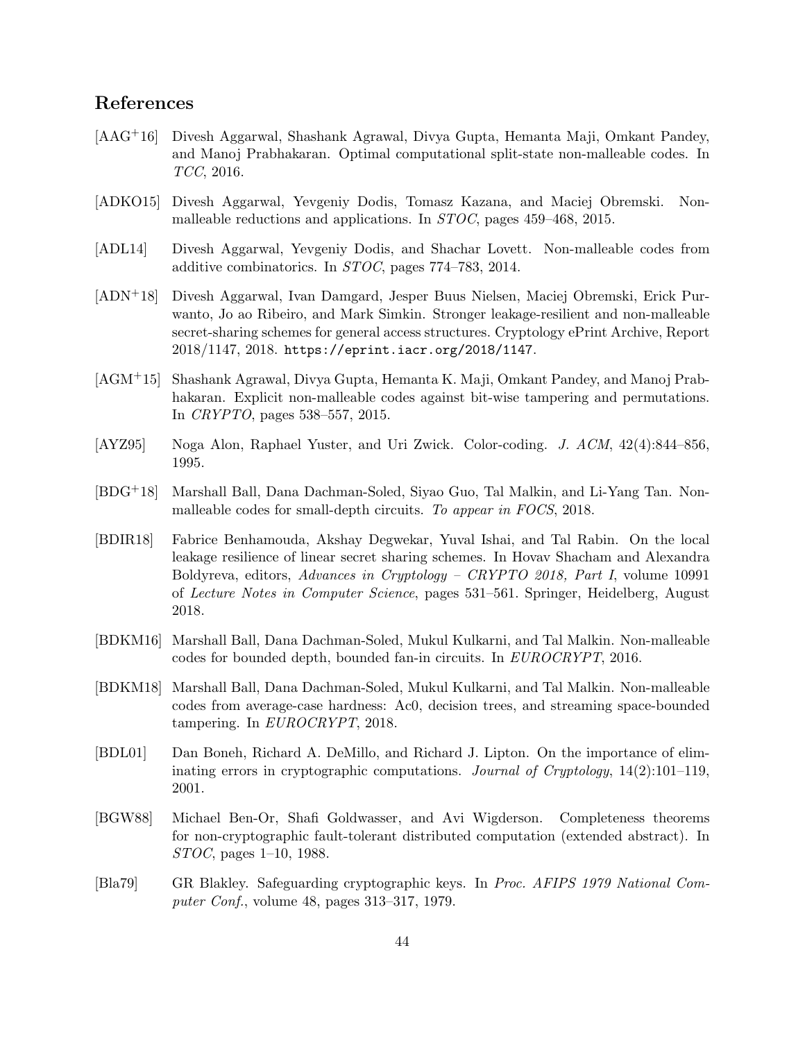# References

- <span id="page-43-5"></span>[AAG+16] Divesh Aggarwal, Shashank Agrawal, Divya Gupta, Hemanta Maji, Omkant Pandey, and Manoj Prabhakaran. Optimal computational split-state non-malleable codes. In TCC, 2016.
- <span id="page-43-9"></span>[ADKO15] Divesh Aggarwal, Yevgeniy Dodis, Tomasz Kazana, and Maciej Obremski. Nonmalleable reductions and applications. In STOC, pages 459–468, 2015.
- <span id="page-43-3"></span>[ADL14] Divesh Aggarwal, Yevgeniy Dodis, and Shachar Lovett. Non-malleable codes from additive combinatorics. In STOC, pages 774–783, 2014.
- <span id="page-43-11"></span>[ADN+18] Divesh Aggarwal, Ivan Damgard, Jesper Buus Nielsen, Maciej Obremski, Erick Purwanto, Jo ao Ribeiro, and Mark Simkin. Stronger leakage-resilient and non-malleable secret-sharing schemes for general access structures. Cryptology ePrint Archive, Report 2018/1147, 2018. <https://eprint.iacr.org/2018/1147>.
- <span id="page-43-4"></span>[AGM+15] Shashank Agrawal, Divya Gupta, Hemanta K. Maji, Omkant Pandey, and Manoj Prabhakaran. Explicit non-malleable codes against bit-wise tampering and permutations. In CRYPTO, pages 538–557, 2015.
- <span id="page-43-12"></span>[AYZ95] Noga Alon, Raphael Yuster, and Uri Zwick. Color-coding. J. ACM, 42(4):844–856, 1995.
- <span id="page-43-8"></span>[BDG+18] Marshall Ball, Dana Dachman-Soled, Siyao Guo, Tal Malkin, and Li-Yang Tan. Nonmalleable codes for small-depth circuits. To appear in FOCS, 2018.
- <span id="page-43-10"></span>[BDIR18] Fabrice Benhamouda, Akshay Degwekar, Yuval Ishai, and Tal Rabin. On the local leakage resilience of linear secret sharing schemes. In Hovav Shacham and Alexandra Boldyreva, editors, Advances in Cryptology – CRYPTO 2018, Part I, volume 10991 of Lecture Notes in Computer Science, pages 531–561. Springer, Heidelberg, August 2018.
- <span id="page-43-6"></span>[BDKM16] Marshall Ball, Dana Dachman-Soled, Mukul Kulkarni, and Tal Malkin. Non-malleable codes for bounded depth, bounded fan-in circuits. In EUROCRYPT, 2016.
- <span id="page-43-7"></span>[BDKM18] Marshall Ball, Dana Dachman-Soled, Mukul Kulkarni, and Tal Malkin. Non-malleable codes from average-case hardness: Ac0, decision trees, and streaming space-bounded tampering. In EUROCRYPT, 2018.
- <span id="page-43-2"></span>[BDL01] Dan Boneh, Richard A. DeMillo, and Richard J. Lipton. On the importance of eliminating errors in cryptographic computations. Journal of Cryptology, 14(2):101–119, 2001.
- <span id="page-43-1"></span>[BGW88] Michael Ben-Or, Shafi Goldwasser, and Avi Wigderson. Completeness theorems for non-cryptographic fault-tolerant distributed computation (extended abstract). In STOC, pages 1–10, 1988.
- <span id="page-43-0"></span>[Bla79] GR Blakley. Safeguarding cryptographic keys. In Proc. AFIPS 1979 National Computer Conf., volume 48, pages 313–317, 1979.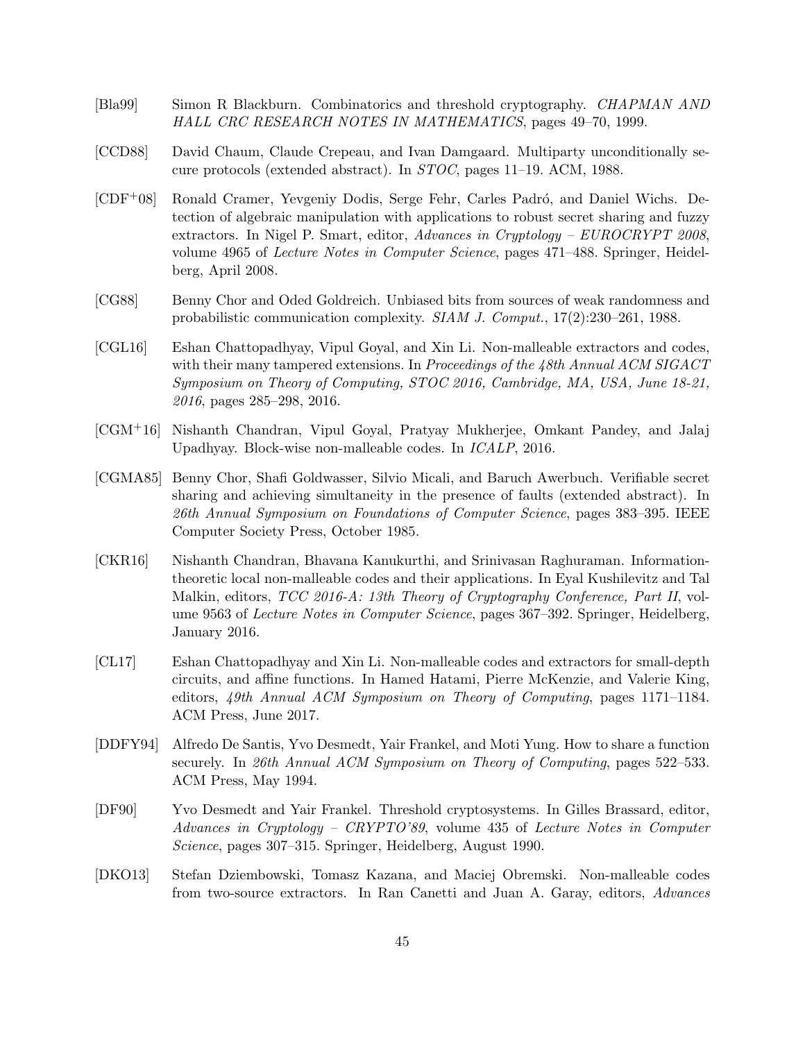- <span id="page-44-11"></span>[Bla99] Simon R Blackburn. Combinatorics and threshold cryptography. CHAPMAN AND HALL CRC RESEARCH NOTES IN MATHEMATICS, pages 49–70, 1999.
- <span id="page-44-0"></span>[CCD88] David Chaum, Claude Crepeau, and Ivan Damgaard. Multiparty unconditionally secure protocols (extended abstract). In STOC, pages 11–19. ACM, 1988.
- <span id="page-44-4"></span>[CDF<sup>+</sup>08] Ronald Cramer, Yevgeniy Dodis, Serge Fehr, Carles Padró, and Daniel Wichs. Detection of algebraic manipulation with applications to robust secret sharing and fuzzy extractors. In Nigel P. Smart, editor, Advances in Cryptology – EUROCRYPT 2008, volume 4965 of Lecture Notes in Computer Science, pages 471–488. Springer, Heidelberg, April 2008.
- <span id="page-44-10"></span>[CG88] Benny Chor and Oded Goldreich. Unbiased bits from sources of weak randomness and probabilistic communication complexity. SIAM J. Comput., 17(2):230–261, 1988.
- <span id="page-44-8"></span>[CGL16] Eshan Chattopadhyay, Vipul Goyal, and Xin Li. Non-malleable extractors and codes, with their many tampered extensions. In Proceedings of the 48th Annual ACM SIGACT Symposium on Theory of Computing, STOC 2016, Cambridge, MA, USA, June 18-21, 2016, pages 285–298, 2016.
- <span id="page-44-7"></span>[CGM+16] Nishanth Chandran, Vipul Goyal, Pratyay Mukherjee, Omkant Pandey, and Jalaj Upadhyay. Block-wise non-malleable codes. In ICALP, 2016.
- <span id="page-44-3"></span>[CGMA85] Benny Chor, Shafi Goldwasser, Silvio Micali, and Baruch Awerbuch. Verifiable secret sharing and achieving simultaneity in the presence of faults (extended abstract). In 26th Annual Symposium on Foundations of Computer Science, pages 383–395. IEEE Computer Society Press, October 1985.
- <span id="page-44-6"></span>[CKR16] Nishanth Chandran, Bhavana Kanukurthi, and Srinivasan Raghuraman. Informationtheoretic local non-malleable codes and their applications. In Eyal Kushilevitz and Tal Malkin, editors, *TCC 2016-A: 13th Theory of Cryptography Conference, Part II*, volume 9563 of *Lecture Notes in Computer Science*, pages 367–392. Springer, Heidelberg, January 2016.
- <span id="page-44-9"></span>[CL17] Eshan Chattopadhyay and Xin Li. Non-malleable codes and extractors for small-depth circuits, and affine functions. In Hamed Hatami, Pierre McKenzie, and Valerie King, editors, 49th Annual ACM Symposium on Theory of Computing, pages 1171–1184. ACM Press, June 2017.
- <span id="page-44-2"></span>[DDFY94] Alfredo De Santis, Yvo Desmedt, Yair Frankel, and Moti Yung. How to share a function securely. In 26th Annual ACM Symposium on Theory of Computing, pages 522–533. ACM Press, May 1994.
- <span id="page-44-1"></span>[DF90] Yvo Desmedt and Yair Frankel. Threshold cryptosystems. In Gilles Brassard, editor, Advances in Cryptology – CRYPTO'89, volume 435 of Lecture Notes in Computer Science, pages 307–315. Springer, Heidelberg, August 1990.
- <span id="page-44-5"></span>[DKO13] Stefan Dziembowski, Tomasz Kazana, and Maciej Obremski. Non-malleable codes from two-source extractors. In Ran Canetti and Juan A. Garay, editors, Advances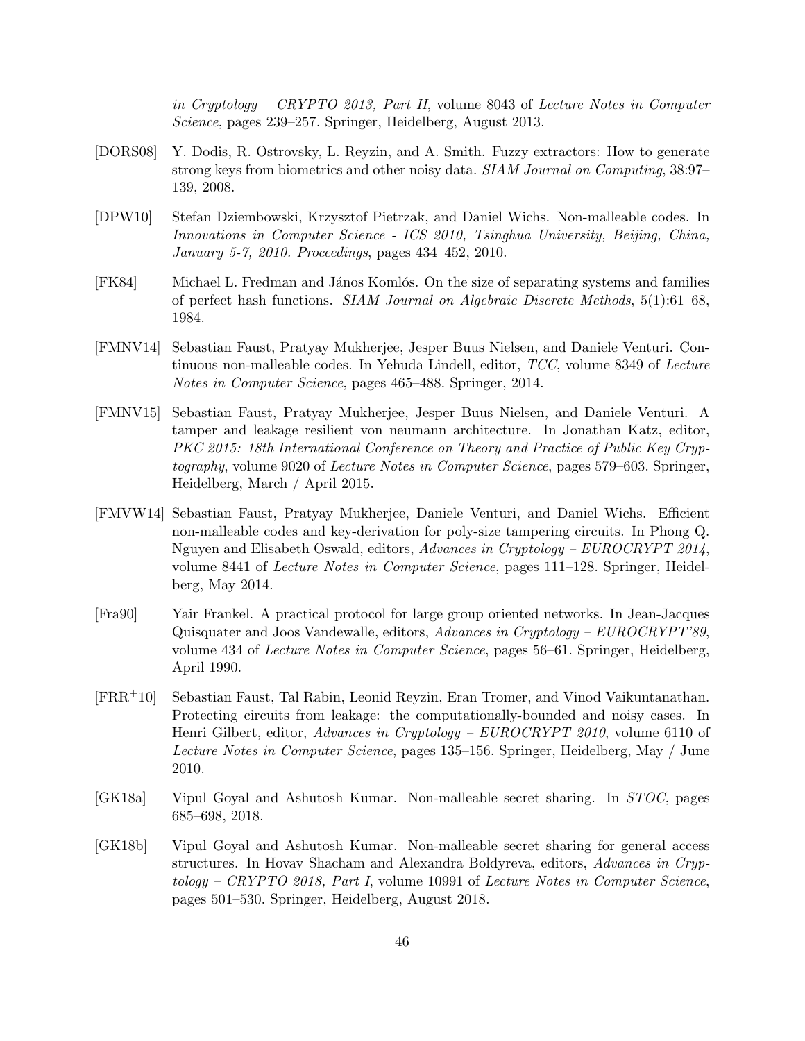in Cryptology – CRYPTO 2013, Part II, volume 8043 of Lecture Notes in Computer Science, pages 239–257. Springer, Heidelberg, August 2013.

- <span id="page-45-9"></span>[DORS08] Y. Dodis, R. Ostrovsky, L. Reyzin, and A. Smith. Fuzzy extractors: How to generate strong keys from biometrics and other noisy data. SIAM Journal on Computing, 38:97– 139, 2008.
- <span id="page-45-4"></span>[DPW10] Stefan Dziembowski, Krzysztof Pietrzak, and Daniel Wichs. Non-malleable codes. In Innovations in Computer Science - ICS 2010, Tsinghua University, Beijing, China, January 5-7, 2010. Proceedings, pages 434–452, 2010.
- <span id="page-45-8"></span>[FK84] Michael L. Fredman and János Komlós. On the size of separating systems and families of perfect hash functions. SIAM Journal on Algebraic Discrete Methods, 5(1):61–68, 1984.
- <span id="page-45-5"></span>[FMNV14] Sebastian Faust, Pratyay Mukherjee, Jesper Buus Nielsen, and Daniele Venturi. Continuous non-malleable codes. In Yehuda Lindell, editor, TCC, volume 8349 of Lecture Notes in Computer Science, pages 465–488. Springer, 2014.
- <span id="page-45-7"></span>[FMNV15] Sebastian Faust, Pratyay Mukherjee, Jesper Buus Nielsen, and Daniele Venturi. A tamper and leakage resilient von neumann architecture. In Jonathan Katz, editor, PKC 2015: 18th International Conference on Theory and Practice of Public Key Cryptography, volume 9020 of Lecture Notes in Computer Science, pages 579–603. Springer, Heidelberg, March / April 2015.
- <span id="page-45-6"></span>[FMVW14] Sebastian Faust, Pratyay Mukherjee, Daniele Venturi, and Daniel Wichs. Efficient non-malleable codes and key-derivation for poly-size tampering circuits. In Phong Q. Nguyen and Elisabeth Oswald, editors, Advances in Cryptology – EUROCRYPT 2014, volume 8441 of Lecture Notes in Computer Science, pages 111–128. Springer, Heidelberg, May 2014.
- <span id="page-45-0"></span>[Fra90] Yair Frankel. A practical protocol for large group oriented networks. In Jean-Jacques Quisquater and Joos Vandewalle, editors, Advances in Cryptology – EUROCRYPT'89, volume 434 of Lecture Notes in Computer Science, pages 56–61. Springer, Heidelberg, April 1990.
- <span id="page-45-1"></span>[FRR+10] Sebastian Faust, Tal Rabin, Leonid Reyzin, Eran Tromer, and Vinod Vaikuntanathan. Protecting circuits from leakage: the computationally-bounded and noisy cases. In Henri Gilbert, editor, Advances in Cryptology – EUROCRYPT 2010, volume 6110 of Lecture Notes in Computer Science, pages 135–156. Springer, Heidelberg, May / June 2010.
- <span id="page-45-2"></span>[GK18a] Vipul Goyal and Ashutosh Kumar. Non-malleable secret sharing. In STOC, pages 685–698, 2018.
- <span id="page-45-3"></span>[GK18b] Vipul Goyal and Ashutosh Kumar. Non-malleable secret sharing for general access structures. In Hovav Shacham and Alexandra Boldyreva, editors, Advances in Cryptology – CRYPTO 2018, Part I, volume 10991 of Lecture Notes in Computer Science, pages 501–530. Springer, Heidelberg, August 2018.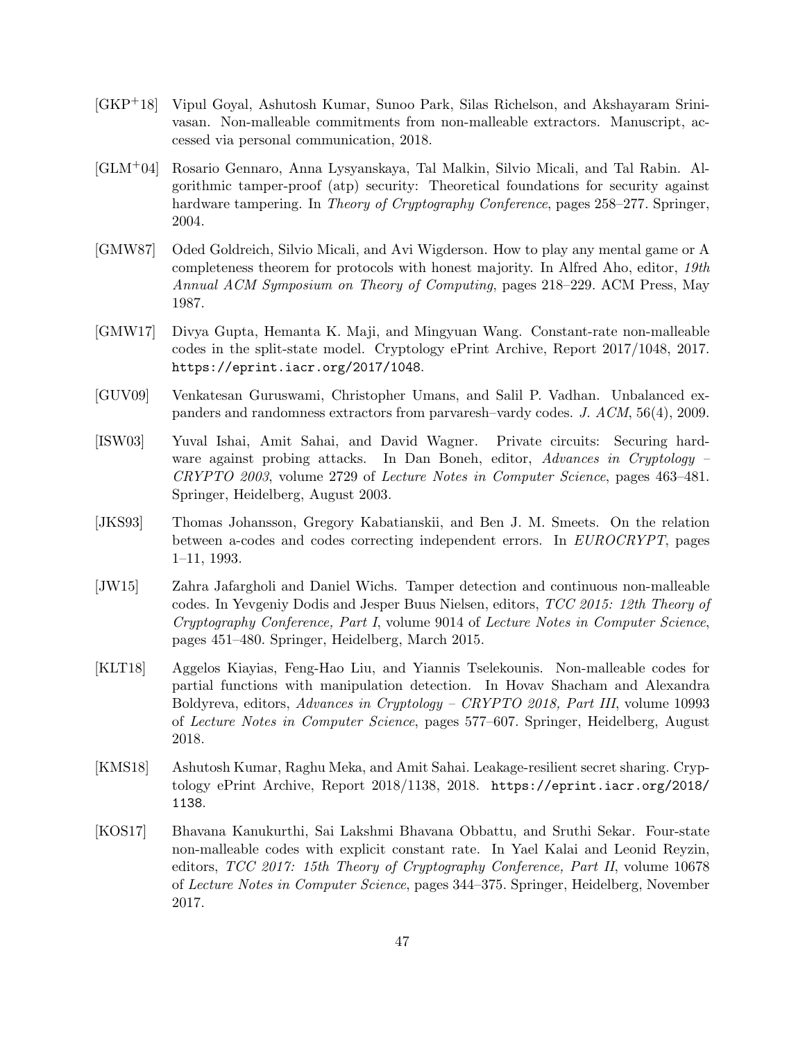- <span id="page-46-9"></span>[GKP+18] Vipul Goyal, Ashutosh Kumar, Sunoo Park, Silas Richelson, and Akshayaram Srinivasan. Non-malleable commitments from non-malleable extractors. Manuscript, accessed via personal communication, 2018.
- <span id="page-46-7"></span>[GLM+04] Rosario Gennaro, Anna Lysyanskaya, Tal Malkin, Silvio Micali, and Tal Rabin. Algorithmic tamper-proof (atp) security: Theoretical foundations for security against hardware tampering. In *Theory of Cryptography Conference*, pages 258–277. Springer, 2004.
- <span id="page-46-0"></span>[GMW87] Oded Goldreich, Silvio Micali, and Avi Wigderson. How to play any mental game or A completeness theorem for protocols with honest majority. In Alfred Aho, editor, 19th Annual ACM Symposium on Theory of Computing, pages 218–229. ACM Press, May 1987.
- <span id="page-46-4"></span>[GMW17] Divya Gupta, Hemanta K. Maji, and Mingyuan Wang. Constant-rate non-malleable codes in the split-state model. Cryptology ePrint Archive, Report 2017/1048, 2017. <https://eprint.iacr.org/2017/1048>.
- <span id="page-46-8"></span>[GUV09] Venkatesan Guruswami, Christopher Umans, and Salil P. Vadhan. Unbalanced expanders and randomness extractors from parvaresh–vardy codes. J. ACM, 56(4), 2009.
- <span id="page-46-1"></span>[ISW03] Yuval Ishai, Amit Sahai, and David Wagner. Private circuits: Securing hardware against probing attacks. In Dan Boneh, editor, Advances in Cryptology – CRYPTO 2003, volume 2729 of Lecture Notes in Computer Science, pages 463–481. Springer, Heidelberg, August 2003.
- <span id="page-46-10"></span>[JKS93] Thomas Johansson, Gregory Kabatianskii, and Ben J. M. Smeets. On the relation between a-codes and codes correcting independent errors. In EUROCRYPT, pages 1–11, 1993.
- <span id="page-46-2"></span>[JW15] Zahra Jafargholi and Daniel Wichs. Tamper detection and continuous non-malleable codes. In Yevgeniy Dodis and Jesper Buus Nielsen, editors, TCC 2015: 12th Theory of Cryptography Conference, Part I, volume 9014 of Lecture Notes in Computer Science, pages 451–480. Springer, Heidelberg, March 2015.
- <span id="page-46-5"></span>[KLT18] Aggelos Kiayias, Feng-Hao Liu, and Yiannis Tselekounis. Non-malleable codes for partial functions with manipulation detection. In Hovav Shacham and Alexandra Boldyreva, editors, Advances in Cryptology – CRYPTO 2018, Part III, volume 10993 of Lecture Notes in Computer Science, pages 577–607. Springer, Heidelberg, August 2018.
- <span id="page-46-6"></span>[KMS18] Ashutosh Kumar, Raghu Meka, and Amit Sahai. Leakage-resilient secret sharing. Cryptology ePrint Archive, Report 2018/1138, 2018. [https://eprint.iacr.org/2018/](https://eprint.iacr.org/2018/1138) [1138](https://eprint.iacr.org/2018/1138).
- <span id="page-46-3"></span>[KOS17] Bhavana Kanukurthi, Sai Lakshmi Bhavana Obbattu, and Sruthi Sekar. Four-state non-malleable codes with explicit constant rate. In Yael Kalai and Leonid Reyzin, editors, TCC 2017: 15th Theory of Cryptography Conference, Part II, volume 10678 of Lecture Notes in Computer Science, pages 344–375. Springer, Heidelberg, November 2017.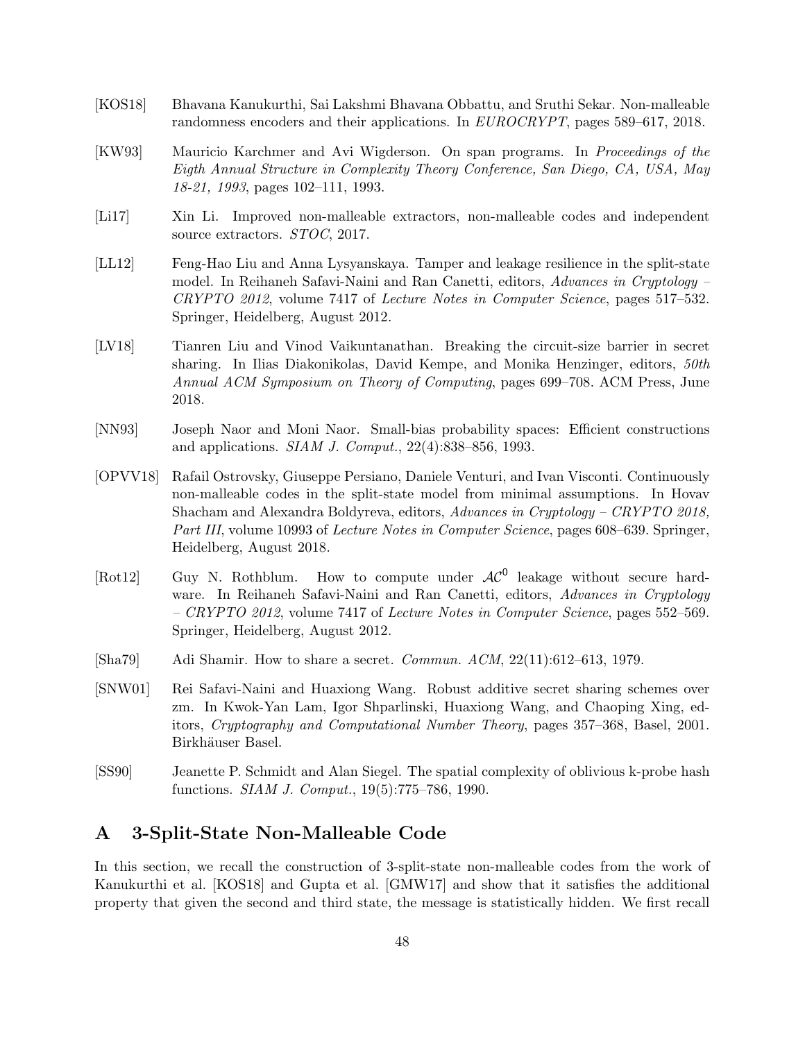- <span id="page-47-5"></span>[KOS18] Bhavana Kanukurthi, Sai Lakshmi Bhavana Obbattu, and Sruthi Sekar. Non-malleable randomness encoders and their applications. In EUROCRYPT, pages 589–617, 2018.
- <span id="page-47-7"></span>[KW93] Mauricio Karchmer and Avi Wigderson. On span programs. In Proceedings of the Eigth Annual Structure in Complexity Theory Conference, San Diego, CA, USA, May 18-21, 1993, pages 102–111, 1993.
- <span id="page-47-4"></span>[Li17] Xin Li. Improved non-malleable extractors, non-malleable codes and independent source extractors.  $STOC$ , 2017.
- <span id="page-47-3"></span>[LL12] Feng-Hao Liu and Anna Lysyanskaya. Tamper and leakage resilience in the split-state model. In Reihaneh Safavi-Naini and Ran Canetti, editors, Advances in Cryptology – CRYPTO 2012, volume 7417 of Lecture Notes in Computer Science, pages 517–532. Springer, Heidelberg, August 2012.
- <span id="page-47-8"></span>[LV18] Tianren Liu and Vinod Vaikuntanathan. Breaking the circuit-size barrier in secret sharing. In Ilias Diakonikolas, David Kempe, and Monika Henzinger, editors, 50th Annual ACM Symposium on Theory of Computing, pages 699–708. ACM Press, June 2018.
- <span id="page-47-11"></span>[NN93] Joseph Naor and Moni Naor. Small-bias probability spaces: Efficient constructions and applications. SIAM J. Comput., 22(4):838–856, 1993.
- <span id="page-47-6"></span>[OPVV18] Rafail Ostrovsky, Giuseppe Persiano, Daniele Venturi, and Ivan Visconti. Continuously non-malleable codes in the split-state model from minimal assumptions. In Hovav Shacham and Alexandra Boldyreva, editors, Advances in Cryptology – CRYPTO 2018, Part III, volume 10993 of Lecture Notes in Computer Science, pages 608–639. Springer, Heidelberg, August 2018.
- <span id="page-47-2"></span>[Rot12] Guy N. Rothblum. How to compute under  $AC^0$  leakage without secure hardware. In Reihaneh Safavi-Naini and Ran Canetti, editors, Advances in Cryptology – CRYPTO 2012, volume 7417 of Lecture Notes in Computer Science, pages 552–569. Springer, Heidelberg, August 2012.
- <span id="page-47-1"></span>[Sha79] Adi Shamir. How to share a secret. Commun. ACM, 22(11):612–613, 1979.
- <span id="page-47-9"></span>[SNW01] Rei Safavi-Naini and Huaxiong Wang. Robust additive secret sharing schemes over zm. In Kwok-Yan Lam, Igor Shparlinski, Huaxiong Wang, and Chaoping Xing, editors, Cryptography and Computational Number Theory, pages 357–368, Basel, 2001. Birkhäuser Basel.
- <span id="page-47-10"></span>[SS90] Jeanette P. Schmidt and Alan Siegel. The spatial complexity of oblivious k-probe hash functions. SIAM J. Comput., 19(5):775–786, 1990.

# <span id="page-47-0"></span>A 3-Split-State Non-Malleable Code

In this section, we recall the construction of 3-split-state non-malleable codes from the work of Kanukurthi et al. [\[KOS18\]](#page-47-5) and Gupta et al. [\[GMW17\]](#page-46-4) and show that it satisfies the additional property that given the second and third state, the message is statistically hidden. We first recall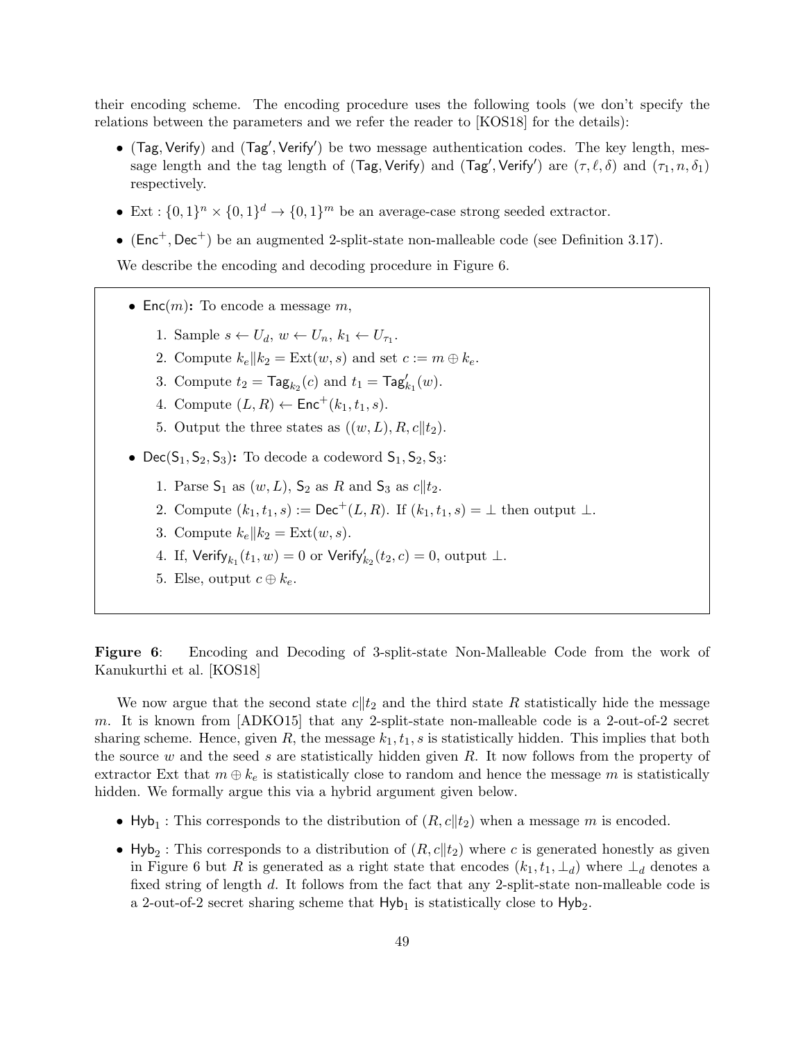their encoding scheme. The encoding procedure uses the following tools (we don't specify the relations between the parameters and we refer the reader to [\[KOS18\]](#page-47-5) for the details):

- $\bullet$  (Tag, Verify) and (Tag', Verify') be two message authentication codes. The key length, message length and the tag length of (Tag, Verify) and (Tag', Verify') are  $(\tau, \ell, \delta)$  and  $(\tau_1, n, \delta_1)$ respectively.
- Ext :  $\{0,1\}^n \times \{0,1\}^d \rightarrow \{0,1\}^m$  be an average-case strong seeded extractor.
- ( $Enc<sup>+</sup>$ ,  $Dec<sup>+</sup>$ ) be an augmented 2-split-state non-malleable code (see Definition [3.17\)](#page-16-1).

We describe the encoding and decoding procedure in Figure [6.](#page-48-0)

- Enc $(m)$ : To encode a message m,
	- 1. Sample  $s \leftarrow U_d$ ,  $w \leftarrow U_n$ ,  $k_1 \leftarrow U_{\tau_1}$ .
	- 2. Compute  $k_e || k_2 = \text{Ext}(w, s)$  and set  $c := m \oplus k_e$ .
	- 3. Compute  $t_2 = \text{Tag}_{k_2}(c)$  and  $t_1 = \text{Tag}'_{k_1}(w)$ .
	- 4. Compute  $(L, R) \leftarrow \text{Enc}^+(k_1, t_1, s)$ .
	- 5. Output the three states as  $((w, L), R, c|| t_2)$ .
- Dec( $S_1, S_2, S_3$ ): To decode a codeword  $S_1, S_2, S_3$ :
	- 1. Parse  $S_1$  as  $(w, L)$ ,  $S_2$  as R and  $S_3$  as  $c||t_2$ .
	- 2. Compute  $(k_1, t_1, s) := \text{Dec}^+(L, R)$ . If  $(k_1, t_1, s) = \bot$  then output  $\bot$ .
	- 3. Compute  $k_e || k_2 = \text{Ext}(w, s)$ .
	- 4. If,  $\mathsf{Verify}_{k_1}(t_1, w) = 0$  or  $\mathsf{Verify}_{k_2}'(t_2, c) = 0$ , output  $\bot$ .
	- 5. Else, output  $c \oplus k_e$ .

<span id="page-48-0"></span>Figure 6: Encoding and Decoding of 3-split-state Non-Malleable Code from the work of Kanukurthi et al. [\[KOS18\]](#page-47-5)

We now argue that the second state  $c||t_2$  and the third state R statistically hide the message m. It is known from [\[ADKO15\]](#page-43-9) that any 2-split-state non-malleable code is a 2-out-of-2 secret sharing scheme. Hence, given R, the message  $k_1, t_1, s$  is statistically hidden. This implies that both the source  $w$  and the seed  $s$  are statistically hidden given  $R$ . It now follows from the property of extractor Ext that  $m \oplus k_e$  is statistically close to random and hence the message m is statistically hidden. We formally argue this via a hybrid argument given below.

- Hyb<sub>1</sub>: This corresponds to the distribution of  $(R, c||t_2)$  when a message m is encoded.
- Hyb<sub>2</sub>: This corresponds to a distribution of  $(R, c||t_2)$  where c is generated honestly as given in Figure [6](#page-48-0) but R is generated as a right state that encodes  $(k_1, t_1, \perp_d)$  where  $\perp_d$  denotes a fixed string of length d. It follows from the fact that any 2-split-state non-malleable code is a 2-out-of-2 secret sharing scheme that  $Hyb_1$  is statistically close to  $Hyb_2$ .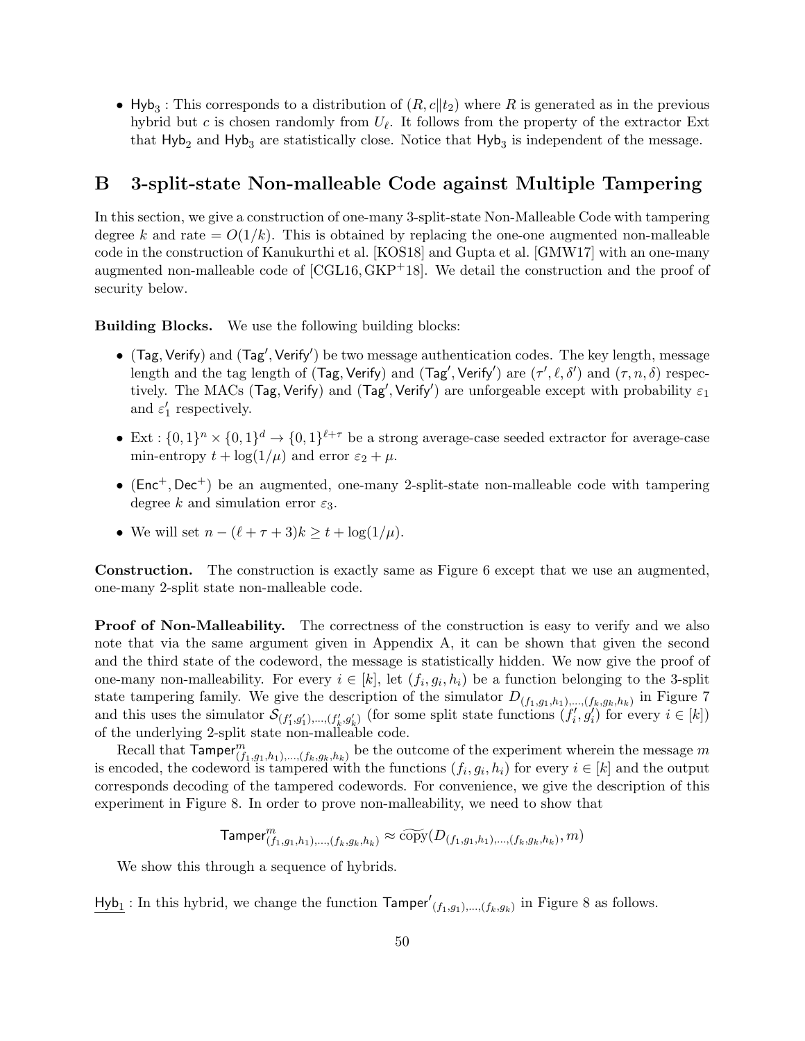• Hyb<sub>3</sub>: This corresponds to a distribution of  $(R, c||t_2)$  where R is generated as in the previous hybrid but c is chosen randomly from  $U_{\ell}$ . It follows from the property of the extractor Ext that  $Hyb_2$  and  $Hyb_3$  are statistically close. Notice that  $Hyb_3$  is independent of the message.

# <span id="page-49-0"></span>B 3-split-state Non-malleable Code against Multiple Tampering

In this section, we give a construction of one-many 3-split-state Non-Malleable Code with tampering degree k and rate  $= O(1/k)$ . This is obtained by replacing the one-one augmented non-malleable code in the construction of Kanukurthi et al. [\[KOS18\]](#page-47-5) and Gupta et al. [\[GMW17\]](#page-46-4) with an one-many augmented non-malleable code of [\[CGL16,](#page-44-8)[GKP](#page-46-9)+18]. We detail the construction and the proof of security below.

Building Blocks. We use the following building blocks:

- $\bullet$  (Tag, Verify) and (Tag', Verify') be two message authentication codes. The key length, message length and the tag length of (Tag, Verify) and (Tag', Verify') are  $(\tau', \ell, \delta')$  and  $(\tau, n, \delta)$  respectively. The MACs (Tag, Verify) and (Tag', Verify') are unforgeable except with probability  $\varepsilon_1$ and  $\varepsilon_1'$  respectively.
- Ext :  $\{0,1\}^n \times \{0,1\}^d \to \{0,1\}^{\ell+\tau}$  be a strong average-case seeded extractor for average-case min-entropy  $t + \log(1/\mu)$  and error  $\varepsilon_2 + \mu$ .
- $(Enc^+, Dec^+)$  be an augmented, one-many 2-split-state non-malleable code with tampering degree k and simulation error  $\varepsilon_3$ .
- We will set  $n (\ell + \tau + 3)k \ge t + \log(1/\mu)$ .

Construction. The construction is exactly same as Figure [6](#page-48-0) except that we use an augmented, one-many 2-split state non-malleable code.

**Proof of Non-Malleability.** The correctness of the construction is easy to verify and we also note that via the same argument given in Appendix [A,](#page-47-0) it can be shown that given the second and the third state of the codeword, the message is statistically hidden. We now give the proof of one-many non-malleability. For every  $i \in [k]$ , let  $(f_i, g_i, h_i)$  be a function belonging to the 3-split state tampering family. We give the description of the simulator  $D_{(f_1,g_1,h_1),...,(f_k,g_k,h_k)}$  in Figure [7](#page-50-0) and this uses the simulator  $\mathcal{S}_{(f'_1,g'_1),...,(f'_k,g'_k)}$  (for some split state functions  $(f'_i,g'_i)$  for every  $i \in [k]$ ) of the underlying 2-split state non-malleable code.

Recall that  $\textsf{Tamper}_{(f_1,g_1,h_1),..., (f_k,g_k,h_k)}^m$  be the outcome of the experiment wherein the message m is encoded, the codeword is tampered with the functions  $(f_i, g_i, h_i)$  for every  $i \in [k]$  and the output corresponds decoding of the tampered codewords. For convenience, we give the description of this experiment in Figure [8.](#page-51-0) In order to prove non-malleability, we need to show that

$$
\textsf{Tamper}^m_{(f_1,g_1,h_1),\ldots,(f_k,g_k,h_k)} \approx \widetilde{\text{copy}}(D_{(f_1,g_1,h_1),\ldots,(f_k,g_k,h_k)},m)
$$

We show this through a sequence of hybrids.

 $\frac{\text{Hyb}_1}{\text{Hyb}_1}$ : In this hybrid, we change the function  $\text{Tamper}'_{(f_1,g_1),...,(f_k,g_k)}$  in Figure [8](#page-51-0) as follows.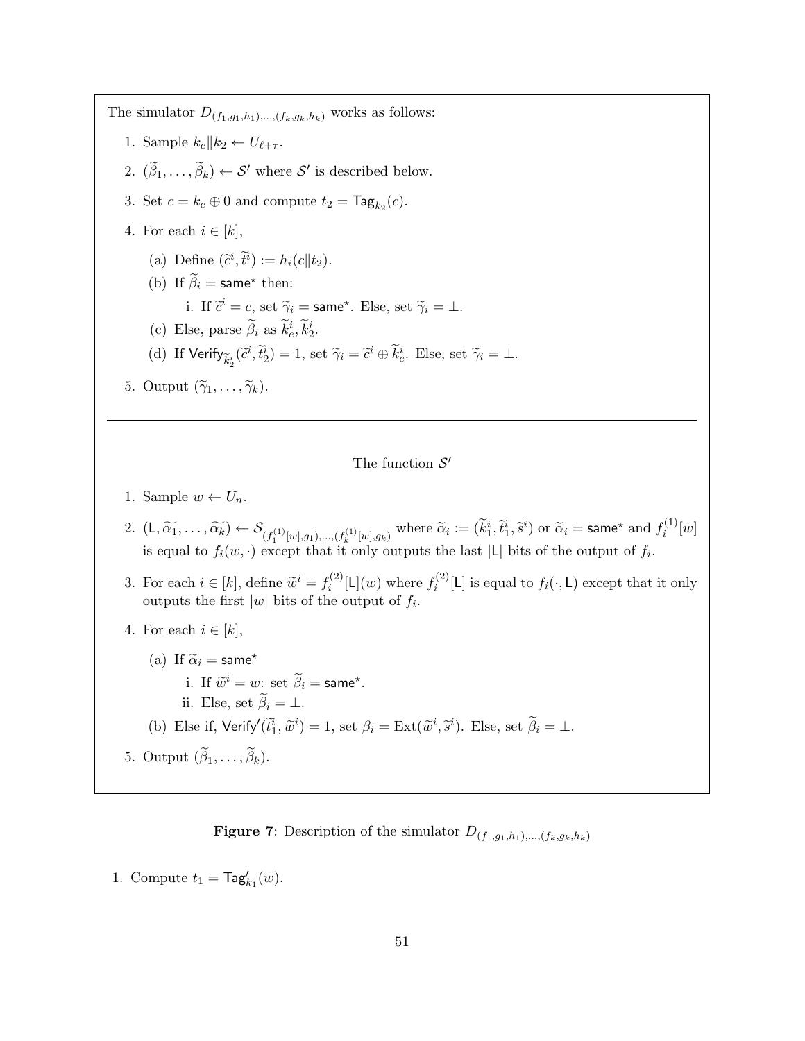The simulator  $D_{(f_1,g_1,h_1),...,(f_k,g_k,h_k)}$  works as follows:

- 1. Sample  $k_e || k_2 \leftarrow U_{\ell + \tau}$ .
- 2.  $(\widetilde{\beta}_1,\ldots,\widetilde{\beta}_k) \leftarrow S'$  where  $S'$  is described below.
- 3. Set  $c = k_e \oplus 0$  and compute  $t_2 = \mathsf{Tag}_{k_2}(c)$ .
- 4. For each  $i \in [k]$ ,
	- (a) Define  $(\tilde{c}^i, \tilde{t}^i) := h_i(c||t_2).$
	- (b) If  $\widetilde{\beta}_i$  = same\* then: i. If  $\tilde{c}^i = c$ , set  $\tilde{\gamma}_i = \textsf{same}^\star$ . Else, set  $\tilde{\gamma}_i = \bot$ . (c) Else, parse  $\tilde{\beta}_i$  as  $\tilde{k}_e^i, \tilde{k}_2^i$ .
		- (d) If  $\text{Verify}_{\tilde{k}_2^i}(\tilde{c}^i, \tilde{t}_2^i) = 1$ , set  $\tilde{\gamma}_i = \tilde{c}^i \oplus \tilde{k}_e^i$ . Else, set  $\tilde{\gamma}_i = \perp$ .
- 5. Output  $(\widetilde{\gamma}_1, \ldots, \widetilde{\gamma}_k)$ .

The function  $S'$ 

- 1. Sample  $w \leftarrow U_n$ .
- 2.  $(L, \widetilde{\alpha_1}, \ldots, \widetilde{\alpha_k}) \leftarrow \mathcal{S}_{(f_1^{(1)}[w], g_1), \ldots, (f_k^{(1)}[w], g_k)}$  where  $\widetilde{\alpha}_i := (\widetilde{k}_1^i, \widetilde{t}_1^i, \widetilde{s}^i)$  or  $\widetilde{\alpha}_i = \textsf{same}^{\star}$  and  $f_i^{(1)}$  $\binom{1}{i} [w]$ is equal to  $f_i(w, \cdot)$  except that it only outputs the last |L| bits of the output of  $f_i$ .
- 3. For each  $i \in [k]$ , define  $\widetilde{w}^i = f_i^{(2)}$  $f_i^{(2)}[L](w)$  where  $f_i^{(2)}$  $i^{(2)}_i[L]$  is equal to  $f_i(\cdot, L)$  except that it only outputs the first  $|w|$  bits of the output of  $f_i$ .
- 4. For each  $i \in [k]$ ,
- (a) If  $\tilde{\alpha}_i$  = same\* i. If  $\widetilde{w}^i = w$ : set  $\widetilde{\beta}_i = \textsf{same}^{\star}$ . ii. Else, set  $\widetilde{\beta}_i = \bot$ . (b) Else if,  $\text{Verify}'(\tilde{t}_1^i, \tilde{w}^i) = 1$ , set  $\beta_i = \text{Ext}(\tilde{w}^i, \tilde{s}^i)$ . Else, set  $\tilde{\beta}_i = \bot$ . 5. Output  $(\beta_1, \ldots, \beta_k)$ .

<span id="page-50-0"></span>**Figure 7:** Description of the simulator  $D_{(f_1,g_1,h_1),...,(f_k,g_k,h_k)}$ 

1. Compute  $t_1 = \mathsf{Tag}'_{k_1}(w)$ .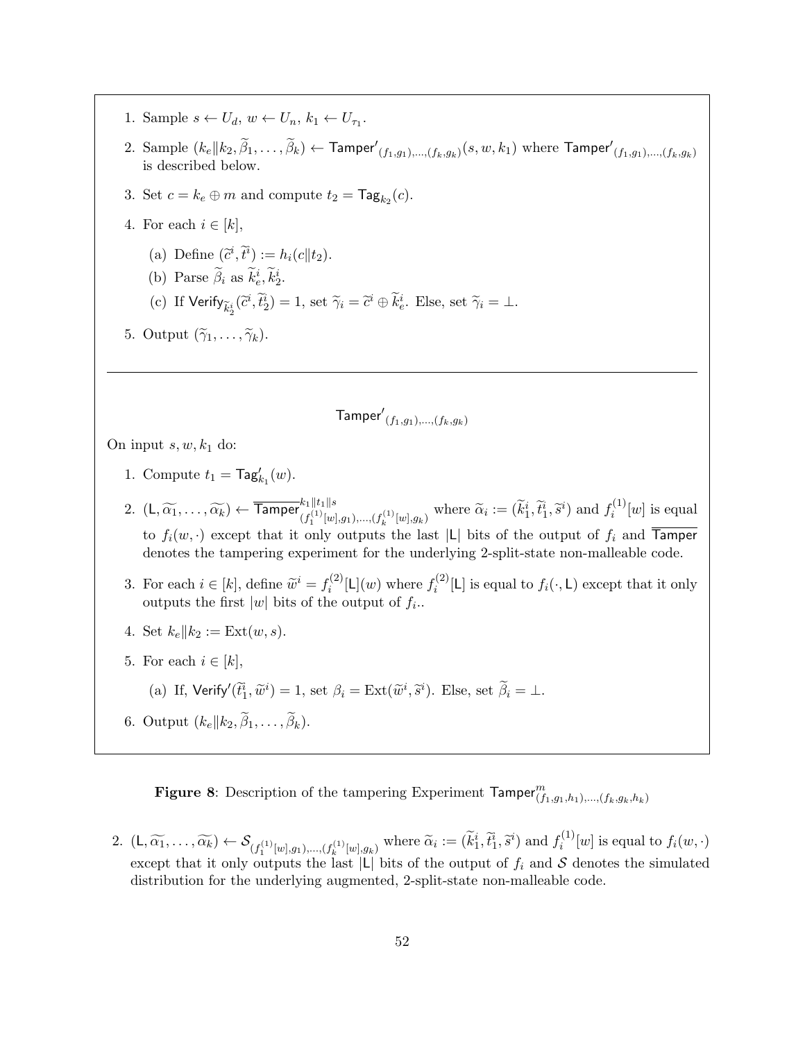- 1. Sample  $s \leftarrow U_d$ ,  $w \leftarrow U_n$ ,  $k_1 \leftarrow U_{\tau_1}$ .
- 2. Sample  $(k_e||k_2, \widetilde{\beta}_1, \ldots, \widetilde{\beta}_k) \leftarrow$  Tamper' $(f_1,g_1),..., (f_k,g_k)(s,w,k_1)$  where Tamper' $(f_1,g_1),..., (f_k,g_k)$ is described below.
- 3. Set  $c = k_e \oplus m$  and compute  $t_2 = \mathsf{Tag}_{k_2}(c)$ .
- 4. For each  $i \in [k]$ ,
	- (a) Define  $(\tilde{c}^i, \tilde{t}^i) := h_i(c||t_2).$
	- (b) Parse  $\tilde{\beta}_i$  as  $\tilde{k}_e^i, \tilde{k}_2^i$ .
	- (c) If  $\text{Verify}_{\tilde{k}_2^i}(\tilde{c}^i, \tilde{t}_2^i) = 1$ , set  $\tilde{\gamma}_i = \tilde{c}^i \oplus \tilde{k}_e^i$ . Else, set  $\tilde{\gamma}_i = \perp$ .
- 5. Output  $(\widetilde{\gamma}_1, \ldots, \widetilde{\gamma}_k)$ .

$$
\mathsf{Tamper}'_{(f_1,g_1),\ldots,(f_k,g_k)}
$$

On input  $s, w, k_1$  do:

- 1. Compute  $t_1 = \mathsf{Tag}'_{k_1}(w)$ .
- 2.  $(L, \widetilde{\alpha_1}, \ldots, \widetilde{\alpha_k}) \leftarrow \overline{\text{Tamper}}_{(f_1^{(1)}[w], g_1), \ldots, (f_k^{(1)}[w], g_k)}^{\|t_1\| \succeq \atop \text{where } \widetilde{\alpha}_i := (\widetilde{k}_1^i, \widetilde{t}_1^i, \widetilde{s}^i) \text{ and } f_i^{(1)}$  $i^{(1)}[w]$  is equal to  $f_i(w, \cdot)$  except that it only outputs the last |L| bits of the output of  $f_i$  and  $\overline{Tamper}$ denotes the tampering experiment for the underlying 2-split-state non-malleable code.
- 3. For each  $i \in [k]$ , define  $\widetilde{w}^i = f_i^{(2)}$  $f_i^{(2)}[L](w)$  where  $f_i^{(2)}$  $i^{(2)}_i[L]$  is equal to  $f_i(\cdot, L)$  except that it only outputs the first  $|w|$  bits of the output of  $f_i$ .
- 4. Set  $k_e || k_2 := \text{Ext}(w, s)$ .
- 5. For each  $i \in [k]$ ,
	- (a) If, Verify $(\tilde{t}_1^i, \tilde{w}^i) = 1$ , set  $\beta_i = \text{Ext}(\tilde{w}^i, \tilde{s}^i)$ . Else, set  $\tilde{\beta}_i = \bot$ .
- 6. Output  $(k_e || k_2, \beta_1, \ldots, \beta_k)$ .

<span id="page-51-0"></span>Figure 8: Description of the tampering Experiment  $\mathsf{Tamper}_{(f_1,g_1,h_1),...,(f_k,g_k,h_k)}^m$ 

2.  $(L, \widetilde{\alpha_1}, \ldots, \widetilde{\alpha_k}) \leftarrow \mathcal{S}_{(f_1^{(1)}[w], g_1), \ldots, (f_k^{(1)}[w], g_k)}$  where  $\widetilde{\alpha}_i := (\widetilde{k}_1^i, \widetilde{t}_1^i, \widetilde{s}^i)$  and  $f_i^{(1)}$  $f_i^{(1)}[w]$  is equal to  $f_i(w, \cdot)$ except that it only outputs the last |L| bits of the output of  $f_i$  and S denotes the simulated distribution for the underlying augmented, 2-split-state non-malleable code.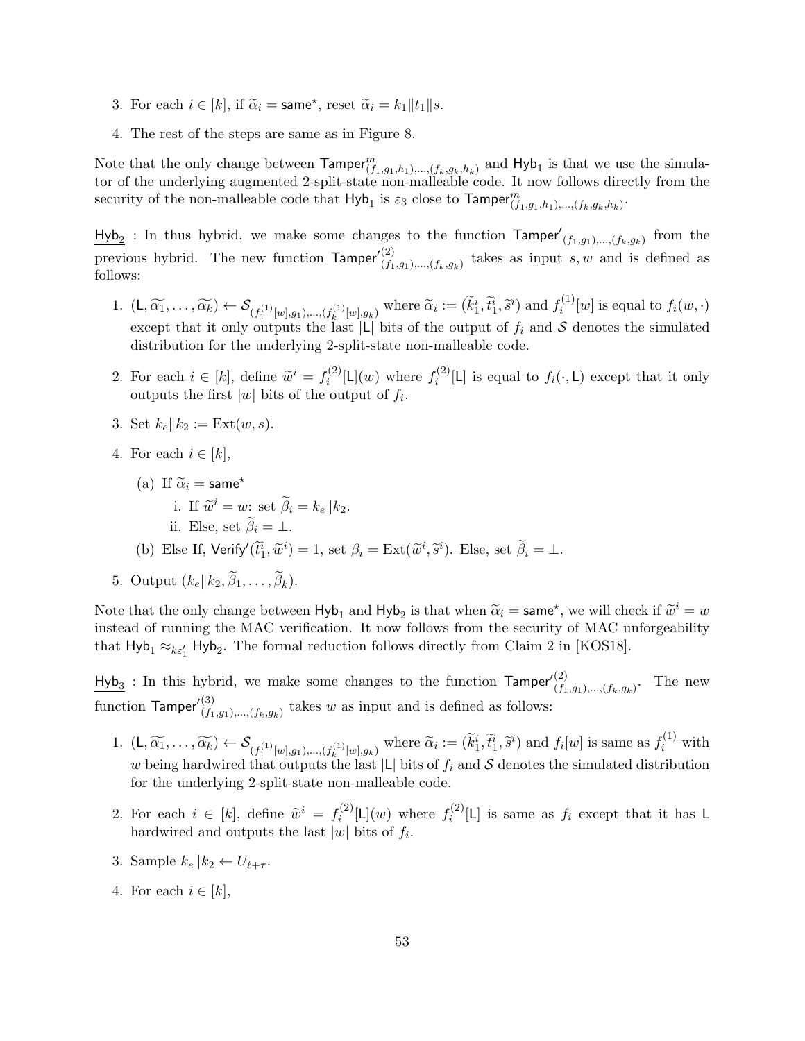- 3. For each  $i \in [k]$ , if  $\tilde{\alpha}_i = \textsf{same}^{\star}$ , reset  $\tilde{\alpha}_i = k_1 || t_1 || s$ .
- 4. The rest of the steps are same as in Figure [8.](#page-51-0)

Note that the only change between  $\text{Tamper}_{(f_1,g_1,h_1),...,(f_k,g_k,h_k)}^m$  and  $\text{Hyb}_1$  is that we use the simulator of the underlying augmented 2-split-state non-malleable code. It now follows directly from the security of the non-malleable code that  $Hyb_1$  is  $\varepsilon_3$  close to  $\mathsf{Tamper}^m_{(f_1,g_1,h_1),...,(f_k,g_k,h_k)}$ .

 $\frac{\text{Hyb}_2}{\text{Hyb}_2}$ : In thus hybrid, we make some changes to the function  $\text{Tamper}'_{(f_1,g_1),...,(f_k,g_k)}$  from the previous hybrid. The new function  $\mathsf{Tamper}'_{(f_1,g_1),...,(f_k,g_k)}^{(2)}$  takes as input s, w and is defined as follows:

- 1.  $(L, \widetilde{\alpha_1}, \ldots, \widetilde{\alpha_k}) \leftarrow \mathcal{S}_{(f_1^{(1)}[w], g_1), \ldots, (f_k^{(1)}[w], g_k)}$  where  $\widetilde{\alpha}_i := (\widetilde{k}_1^i, \widetilde{t}_1^i, \widetilde{s}^i)$  and  $f_i^{(1)}$  $f_i^{(1)}[w]$  is equal to  $f_i(w, \cdot)$ except that it only outputs the last  $|L|$  bits of the output of  $f_i$  and S denotes the simulated distribution for the underlying 2-split-state non-malleable code.
- 2. For each  $i \in [k]$ , define  $\widetilde{w}^i = f_i^{(2)}$  $f_i^{(2)}[L](w)$  where  $f_i^{(2)}$  $i^{(2)}_i[L]$  is equal to  $f_i(\cdot, L)$  except that it only outputs the first  $|w|$  bits of the output of  $f_i$ .
- 3. Set  $k_e || k_2 := \text{Ext}(w, s)$ .
- 4. For each  $i \in [k]$ ,
	- (a) If  $\widetilde{\alpha}_i$  = same<sup>\*</sup> i. If  $\widetilde{w}^i = w$ : set  $\widetilde{\beta}_i = k_e || k_2$ . ii. Else, set  $\widetilde{\beta}_i = \bot$ . (b) Else If,  $\text{Verify}'(\tilde{t}_1^i, \tilde{w}^i) = 1$ , set  $\beta_i = \text{Ext}(\tilde{w}^i, \tilde{s}^i)$ . Else, set  $\tilde{\beta}_i = \bot$ .
- 5. Output  $(k_e || k_2, \beta_1, \ldots, \beta_k)$ .

Note that the only change between  $Hyb_1$  and  $Hyb_2$  is that when  $\tilde{\alpha}_i = \text{same}^*$ , we will check if  $\tilde{w}^i = w$ <br>instead of numing the MAC verification. It now follows from the sequity of MAC upformability instead of running the MAC verification. It now follows from the security of MAC unforgeability that  $Hyb_1 \approx_{k\epsilon_1'} Hyb_2$ . The formal reduction follows directly from Claim 2 in [\[KOS18\]](#page-47-5).

 $\frac{\text{Hyb}_3}{f_1,g_1,\ldots,f_k,g_k}$ : In this hybrid, we make some changes to the function  $\text{Tamper}_{{f_1,g_1},\ldots,{f_k,g_k}}^{(2)}$ . The new function  $\mathsf{Tamper}'^{(3)}_{(f_1,g_1),...,(f_k,g_k)}$  takes w as input and is defined as follows:

- 1.  $(L, \widetilde{\alpha_1}, \ldots, \widetilde{\alpha_k}) \leftarrow \mathcal{S}_{(f_1^{(1)}[w], g_1), \ldots, (f_k^{(1)}[w], g_k)}$  where  $\widetilde{\alpha}_i := (\widetilde{k}_1^i, \widetilde{t}_1^i, \widetilde{s}^i)$  and  $f_i[w]$  is same as  $f_i^{(1)}$  with w being hardwired that outputs the last  $|L|$  bits of  $f_i$  and S denotes the simulated distribution for the underlying 2-split-state non-malleable code.
- 2. For each  $i \in [k]$ , define  $\widetilde{w}^i = f_i^{(2)}$  $f_i^{(2)}[L](w)$  where  $f_i^{(2)}$  $i^{(2)}[L]$  is same as  $f_i$  except that it has L hardwired and outputs the last  $|w|$  bits of  $f_i$ .
- 3. Sample  $k_e || k_2 \leftarrow U_{\ell + \tau}$ .
- 4. For each  $i \in [k]$ ,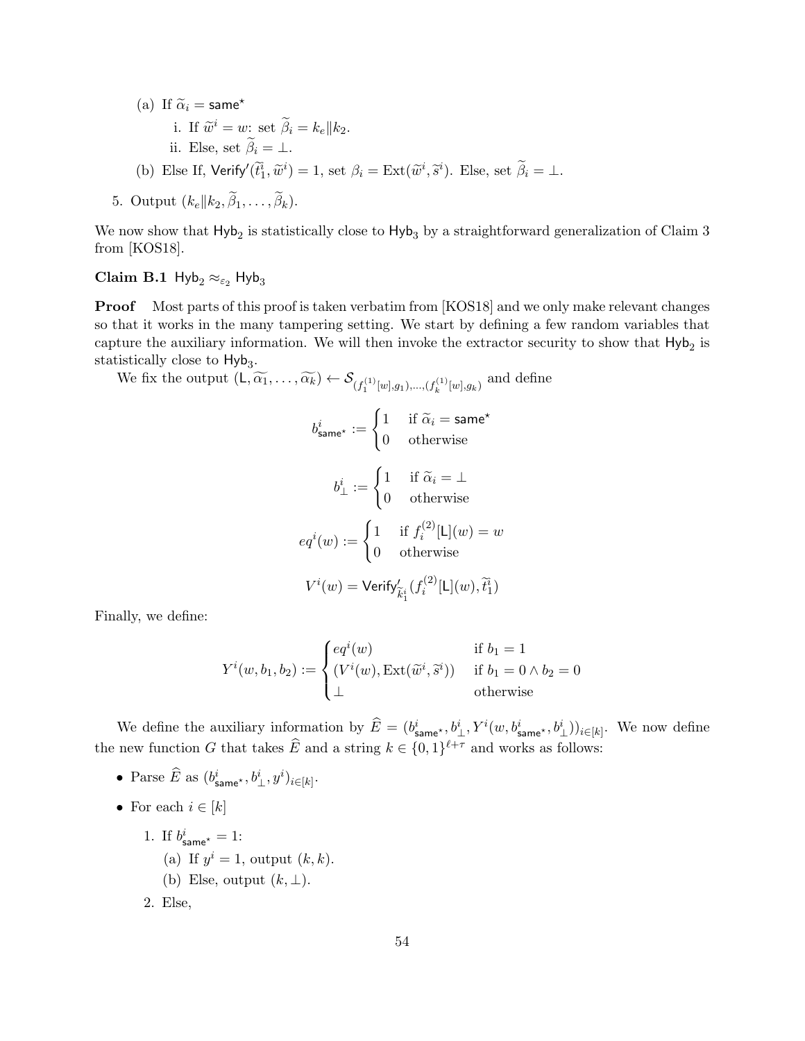(a) If  $\widetilde{\alpha}_i$  = same\* i. If  $\widetilde{w}^i = w$ : set  $\widetilde{\beta}_i = k_e || k_2$ . ii. Else, set  $\widetilde{\beta}_i = \bot$ . (b) Else If,  $\text{Verify}'(\tilde{t}_1^i, \tilde{w}^i) = 1$ , set  $\beta_i = \text{Ext}(\tilde{w}^i, \tilde{s}^i)$ . Else, set  $\tilde{\beta}_i = \bot$ .

5. Output 
$$
(k_e || k_2, \beta_1, \ldots, \beta_k)
$$
.

We now show that  $\mathsf{Hyb}_2$  is statistically close to  $\mathsf{Hyb}_3$  by a straightforward generalization of Claim 3 from [\[KOS18\]](#page-47-5).

## Claim B.1 Hyb<sub>2</sub>  $\approx_{\epsilon_2}$  Hyb<sub>3</sub>

Proof Most parts of this proof is taken verbatim from [\[KOS18\]](#page-47-5) and we only make relevant changes so that it works in the many tampering setting. We start by defining a few random variables that capture the auxiliary information. We will then invoke the extractor security to show that  $\mathsf{Hyb}_2$  is statistically close to  $Hyb<sub>3</sub>$ .

We fix the output  $(L, \widetilde{\alpha_1}, \ldots, \widetilde{\alpha_k}) \leftarrow \mathcal{S}_{(f_1^{(1)}[w], g_1), \ldots, (f_k^{(1)}[w], g_k)}$  and define

$$
b_{\text{same}^{\star}}^{i} := \begin{cases} 1 & \text{if } \widetilde{\alpha}_{i} = \text{same}^{\star} \\ 0 & \text{otherwise} \end{cases}
$$

$$
b_{\perp}^{i} := \begin{cases} 1 & \text{if } \widetilde{\alpha}_{i} = \perp \\ 0 & \text{otherwise} \end{cases}
$$

$$
eq^{i}(w) := \begin{cases} 1 & \text{if } f_{i}^{(2)}[\mathsf{L}](w) = w \\ 0 & \text{otherwise} \end{cases}
$$

$$
V^{i}(w) = \text{Verify}'_{\widetilde{k}_{1}^{i}}(f_{i}^{(2)}[\mathsf{L}](w), \widetilde{t}_{1}^{i})
$$

Finally, we define:

$$
Y^{i}(w, b_1, b_2) := \begin{cases} eq^{i}(w) & \text{if } b_1 = 1\\ (V^{i}(w), \text{Ext}(\widetilde{w}^{i}, \widetilde{s}^{i})) & \text{if } b_1 = 0 \land b_2 = 0\\ \perp & \text{otherwise} \end{cases}
$$

We define the auxiliary information by  $\widehat{E} = (b_{\text{same}}^i, b_{\perp}^i, Y^i(w, b_{\text{same}}^i, b_{\perp}^i))_{i \in [k]}$ . We now define the new function G that takes  $\widehat{E}$  and a string  $k \in \{0,1\}^{\ell+\tau}$  and works as follows:

- Parse  $\widehat{E}$  as  $(b^i_{\text{same}}^\star, b^i_\perp, y^i)_{i \in [k]}.$
- For each  $i \in [k]$ 
	- 1. If  $b^i_{\text{same}^\star} = 1$ :
		- (a) If  $y^i = 1$ , output  $(k, k)$ .
		- (b) Else, output  $(k, \perp)$ .
	- 2. Else,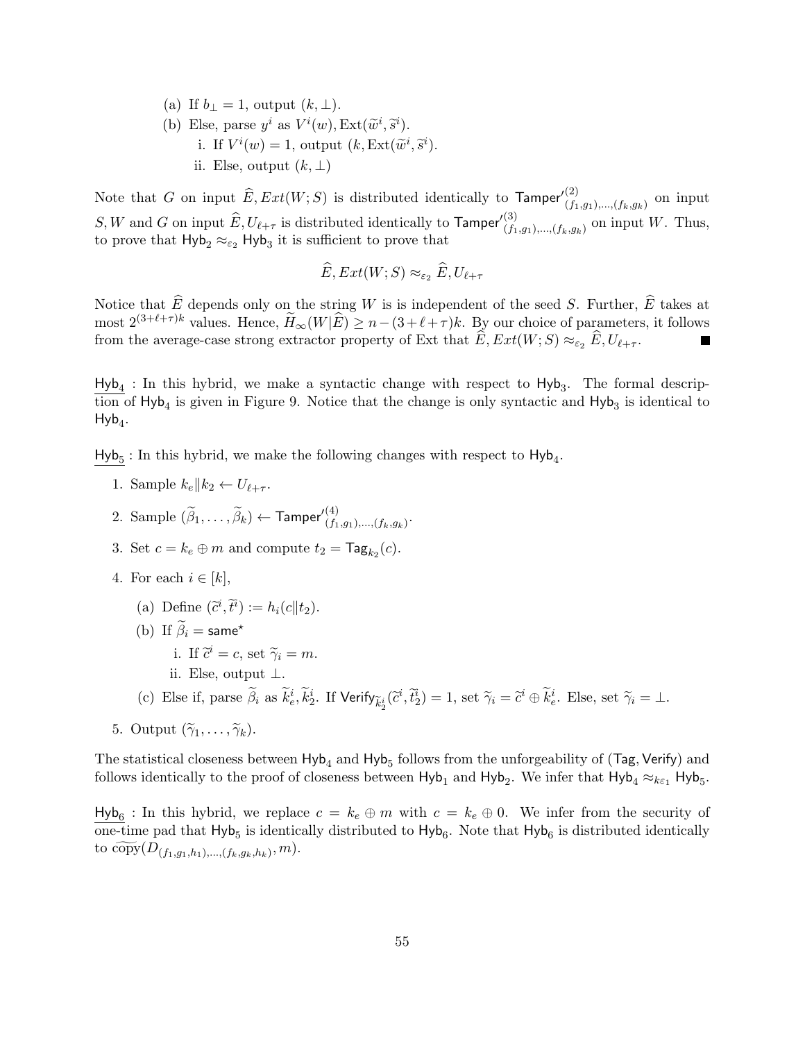(a) If  $b_{\perp} = 1$ , output  $(k, \perp)$ . (b) Else, parse  $y^i$  as  $V^i(w)$ ,  $Ext(\tilde{w}^i, \tilde{s}^i)$ . i. If  $V^i(w) = 1$ , output  $(k, \text{Ext}(\widetilde{w}^i, \widetilde{s}^i)$ . ii. Else, output  $(k, \perp)$ 

Note that G on input  $\widehat{E}, Ext(W;S)$  is distributed identically to  $\mathsf{Tamper}'^{(2)}_{(f_1,g_1),..., (f_k,g_k)}$  on input  $S, W$  and G on input  $\widehat{E}, U_{\ell+\tau}$  is distributed identically to  $\mathsf{Tamper}'^{(3)}_{(f_1,g_1),..., (f_k,g_k)}$  on input W. Thus, to prove that  $Hyb_2 \approx_{\varepsilon_2} Hyb_3$  it is sufficient to prove that

$$
\widehat{E}, Ext(W;S) \approx_{\varepsilon_2} \widehat{E}, U_{\ell+\tau}
$$

Notice that  $\widehat{E}$  depends only on the string W is is independent of the seed S. Further,  $\widehat{E}$  takes at most  $2^{(3+\ell+\tau)k}$  values. Hence,  $\widetilde{H}_{\infty}(W|\widehat{E}) \geq n-(3+\ell+\tau)k$ . By our choice of parameters, it follows from the average-case strong extractor property of Ext that  $E, Ext(W; S) \approx_{\varepsilon_2} E, U_{\ell + \tau}$ .

 $Hyb<sub>4</sub>$ : In this hybrid, we make a syntactic change with respect to  $Hyb<sub>3</sub>$ . The formal description of  $Hyb_4$  is given in Figure [9.](#page-55-1) Notice that the change is only syntactic and  $Hyb_3$  is identical to  $Hyb_4$ .

 $Hyb<sub>5</sub>$ : In this hybrid, we make the following changes with respect to  $Hyb<sub>4</sub>$ .

- 1. Sample  $k_e || k_2 \leftarrow U_{\ell + \tau}$ .
- 2. Sample  $(\widetilde{\beta}_1,\ldots,\widetilde{\beta}_k) \leftarrow \mathsf{Tamper'}_{(f_1,g_1),\ldots,(f_k,g_k)}^{(4)}.$
- 3. Set  $c = k_e \oplus m$  and compute  $t_2 = \text{Tag}_{k_2}(c)$ .
- 4. For each  $i \in [k]$ ,
	- (a) Define  $(\tilde{c}^i, \tilde{t}^i) := h_i(c||t_2).$
	- (b) If  $\widetilde{\beta}_i$  = same\*
		- i. If  $\tilde{c}^i = c$ , set  $\tilde{\gamma}_i = m$ .
		- ii. Else, output ⊥.
	- (c) Else if, parse  $\tilde{\beta}_i$  as  $\tilde{k}_e^i$ ,  $\tilde{k}_2^i$ . If  $\mathsf{Verify}_{\tilde{k}_2^i}(\tilde{c}^i, \tilde{t}_2^i) = 1$ , set  $\tilde{\gamma}_i = \tilde{c}^i \oplus \tilde{k}_e^i$ . Else, set  $\tilde{\gamma}_i = \perp$ .
- 5. Output  $(\widetilde{\gamma}_1, \ldots, \widetilde{\gamma}_k)$ .

The statistical closeness between  $Hyb<sub>4</sub>$  and  $Hyb<sub>5</sub>$  follows from the unforgeability of (Tag, Verify) and follows identically to the proof of closeness between  $Hyb_1$  and  $Hyb_2$ . We infer that  $Hyb_4 \approx_{k\epsilon_1} Hyb_5$ .

 $Hyb_6$ : In this hybrid, we replace  $c = k_e \oplus m$  with  $c = k_e \oplus 0$ . We infer from the security of one-time pad that  $Hyb_5$  is identically distributed to  $Hyb_6$ . Note that  $Hyb_6$  is distributed identically to  $\widetilde{\text{copy}}(D_{(f_1,g_1,h_1),...,(f_k,g_k,h_k)},m).$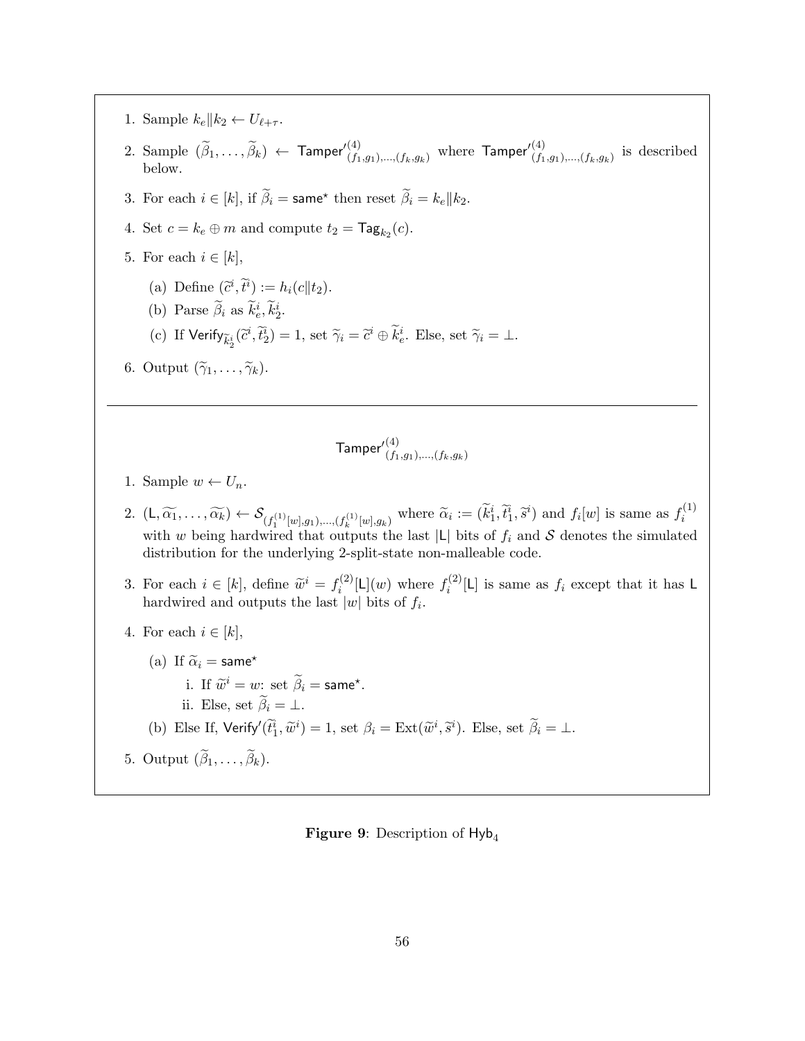- 1. Sample  $k_e || k_2 \leftarrow U_{\ell + \tau}$ .
- 2. Sample  $(\widetilde{\beta}_1,\ldots,\widetilde{\beta}_k) \leftarrow$  Tamper' $\binom{4}{f_1,g_1,\ldots,f_k,g_k}$  where  $\mathsf{Tamper}'^{(4)}_{(f_1,g_1),\ldots,(f_k,g_k)}$  is described below.
- 3. For each  $i \in [k]$ , if  $\widetilde{\beta}_i = \textsf{same}^{\star}$  then reset  $\widetilde{\beta}_i = k_e || k_2$ .
- 4. Set  $c = k_e \oplus m$  and compute  $t_2 = \mathsf{Tag}_{k_2}(c)$ .
- 5. For each  $i \in [k]$ ,
	- (a) Define  $(\tilde{c}^i, \tilde{t}^i) := h_i(c||t_2).$
	- (b) Parse  $\tilde{\beta}_i$  as  $\tilde{k}_e^i, \tilde{k}_2^i$ .
	- (c) If  $\text{Verify}_{\tilde{k}_2^i}(\tilde{c}^i, \tilde{t}_2^i) = 1$ , set  $\tilde{\gamma}_i = \tilde{c}^i \oplus \tilde{k}_e^i$ . Else, set  $\tilde{\gamma}_i = \perp$ .
- 6. Output  $(\widetilde{\gamma}_1, \ldots, \widetilde{\gamma}_k)$ .

$$
\mathsf{Tamper}'^{(4)}_{(f_1,g_1),\ldots,(f_k,g_k)}
$$

- 1. Sample  $w \leftarrow U_n$ .
- 2.  $(L, \widetilde{\alpha_1}, \ldots, \widetilde{\alpha_k}) \leftarrow \mathcal{S}_{(f_1^{(1)}[w], g_1), \ldots, (f_k^{(1)}[w], g_k)}$  where  $\widetilde{\alpha}_i := (\widetilde{k}_1^i, \widetilde{t}_1^i, \widetilde{s}^i)$  and  $f_i[w]$  is same as  $f_i^{(1)}$ i with w being hardwired that outputs the last  $|L|$  bits of  $f_i$  and S denotes the simulated distribution for the underlying 2-split-state non-malleable code.
- 3. For each  $i \in [k]$ , define  $\widetilde{w}^i = f_i^{(2)}$  $f_i^{(2)}[L](w)$  where  $f_i^{(2)}$  $i^{(2)}[L]$  is same as  $f_i$  except that it has L hardwired and outputs the last  $|w|$  bits of  $f_i$ .
- 4. For each  $i \in [k]$ ,
	- (a) If  $\widetilde{\alpha}_i$  = same\*
		- i. If  $\widetilde{w}^i = w$ : set  $\widetilde{\beta}_i = \textsf{same}^{\star}$ .
			- ii. Else, set  $\widetilde{\beta}_i = \bot$ .
	- (b) Else If,  $\text{Verify}'(\tilde{t}_1^i, \tilde{w}^i) = 1$ , set  $\beta_i = \text{Ext}(\tilde{w}^i, \tilde{s}^i)$ . Else, set  $\tilde{\beta}_i = \bot$ .
- <span id="page-55-0"></span>5. Output  $(\beta_1, \ldots, \beta_k)$ .

## <span id="page-55-1"></span>**Figure 9:** Description of  $Hyb<sub>4</sub>$